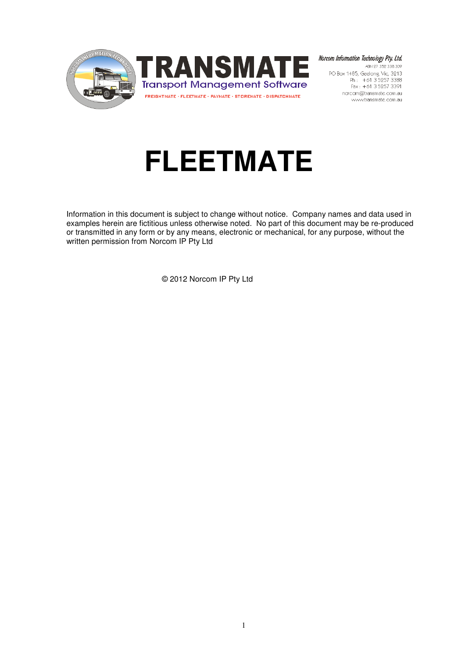

Norcom Information Technology Pty. Ltd. ABN 27 352 338 309 PO Box 1485, Geelong, Vic, 3213 Ph: +61 3 5257 3388<br>Fax: +61 3 5257 3388 norcom@transmate.com.au www.transmate.com.au

# **FLEETMATE**

Information in this document is subject to change without notice. Company names and data used in examples herein are fictitious unless otherwise noted. No part of this document may be re-produced or transmitted in any form or by any means, electronic or mechanical, for any purpose, without the written permission from Norcom IP Pty Ltd

© 2012 Norcom IP Pty Ltd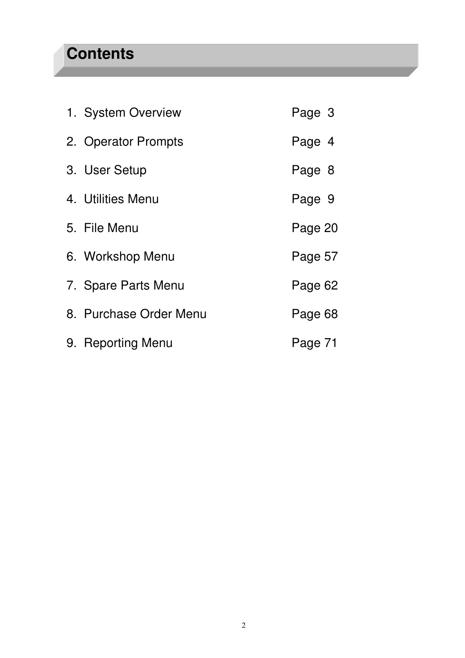## **Contents**

| 1. System Overview     | Page 3  |  |
|------------------------|---------|--|
| 2. Operator Prompts    | Page 4  |  |
| 3. User Setup          | Page 8  |  |
| 4. Utilities Menu      | Page 9  |  |
| 5. File Menu           | Page 20 |  |
| 6. Workshop Menu       | Page 57 |  |
| 7. Spare Parts Menu    | Page 62 |  |
| 8. Purchase Order Menu | Page 68 |  |
| 9. Reporting Menu      | Page 71 |  |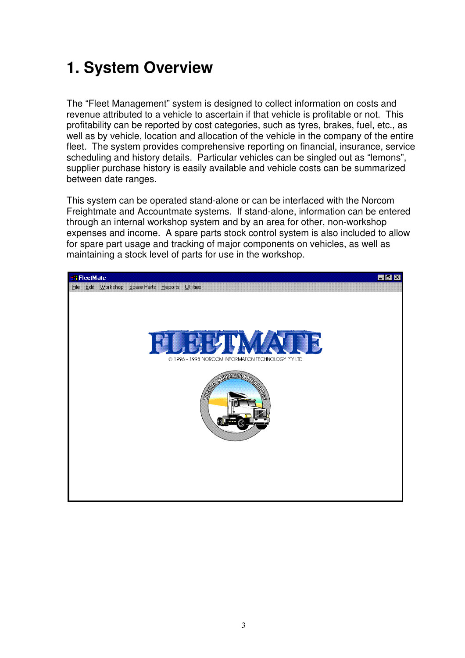## **1. System Overview**

The "Fleet Management" system is designed to collect information on costs and revenue attributed to a vehicle to ascertain if that vehicle is profitable or not. This profitability can be reported by cost categories, such as tyres, brakes, fuel, etc., as well as by vehicle, location and allocation of the vehicle in the company of the entire fleet. The system provides comprehensive reporting on financial, insurance, service scheduling and history details. Particular vehicles can be singled out as "lemons", supplier purchase history is easily available and vehicle costs can be summarized between date ranges.

This system can be operated stand-alone or can be interfaced with the Norcom Freightmate and Accountmate systems. If stand-alone, information can be entered through an internal workshop system and by an area for other, non-workshop expenses and income. A spare parts stock control system is also included to allow for spare part usage and tracking of major components on vehicles, as well as maintaining a stock level of parts for use in the workshop.

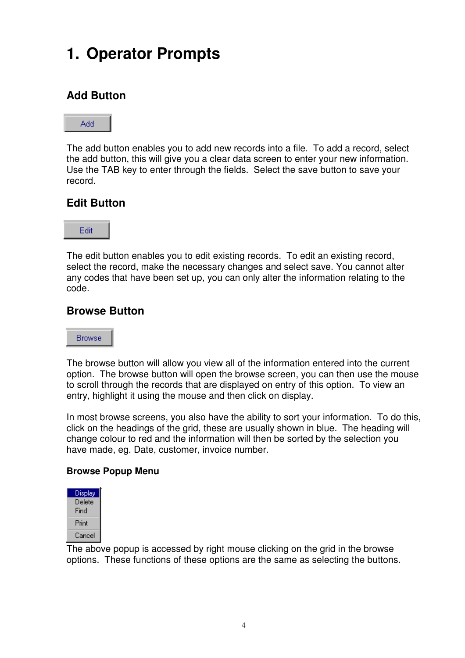## **1. Operator Prompts**

### **Add Button**

#### Add

The add button enables you to add new records into a file. To add a record, select the add button, this will give you a clear data screen to enter your new information. Use the TAB key to enter through the fields. Select the save button to save your record.

### **Edit Button**



The edit button enables you to edit existing records. To edit an existing record, select the record, make the necessary changes and select save. You cannot alter any codes that have been set up, you can only alter the information relating to the code.

### **Browse Button**

#### **Browse**

The browse button will allow you view all of the information entered into the current option. The browse button will open the browse screen, you can then use the mouse to scroll through the records that are displayed on entry of this option. To view an entry, highlight it using the mouse and then click on display.

In most browse screens, you also have the ability to sort your information. To do this, click on the headings of the grid, these are usually shown in blue. The heading will change colour to red and the information will then be sorted by the selection you have made, eg. Date, customer, invoice number.

### **Browse Popup Menu**

| Display |
|---------|
| Delete  |
| Find    |
| Print   |
| Cancel  |

The above popup is accessed by right mouse clicking on the grid in the browse options. These functions of these options are the same as selecting the buttons.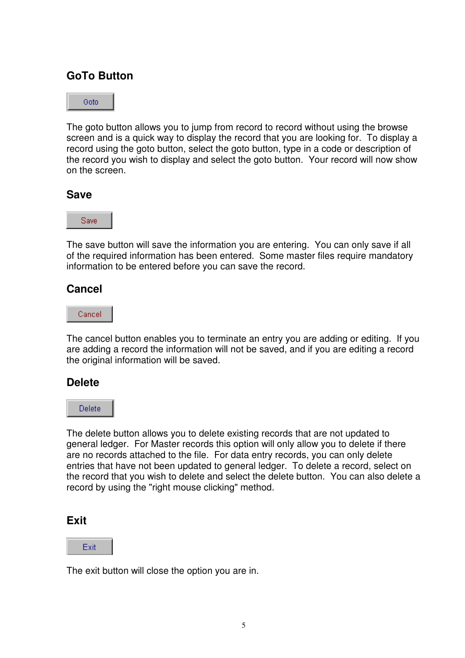### **GoTo Button**



The goto button allows you to jump from record to record without using the browse screen and is a quick way to display the record that you are looking for. To display a record using the goto button, select the goto button, type in a code or description of the record you wish to display and select the goto button. Your record will now show on the screen.

### **Save**



The save button will save the information you are entering. You can only save if all of the required information has been entered. Some master files require mandatory information to be entered before you can save the record.

### **Cancel**

Cancel

The cancel button enables you to terminate an entry you are adding or editing. If you are adding a record the information will not be saved, and if you are editing a record the original information will be saved.

### **Delete**

Delete:

The delete button allows you to delete existing records that are not updated to general ledger. For Master records this option will only allow you to delete if there are no records attached to the file. For data entry records, you can only delete entries that have not been updated to general ledger. To delete a record, select on the record that you wish to delete and select the delete button. You can also delete a record by using the "right mouse clicking" method.

### **Exit**

Exit

The exit button will close the option you are in.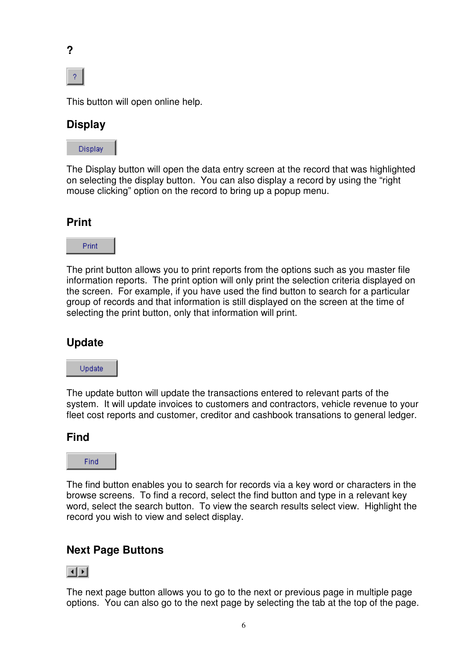



This button will open online help.

### **Display**



The Display button will open the data entry screen at the record that was highlighted on selecting the display button. You can also display a record by using the "right mouse clicking" option on the record to bring up a popup menu.

### **Print**



The print button allows you to print reports from the options such as you master file information reports. The print option will only print the selection criteria displayed on the screen. For example, if you have used the find button to search for a particular group of records and that information is still displayed on the screen at the time of selecting the print button, only that information will print.

### **Update**

Update

The update button will update the transactions entered to relevant parts of the system. It will update invoices to customers and contractors, vehicle revenue to your fleet cost reports and customer, creditor and cashbook transations to general ledger.

### **Find**



The find button enables you to search for records via a key word or characters in the browse screens. To find a record, select the find button and type in a relevant key word, select the search button. To view the search results select view. Highlight the record you wish to view and select display.

### **Next Page Buttons**



The next page button allows you to go to the next or previous page in multiple page options. You can also go to the next page by selecting the tab at the top of the page.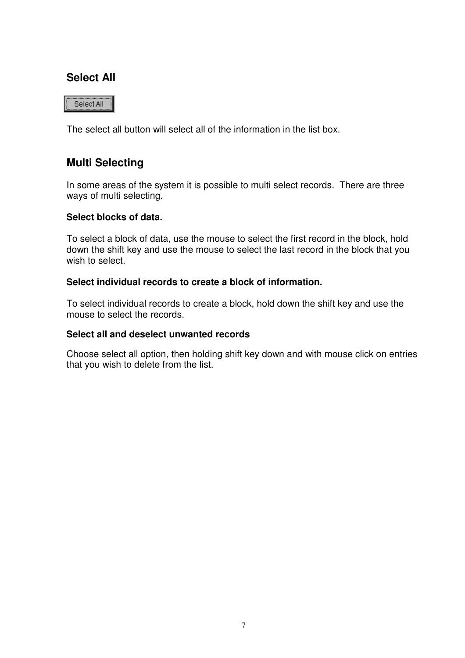### **Select All**

Select All

The select all button will select all of the information in the list box.

### **Multi Selecting**

In some areas of the system it is possible to multi select records. There are three ways of multi selecting.

#### **Select blocks of data.**

To select a block of data, use the mouse to select the first record in the block, hold down the shift key and use the mouse to select the last record in the block that you wish to select.

#### **Select individual records to create a block of information.**

To select individual records to create a block, hold down the shift key and use the mouse to select the records.

#### **Select all and deselect unwanted records**

Choose select all option, then holding shift key down and with mouse click on entries that you wish to delete from the list.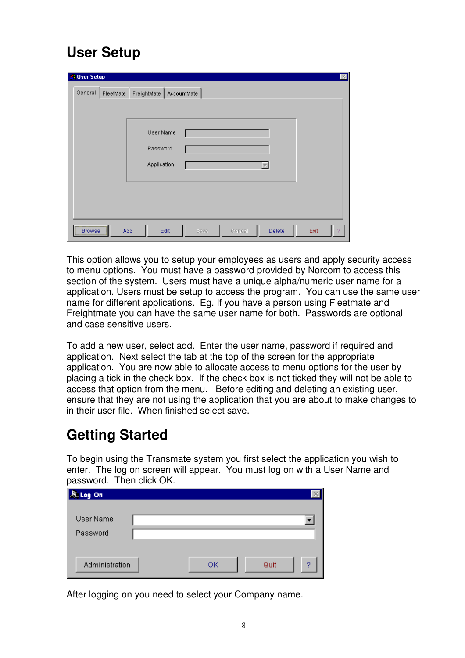## **User Setup**

| <b>N</b> User Setup |           |                                                                     |      |        |        |      | $\times$ |
|---------------------|-----------|---------------------------------------------------------------------|------|--------|--------|------|----------|
| General             | FleetMate | FreightMate   AccountMate  <br>User Name<br>Password<br>Application |      | v      |        |      |          |
| <b>Browse</b>       | Add       | Edit                                                                | Save | Cancel | Delete | Exit | -2.      |

This option allows you to setup your employees as users and apply security access to menu options. You must have a password provided by Norcom to access this section of the system. Users must have a unique alpha/numeric user name for a application. Users must be setup to access the program. You can use the same user name for different applications. Eg. If you have a person using Fleetmate and Freightmate you can have the same user name for both. Passwords are optional and case sensitive users.

To add a new user, select add. Enter the user name, password if required and application. Next select the tab at the top of the screen for the appropriate application. You are now able to allocate access to menu options for the user by placing a tick in the check box. If the check box is not ticked they will not be able to access that option from the menu. Before editing and deleting an existing user, ensure that they are not using the application that you are about to make changes to in their user file. When finished select save.

## **Getting Started**

To begin using the Transmate system you first select the application you wish to enter. The log on screen will appear. You must log on with a User Name and password. Then click OK.

| <b>ALLog On</b>       |    |      |   |
|-----------------------|----|------|---|
| User Name<br>Password |    |      |   |
| Administration        | ОK | Quit | o |

After logging on you need to select your Company name.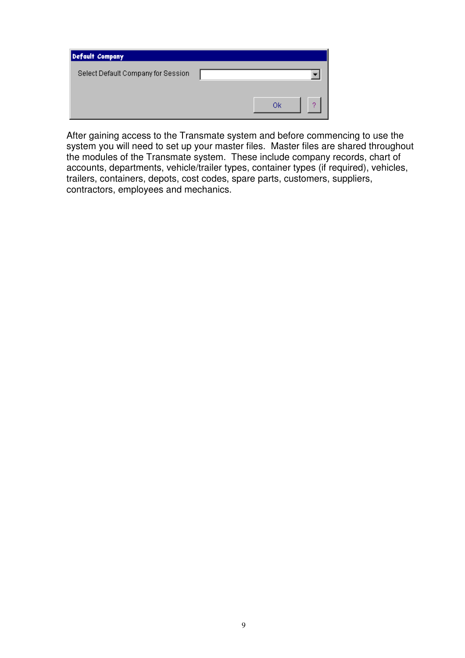| Default Company                    |    |
|------------------------------------|----|
| Select Default Company for Session |    |
|                                    | Οk |

After gaining access to the Transmate system and before commencing to use the system you will need to set up your master files. Master files are shared throughout the modules of the Transmate system. These include company records, chart of accounts, departments, vehicle/trailer types, container types (if required), vehicles, trailers, containers, depots, cost codes, spare parts, customers, suppliers, contractors, employees and mechanics.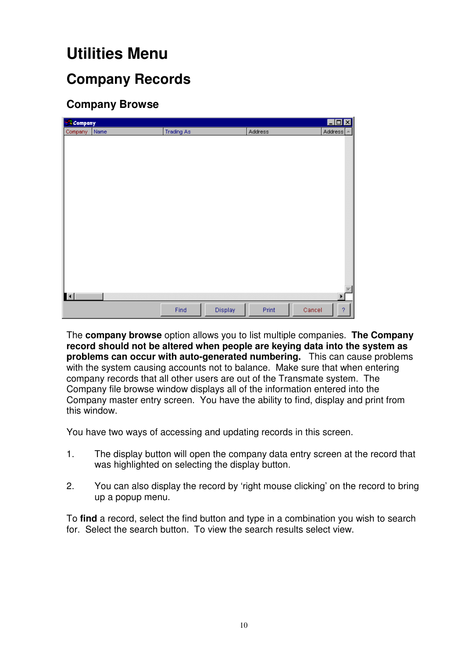## **Utilities Menu**

### **Company Records**

### **Company Browse**

| <b>Company</b> |      |                   |         |         | $\overline{L}$ $\overline{D}$ $\overline{X}$ |
|----------------|------|-------------------|---------|---------|----------------------------------------------|
| Company        | Name | <b>Trading As</b> |         | Address | Address                                      |
|                |      |                   |         |         |                                              |
|                |      |                   |         |         |                                              |
|                |      |                   |         |         |                                              |
|                |      |                   |         |         |                                              |
|                |      |                   |         |         |                                              |
|                |      |                   |         |         |                                              |
|                |      |                   |         |         |                                              |
|                |      |                   |         |         |                                              |
|                |      |                   |         |         |                                              |
|                |      |                   |         |         |                                              |
|                |      |                   |         |         |                                              |
|                |      |                   |         |         |                                              |
|                |      |                   |         |         |                                              |
|                |      |                   |         |         |                                              |
|                |      |                   |         |         |                                              |
|                |      |                   |         |         |                                              |
|                |      |                   |         |         |                                              |
| $\mathbf{H}$   |      |                   |         |         | $\blacktriangleright$                        |
|                |      | Find              | Display | Print   | Cancel<br>$\boldsymbol{?}$                   |

The **company browse** option allows you to list multiple companies. **The Company record should not be altered when people are keying data into the system as problems can occur with auto-generated numbering.** This can cause problems with the system causing accounts not to balance. Make sure that when entering company records that all other users are out of the Transmate system. The Company file browse window displays all of the information entered into the Company master entry screen. You have the ability to find, display and print from this window.

You have two ways of accessing and updating records in this screen.

- 1. The display button will open the company data entry screen at the record that was highlighted on selecting the display button.
- 2. You can also display the record by 'right mouse clicking' on the record to bring up a popup menu.

To **find** a record, select the find button and type in a combination you wish to search for. Select the search button. To view the search results select view.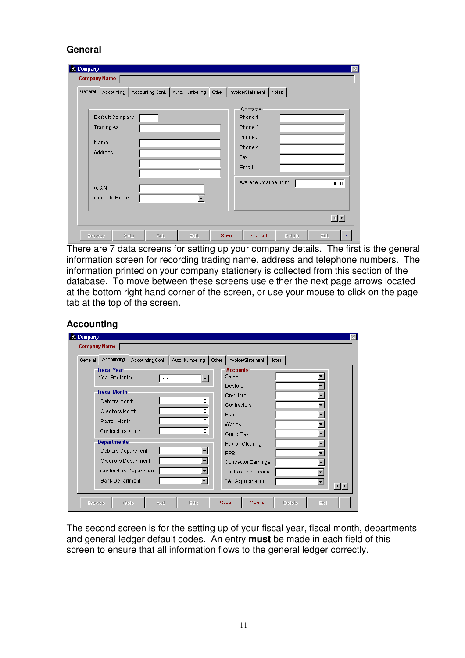### **General**

| Average Cost per KIm<br>A.C.N<br>Connote Route | Default Company<br><b>Trading As</b><br>Name<br><b>Address</b> |  |  |  | Phone 1<br>Phone 2<br>Phone 3<br>Phone 4<br>Fax<br>Email |  | 0.0000 |
|------------------------------------------------|----------------------------------------------------------------|--|--|--|----------------------------------------------------------|--|--------|
|------------------------------------------------|----------------------------------------------------------------|--|--|--|----------------------------------------------------------|--|--------|

There are 7 data screens for setting up your company details. The first is the general information screen for recording trading name, address and telephone numbers. The information printed on your company stationery is collected from this section of the database. To move between these screens use either the next page arrows located at the bottom right hand corner of the screen, or use your mouse to click on the page tab at the top of the screen.

#### **Accounting**

| General | Accounting                                         | Accounting Cont. |       | Auto, Numbering          | Other                                       |                   | Invoice/Statement | Notes |   |                   |
|---------|----------------------------------------------------|------------------|-------|--------------------------|---------------------------------------------|-------------------|-------------------|-------|---|-------------------|
|         | <b>Fiscal Year</b>                                 |                  |       |                          |                                             | <b>Accounts</b>   |                   |       |   |                   |
|         | Year Beginning                                     |                  | $\pm$ | $\overline{\phantom{a}}$ |                                             | <b>Sales</b>      |                   |       |   |                   |
|         |                                                    |                  |       |                          |                                             | <b>Debtors</b>    |                   |       |   |                   |
|         | <b>Fiscal Month</b>                                |                  |       |                          |                                             | Creditors         |                   |       |   |                   |
|         | Debtors Month<br>0.<br><b>Creditors Month</b><br>0 |                  |       |                          | Contractors                                 |                   |                   |       |   |                   |
|         |                                                    |                  |       | <b>Bank</b>              |                                             |                   |                   |       |   |                   |
|         | Payroll Month                                      |                  |       | 0                        |                                             | Wages             |                   |       |   |                   |
|         | Contractors Month                                  |                  |       | 0                        |                                             | Group Tax         |                   |       |   |                   |
|         | <b>Departments</b>                                 |                  |       | Payroll Clearing         |                                             |                   |                   |       |   |                   |
|         | Debtors Department                                 |                  |       |                          |                                             | PPS               |                   |       |   |                   |
|         | <b>Creditors Department</b>                        |                  |       |                          | Contractor Earnings<br>Contractor Insurance |                   |                   |       |   |                   |
|         | Contractors Department                             |                  |       |                          |                                             |                   |                   |       |   |                   |
|         |                                                    |                  |       | $\overline{\phantom{0}}$ |                                             |                   |                   |       |   |                   |
|         | <b>Bank Department</b>                             |                  |       |                          |                                             | P&L Appropriation |                   |       | ٠ | $\vert 1 \vert 1$ |

The second screen is for the setting up of your fiscal year, fiscal month, departments and general ledger default codes. An entry **must** be made in each field of this screen to ensure that all information flows to the general ledger correctly.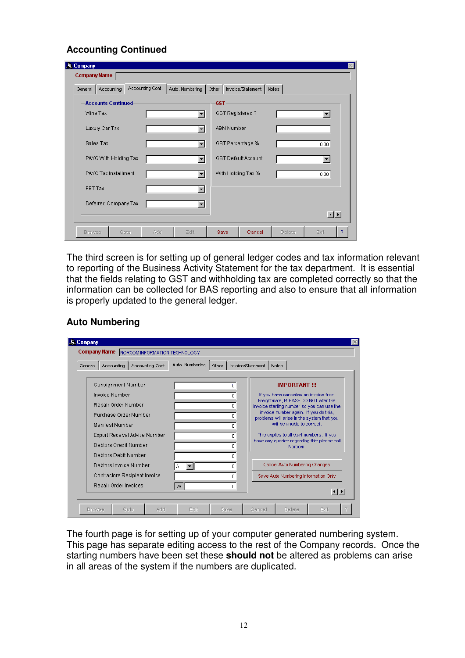### **Accounting Continued**

| <b>S.</b> Company<br><b>Company Name</b>                                                     |                                       |  |  |  |
|----------------------------------------------------------------------------------------------|---------------------------------------|--|--|--|
| Accounting Cont.   Auto. Numbering   Other   Invoice/Statement   Notes<br>General Accounting |                                       |  |  |  |
| <b>Accounts Continued</b>                                                                    | <b>GST</b>                            |  |  |  |
| Wine Tax                                                                                     | GST Registered?                       |  |  |  |
| Luxury Car Tax                                                                               | <b>ABN Number</b>                     |  |  |  |
| Sales Tax<br>$\overline{\phantom{a}}$                                                        | GST Percentage %<br>0.00              |  |  |  |
| PAYG With Holding Tax                                                                        | <b>GST Default Account</b>            |  |  |  |
| PAYG Tax Installment<br>$\blacksquare$                                                       | With Holding Tax %<br>0.00            |  |  |  |
| FBT Tax<br>۰                                                                                 |                                       |  |  |  |
| Deferred Company Tax                                                                         |                                       |  |  |  |
|                                                                                              | 回回                                    |  |  |  |
| Edit<br><b>Browse</b><br>Goto<br>Add                                                         | Save<br>Cancel<br>Delete<br>Exit<br>2 |  |  |  |

The third screen is for setting up of general ledger codes and tax information relevant to reporting of the Business Activity Statement for the tax department. It is essential that the fields relating to GST and withholding tax are completed correctly so that the information can be collected for BAS reporting and also to ensure that all information is properly updated to the general ledger.

### **Auto Numbering**

| General                                                                                                                   | Accounting                                     | Accounting Cont. | Auto. Numbering | Other         | Invoice/Statement   Notes                                                                                                                                       |
|---------------------------------------------------------------------------------------------------------------------------|------------------------------------------------|------------------|-----------------|---------------|-----------------------------------------------------------------------------------------------------------------------------------------------------------------|
|                                                                                                                           | <b>Consignment Number</b><br>Invoice Number    |                  |                 | ۵<br>0.       | <b>IMPORTANT !!!</b><br>If you have cancelled an invoice from<br>Freightmate, PLEASE DO NOT alter the                                                           |
| Repair Order Number<br>Purchase Order Number<br>Manifest Number<br>Export Receival Advice Number<br>Debtors Credit Number |                                                |                  |                 | n<br>n.       | invoice starting number so you can use the<br>invoice number again. If you do this,<br>problems will arise in the system that you<br>will be unable to correct. |
|                                                                                                                           |                                                |                  |                 | 0.<br>0<br>n. | This applies to all start numbers. If you<br>have any queries regarding this please call<br>Norcom.                                                             |
|                                                                                                                           | Debtors Debit Number<br>Debtors Invoice Number |                  | А               | n.<br>0.      | Cancel Auto Numbering Changes                                                                                                                                   |
| Contractors Recipient Invoice<br>Repair Order Invoices                                                                    |                                                |                  | W               | n.<br>0       | Save Auto Numbering Information Only<br>$\left  \cdot \right $                                                                                                  |

The fourth page is for setting up of your computer generated numbering system. This page has separate editing access to the rest of the Company records. Once the starting numbers have been set these **should not** be altered as problems can arise in all areas of the system if the numbers are duplicated.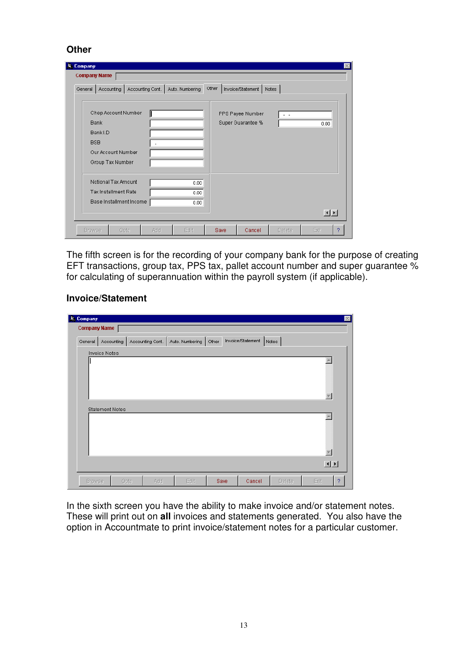#### **Other**

| <b>S.</b> Company                                                                                      |      |                                                 |       |                                       |                | $\infty$                                                                                                                                                                                                                                                                                                                                                                                                                                                        |
|--------------------------------------------------------------------------------------------------------|------|-------------------------------------------------|-------|---------------------------------------|----------------|-----------------------------------------------------------------------------------------------------------------------------------------------------------------------------------------------------------------------------------------------------------------------------------------------------------------------------------------------------------------------------------------------------------------------------------------------------------------|
| <b>Company Name</b>                                                                                    |      |                                                 |       |                                       |                |                                                                                                                                                                                                                                                                                                                                                                                                                                                                 |
| General                                                                                                |      | Accounting   Accounting Cont.   Auto. Numbering | Other | Invoice/Statement                     | Notes          |                                                                                                                                                                                                                                                                                                                                                                                                                                                                 |
| Chep Account Number<br><b>Bank</b><br>Bank I.D<br><b>BSB</b><br>Our Account Number<br>Group Tax Number |      |                                                 |       | PPS Payee Number<br>Super Guarantee % | $\sim$ $ \sim$ | 0.00                                                                                                                                                                                                                                                                                                                                                                                                                                                            |
| Notional Tax Amount<br><b>Tax Installment Rate</b><br>Base Installment Income                          |      | 0.00<br>0.00.<br>0.00                           |       |                                       |                | $\begin{array}{c c c c c} \hline \multicolumn{1}{c }{\textbf{1}} & \multicolumn{1}{c }{\textbf{2}} \\ \hline \multicolumn{1}{c }{\textbf{3}} & \multicolumn{1}{c }{\textbf{4}} & \multicolumn{1}{c }{\textbf{5}} \\ \hline \multicolumn{1}{c }{\textbf{6}} & \multicolumn{1}{c }{\textbf{7}} & \multicolumn{1}{c }{\textbf{8}} \\ \hline \multicolumn{1}{c }{\textbf{7}} & \multicolumn{1}{c }{\textbf{8}} & \multicolumn{1}{c }{\textbf{9}} \\ \hline \multic$ |
| <b>Browse</b>                                                                                          | Goto | Edit<br>Add                                     | Save  | Cancel                                | Delete         | Exit<br>2                                                                                                                                                                                                                                                                                                                                                                                                                                                       |

The fifth screen is for the recording of your company bank for the purpose of creating EFT transactions, group tax, PPS tax, pallet account number and super guarantee % for calculating of superannuation within the payroll system (if applicable).

#### **Invoice/Statement**

| <b>原 Company</b>       |                  |                 |       |                   |        | $\vert \times$ |
|------------------------|------------------|-----------------|-------|-------------------|--------|----------------|
| <b>Company Name</b>    |                  |                 |       |                   |        |                |
| General<br>Accounting  | Accounting Cont. | Auto. Numbering | Other | Invoice/Statement | Notes  |                |
| <b>Invoice Notes</b>   |                  |                 |       |                   |        |                |
|                        |                  |                 |       |                   |        |                |
|                        |                  |                 |       |                   |        |                |
|                        |                  |                 |       |                   |        |                |
|                        |                  |                 |       |                   |        |                |
|                        |                  |                 |       |                   |        |                |
| <b>Statement Notes</b> |                  |                 |       |                   |        |                |
|                        |                  |                 |       |                   |        |                |
|                        |                  |                 |       |                   |        |                |
|                        |                  |                 |       |                   |        |                |
|                        |                  |                 |       |                   |        |                |
|                        |                  |                 |       |                   |        | 回回             |
|                        |                  |                 |       |                   |        |                |
| Goto<br><b>Browse</b>  | Add              | Edit            | Save  | Cancel            | Delete | Exit<br>?      |

In the sixth screen you have the ability to make invoice and/or statement notes. These will print out on **all** invoices and statements generated. You also have the option in Accountmate to print invoice/statement notes for a particular customer.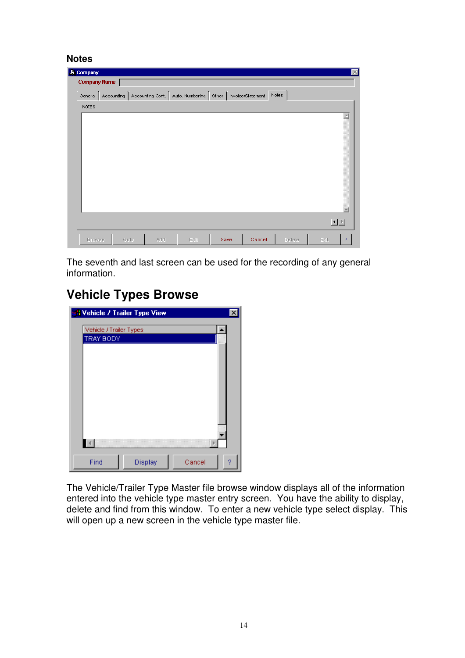#### **Notes**

| <b>JE</b> Company   |             |      |      |                                                                                       |        | $\vert \times \vert$  |
|---------------------|-------------|------|------|---------------------------------------------------------------------------------------|--------|-----------------------|
| <b>Company Name</b> |             |      |      |                                                                                       |        |                       |
|                     |             |      |      | General   Accounting   Accounting Cont.   Auto. Numbering   Other   Invoice/Statement | Notes  |                       |
| Notes               |             |      |      |                                                                                       |        |                       |
|                     |             |      |      |                                                                                       |        | A<br>Ħ                |
|                     |             |      |      |                                                                                       |        | 国国                    |
| <b>Browse</b>       | Goto<br>Add | Edit | Save | Cancel                                                                                | Delete | Exit<br>$\mathcal{P}$ |

The seventh and last screen can be used for the recording of any general information.

### **Vehicle Types Browse**



The Vehicle/Trailer Type Master file browse window displays all of the information entered into the vehicle type master entry screen. You have the ability to display, delete and find from this window. To enter a new vehicle type select display. This will open up a new screen in the vehicle type master file.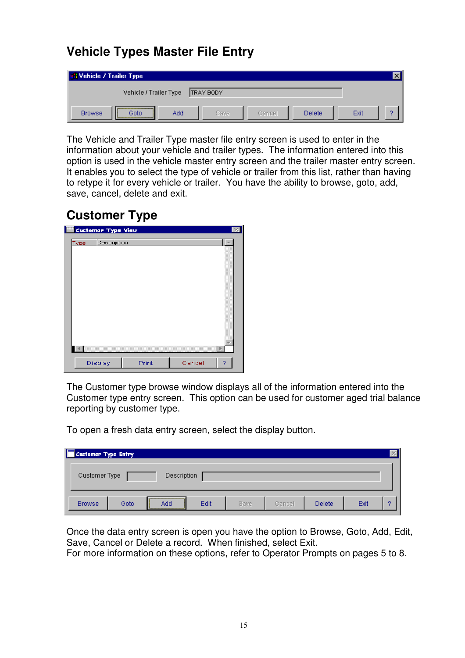### **Vehicle Types Master File Entry**

| <b>SA Vehicle / Trailer Type</b> |                        |     |           |        |        |      |  |
|----------------------------------|------------------------|-----|-----------|--------|--------|------|--|
|                                  | Vehicle / Trailer Type |     | TRAY BODY |        |        |      |  |
| <b>Browse</b>                    | Goto                   | Add | Save      | Cancel | Delete | Exit |  |

The Vehicle and Trailer Type master file entry screen is used to enter in the information about your vehicle and trailer types. The information entered into this option is used in the vehicle master entry screen and the trailer master entry screen. It enables you to select the type of vehicle or trailer from this list, rather than having to retype it for every vehicle or trailer. You have the ability to browse, goto, add, save, cancel, delete and exit.

### **Customer Type**

|                        | <b>Customer Type View</b> |       |        |   |
|------------------------|---------------------------|-------|--------|---|
| Type                   | Description               |       |        |   |
|                        |                           |       |        |   |
|                        |                           |       |        |   |
|                        |                           |       |        |   |
|                        |                           |       |        |   |
|                        |                           |       |        |   |
|                        |                           |       |        |   |
|                        |                           |       |        |   |
|                        |                           |       |        |   |
|                        |                           |       |        |   |
| $\left  \cdot \right $ |                           |       |        |   |
|                        |                           |       |        |   |
|                        | Display                   | Print | Cancel | 9 |

The Customer type browse window displays all of the information entered into the Customer type entry screen. This option can be used for customer aged trial balance reporting by customer type.

To open a fresh data entry screen, select the display button.

| Customer Type Entry |      |             |      |             |        |        |      |   |
|---------------------|------|-------------|------|-------------|--------|--------|------|---|
| Customer Type       |      | Description |      |             |        |        |      |   |
| <b>Browse</b>       | Goto | <br>Add     | Edit | <b>Save</b> | Cancel | Delete | Exit | o |

Once the data entry screen is open you have the option to Browse, Goto, Add, Edit, Save, Cancel or Delete a record. When finished, select Exit.

For more information on these options, refer to Operator Prompts on pages 5 to 8.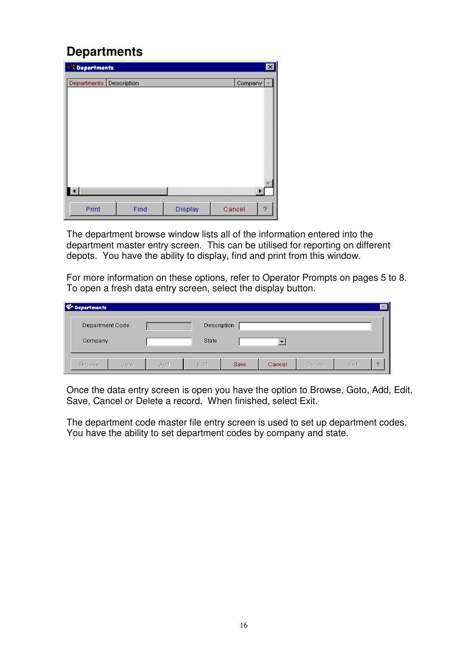### **Departments**

| <b>SA</b> Departments   |      |         | $\vert x \vert$ |
|-------------------------|------|---------|-----------------|
| Departments Description |      |         | Company         |
|                         |      |         |                 |
|                         |      |         |                 |
|                         |      |         |                 |
|                         |      |         |                 |
|                         |      |         |                 |
|                         |      |         |                 |
|                         |      |         |                 |
| $\left  \cdot \right $  |      |         | ٠               |
| Print                   | Find | Display | Cancel<br>?     |

The department browse window lists all of the information entered into the department master entry screen. This can be utilised for reporting on different depots. You have the ability to display, find and print from this window.

For more information on these options, refer to Operator Prompts on pages 5 to 8. To open a fresh data entry screen, select the display button.

| <b><i>C</i></b> Departments |      |     |             |      |        |        |      | $\times$ |
|-----------------------------|------|-----|-------------|------|--------|--------|------|----------|
| Department Code             |      |     | Description |      |        |        |      |          |
| Company                     |      |     | State       |      |        |        |      |          |
| <b>Browse</b>               | Goto | Add | Edit.       | Save | Cancel | Delete | Exit | o        |

Once the data entry screen is open you have the option to Browse, Goto, Add, Edit, Save, Cancel or Delete a record. When finished, select Exit.

The department code master file entry screen is used to set up department codes. You have the ability to set department codes by company and state.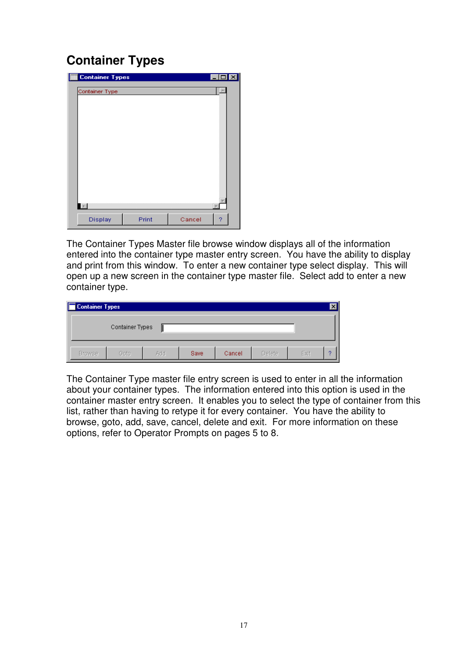### **Container Types**

| <b>Container Types</b> |       |        | г. |
|------------------------|-------|--------|----|
| Container Type         |       |        |    |
|                        |       |        |    |
|                        |       |        |    |
|                        |       |        |    |
|                        |       |        |    |
|                        |       |        |    |
|                        |       |        |    |
|                        |       |        |    |
|                        |       |        |    |
|                        |       |        |    |
| $\vert$ and $\vert$    |       |        |    |
| Display                | Print | Cancel | 9  |

The Container Types Master file browse window displays all of the information entered into the container type master entry screen. You have the ability to display and print from this window. To enter a new container type select display. This will open up a new screen in the container type master file. Select add to enter a new container type.

| Container Types |                 |     |             |        |        |      |   |
|-----------------|-----------------|-----|-------------|--------|--------|------|---|
|                 | Container Types |     |             |        |        |      |   |
| <b>Browse</b>   | Goto            | Add | <b>Save</b> | Cancel | Delete | Exit | o |

The Container Type master file entry screen is used to enter in all the information about your container types. The information entered into this option is used in the container master entry screen. It enables you to select the type of container from this list, rather than having to retype it for every container. You have the ability to browse, goto, add, save, cancel, delete and exit. For more information on these options, refer to Operator Prompts on pages 5 to 8.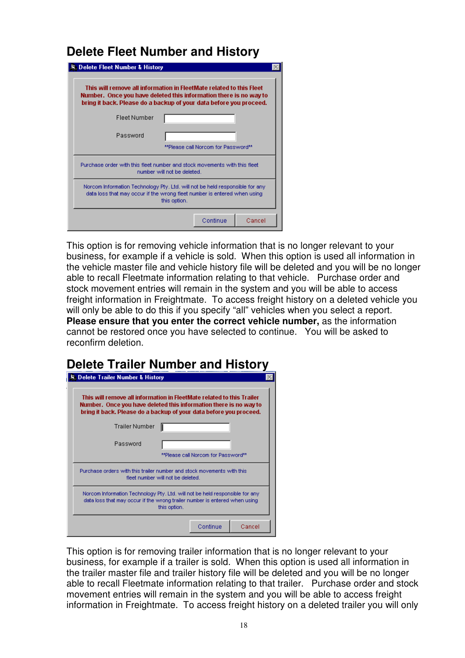### **Delete Fleet Number and History**

| 原 Delete Fleet Number & History<br>This will remove all information in FleetMate related to this Fleet<br>Number. Once you have deleted this information there is no way to<br>bring it back. Please do a backup of your data before you proceed. |                             |                                     |        |
|---------------------------------------------------------------------------------------------------------------------------------------------------------------------------------------------------------------------------------------------------|-----------------------------|-------------------------------------|--------|
| <b>Fleet Number</b>                                                                                                                                                                                                                               |                             |                                     |        |
| Password                                                                                                                                                                                                                                          |                             | **Please call Norcom for Password** |        |
| Purchase order with this fleet number and stock movements with this fleet                                                                                                                                                                         | number will not be deleted. |                                     |        |
| Norcom Information Technology Pty. Ltd. will not be held responsible for any l<br>data loss that may occur if the wrong fleet number is entered when using                                                                                        | this option.                |                                     |        |
|                                                                                                                                                                                                                                                   |                             | Continue                            | Cancel |

This option is for removing vehicle information that is no longer relevant to your business, for example if a vehicle is sold. When this option is used all information in the vehicle master file and vehicle history file will be deleted and you will be no longer able to recall Fleetmate information relating to that vehicle. Purchase order and stock movement entries will remain in the system and you will be able to access freight information in Freightmate. To access freight history on a deleted vehicle you will only be able to do this if you specify "all" vehicles when you select a report. **Please ensure that you enter the correct vehicle number,** as the information cannot be restored once you have selected to continue. You will be asked to reconfirm deletion.

### **Delete Trailer Number and History**

| <b>St. Delete Trailer Number &amp; History</b> |                                                                                                                                                                                                                  |
|------------------------------------------------|------------------------------------------------------------------------------------------------------------------------------------------------------------------------------------------------------------------|
|                                                | This will remove all information in FleetMate related to this Trailer<br>Number. Once you have deleted this information there is no way to<br>bring it back. Please do a backup of your data before you proceed. |
| Trailer Number                                 |                                                                                                                                                                                                                  |
| Password                                       | **Please call Norcom for Password**                                                                                                                                                                              |
|                                                | Purchase orders with this trailer number and stock movements with this<br>fleet number will not be deleted.                                                                                                      |
|                                                | Norcom Information Technology Pty. Ltd. will not be held responsible for any<br>data loss that may occur if the wrong trailer number is entered when using<br>this option.                                       |
|                                                | Continue<br>Cancel                                                                                                                                                                                               |

This option is for removing trailer information that is no longer relevant to your business, for example if a trailer is sold. When this option is used all information in the trailer master file and trailer history file will be deleted and you will be no longer able to recall Fleetmate information relating to that trailer. Purchase order and stock movement entries will remain in the system and you will be able to access freight information in Freightmate. To access freight history on a deleted trailer you will only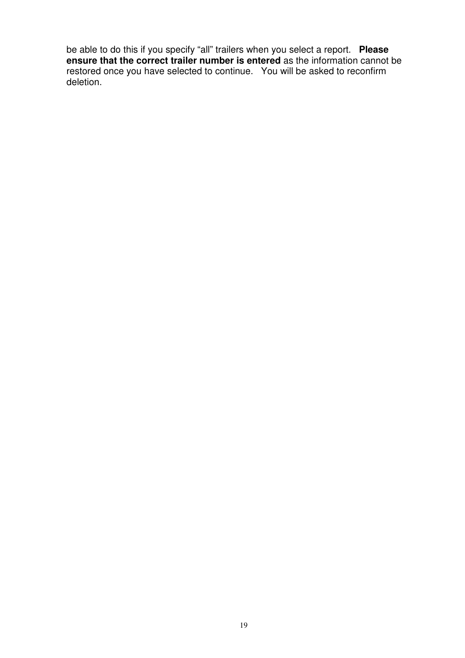be able to do this if you specify "all" trailers when you select a report. **Please ensure that the correct trailer number is entered** as the information cannot be restored once you have selected to continue. You will be asked to reconfirm deletion.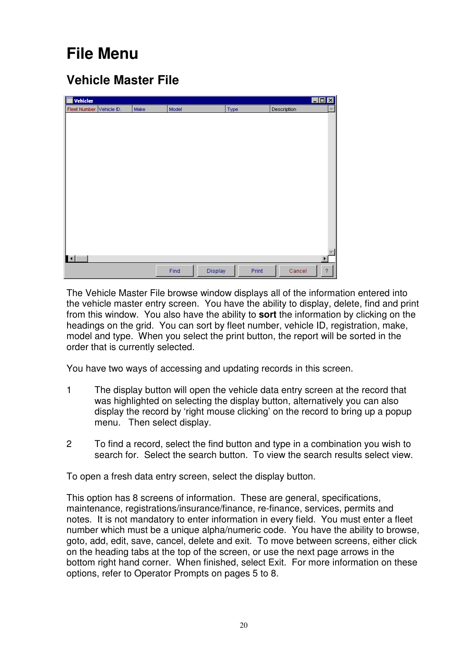## **File Menu**

### **Vehicle Master File**

| E<br>Vehicles            |      |       |         |       |             | $\Box$ D $\times$     |
|--------------------------|------|-------|---------|-------|-------------|-----------------------|
| Fleet Number Vehicle ID. | Make | Model |         | Type  | Description | A.I                   |
|                          |      |       |         |       |             |                       |
|                          |      |       |         |       |             |                       |
|                          |      |       |         |       |             |                       |
|                          |      |       |         |       |             |                       |
|                          |      |       |         |       |             |                       |
|                          |      |       |         |       |             |                       |
|                          |      |       |         |       |             |                       |
|                          |      |       |         |       |             |                       |
|                          |      |       |         |       |             |                       |
|                          |      |       |         |       |             |                       |
|                          |      |       |         |       |             |                       |
|                          |      |       |         |       |             |                       |
|                          |      |       |         |       |             |                       |
|                          |      |       |         |       |             |                       |
|                          |      |       |         |       |             |                       |
|                          |      |       |         |       |             |                       |
| $\blacksquare$           |      |       |         |       |             | $\blacktriangleright$ |
|                          |      | Find  | Display | Print | Cancel      | $\boldsymbol{v}$      |
|                          |      |       |         |       |             |                       |

The Vehicle Master File browse window displays all of the information entered into the vehicle master entry screen. You have the ability to display, delete, find and print from this window. You also have the ability to **sort** the information by clicking on the headings on the grid. You can sort by fleet number, vehicle ID, registration, make, model and type. When you select the print button, the report will be sorted in the order that is currently selected.

You have two ways of accessing and updating records in this screen.

- 1 The display button will open the vehicle data entry screen at the record that was highlighted on selecting the display button, alternatively you can also display the record by 'right mouse clicking' on the record to bring up a popup menu. Then select display.
- 2 To find a record, select the find button and type in a combination you wish to search for. Select the search button. To view the search results select view.

To open a fresh data entry screen, select the display button.

This option has 8 screens of information. These are general, specifications, maintenance, registrations/insurance/finance, re-finance, services, permits and notes. It is not mandatory to enter information in every field. You must enter a fleet number which must be a unique alpha/numeric code. You have the ability to browse, goto, add, edit, save, cancel, delete and exit. To move between screens, either click on the heading tabs at the top of the screen, or use the next page arrows in the bottom right hand corner. When finished, select Exit. For more information on these options, refer to Operator Prompts on pages 5 to 8.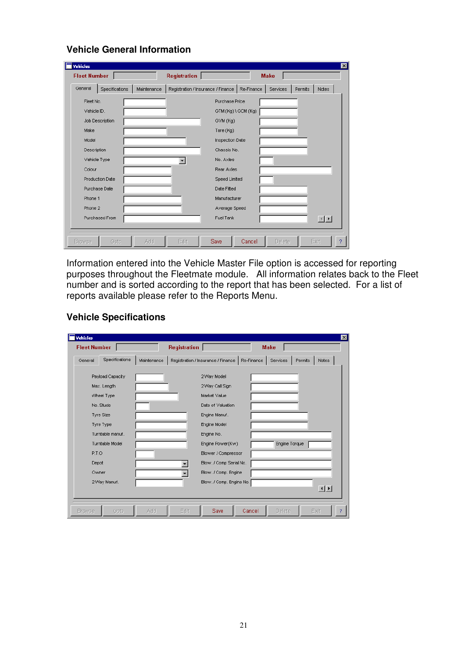| <b>Fleet Number</b> |                        |             | <b>Registration</b>                             |                        | <b>Make</b> |         |                        |
|---------------------|------------------------|-------------|-------------------------------------------------|------------------------|-------------|---------|------------------------|
| General             | Specifications         | Maintenance | Registration / Insurance / Finance   Re-Finance |                        | Services    | Permits | Notes                  |
| Fleet No.           |                        |             |                                                 | Purchase Price         |             |         |                        |
| Vehicle ID.         |                        |             |                                                 | GTM (Kg) \ GCM (Kg)    |             |         |                        |
|                     | Job Description        |             |                                                 | GVM (Kg)               |             |         |                        |
| Make                |                        |             |                                                 | Tare (Kg)              |             |         |                        |
| Model               |                        |             |                                                 | <b>Inspection Date</b> |             |         |                        |
| Description         |                        |             |                                                 | Chassis No.            |             |         |                        |
|                     | Vehicle Type           |             |                                                 | No. Axles              |             |         |                        |
| Colour              |                        |             |                                                 | Rear Axles             |             |         |                        |
|                     | <b>Production Date</b> |             |                                                 | Speed Limited          |             |         |                        |
|                     | Purchase Date          |             |                                                 | Date Fitted            |             |         |                        |
| Phone 1             |                        |             |                                                 | Manufacturer           |             |         |                        |
| Phone 2             |                        |             |                                                 | Average Speed          |             |         |                        |
|                     | Purchased From         |             |                                                 | <b>Fuel Tank</b>       |             |         | $\left  \cdot \right $ |
|                     |                        |             |                                                 |                        |             |         |                        |

**Vehicle General Information** 

Information entered into the Vehicle Master File option is accessed for reporting purposes throughout the Fleetmate module. All information relates back to the Fleet number and is sorted according to the report that has been selected. For a list of reports available please refer to the Reports Menu.

#### **Vehicle Specifications**

| Vehicles<br><b>Fleet Number</b> |                  |             | Registration |                                    |            | <b>Make</b>   |         |                        |
|---------------------------------|------------------|-------------|--------------|------------------------------------|------------|---------------|---------|------------------------|
| General                         | Specifications   | Maintenance |              | Registration / Insurance / Finance | Re-Finance | Services      | Permits | Notes                  |
|                                 | Payload Capacity |             |              | 2 Way Model                        |            |               |         |                        |
|                                 | Max. Length      |             |              | 2 Way Call Sign                    |            |               |         |                        |
|                                 | Wheel Type       |             |              | Market Value                       |            |               |         |                        |
|                                 | No. Studs        |             |              | Date of Valuation                  |            |               |         |                        |
|                                 | <b>Tyre Size</b> |             |              | Engine Manuf.                      |            |               |         |                        |
|                                 | Tyre Type        |             |              | Engine Model                       |            |               |         |                        |
|                                 | Turntable manuf. |             |              | Engine No.                         |            |               |         |                        |
|                                 | Turntable Model  |             |              | Engine Power(Kw)                   |            | Engine Torque |         |                        |
| P.T.O                           |                  |             |              | Blower / Compressor                |            |               |         |                        |
| Depot                           |                  |             |              | Blow. / Comp Serial No.            |            |               |         |                        |
| Owner                           |                  |             |              | Blow. / Comp. Engine               |            |               |         |                        |
|                                 | 2 Way Manuf.     |             |              | Blow. / Comp. Engine No.           |            |               |         |                        |
|                                 |                  |             |              |                                    |            |               |         | $\left  \cdot \right $ |
| <b>Browse</b>                   | Goto             | Add         | Edit         | Save                               | Cancel     | Delete        |         | Exit                   |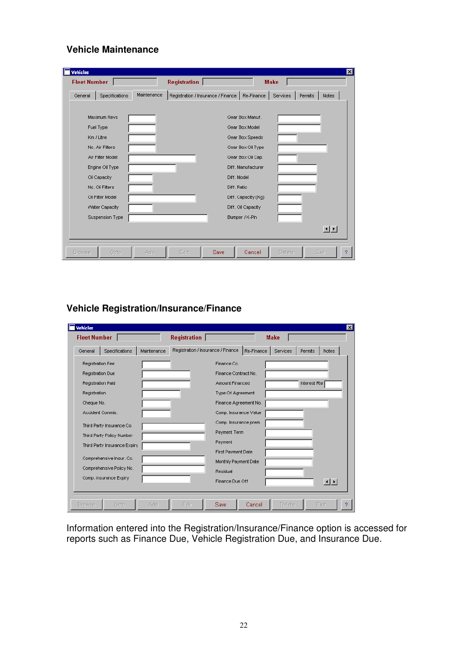#### **Vehicle Maintenance**

| <b>Fleet Number</b> |                  |             | Registration                                    |                     | <b>Make</b> |               |         |               |
|---------------------|------------------|-------------|-------------------------------------------------|---------------------|-------------|---------------|---------|---------------|
| General             | Specifications   | Maintenance | Registration / Insurance / Finance   Re-Finance |                     |             | Services      | Permits | Notes         |
|                     | Maximum Revs     |             |                                                 | Gear Box Manuf.     |             |               |         |               |
|                     | Fuel Type        |             |                                                 | Gear Box Model      |             |               |         |               |
|                     | Km / Litre       |             |                                                 | Gear Box Speeds     |             |               |         |               |
|                     | No. Air Filters  |             | Gear Box Oil Type                               |                     |             |               |         |               |
|                     | Air Filter Model |             | Gear Box Oil Cap.                               |                     |             |               |         |               |
|                     | Engine Oil Type  |             | Diff. Manufacturer                              |                     |             |               |         |               |
|                     | Oil Capacity     |             | Diff, Model                                     |                     |             |               |         |               |
|                     | No. Oil Filters  |             | Diff, Ratio                                     |                     |             |               |         |               |
|                     | Oil Filter Model |             |                                                 | Diff. Capacity (Kg) |             |               |         |               |
|                     | Water Capacity   |             |                                                 | Diff. Oil Capacity  |             |               |         |               |
|                     | Suspension Type  |             |                                                 | Bumper / K-Pin      |             |               |         |               |
|                     |                  |             |                                                 |                     |             |               |         | $\frac{1}{2}$ |
|                     |                  |             |                                                 |                     |             |               |         |               |
| <b>Browse</b>       | Goto             | Add         | Edit<br>Save                                    |                     | Cancel      | <b>Delete</b> |         | Exit          |

### **Vehicle Registration/Insurance/Finance**

| Vehicles                     |             |                                    |                                            | $\vert x \vert$ |
|------------------------------|-------------|------------------------------------|--------------------------------------------|-----------------|
| <b>Fleet Number</b>          |             | <b>Registration</b>                | <b>Make</b>                                |                 |
| Specifications<br>General    | Maintenance | Registration / Insurance / Finance | Re-Finance<br>Services<br>Permits<br>Notes |                 |
| Registration Fee             |             | Finance Co.                        |                                            |                 |
| Registration Due             |             | Finance Contract No.               |                                            |                 |
| Registration Paid            |             | <b>Amount Financed</b>             | Interest Rte                               |                 |
| Registration                 |             | Type Of Agreement                  |                                            |                 |
| Cheque No.                   |             | Finance Agreement No.              |                                            |                 |
| Accident Commis.             |             | Comp. Insurance Value              |                                            |                 |
| Third Party Insurance Co.    |             | Comp. Insurance prem.              |                                            |                 |
| Third Party Policy Number    |             | Payment Term                       |                                            |                 |
| Third Party Insurance Expiry |             | Payment                            |                                            |                 |
| Comprehensive Insur. Co.     |             | First Payment Date                 |                                            |                 |
| Comprehensive Policy No.     |             | Monthly Payment Date               |                                            |                 |
| Comp. Insurance Expiry       |             | Residual                           |                                            |                 |
|                              |             | Finance Due Off                    | $\left  \cdot \right $                     |                 |
|                              |             |                                    |                                            |                 |
| <b>Browse</b><br>Goto        | Add         | Edit<br>Save                       | Cancel<br>Delete<br>Exit                   |                 |

Information entered into the Registration/Insurance/Finance option is accessed for reports such as Finance Due, Vehicle Registration Due, and Insurance Due.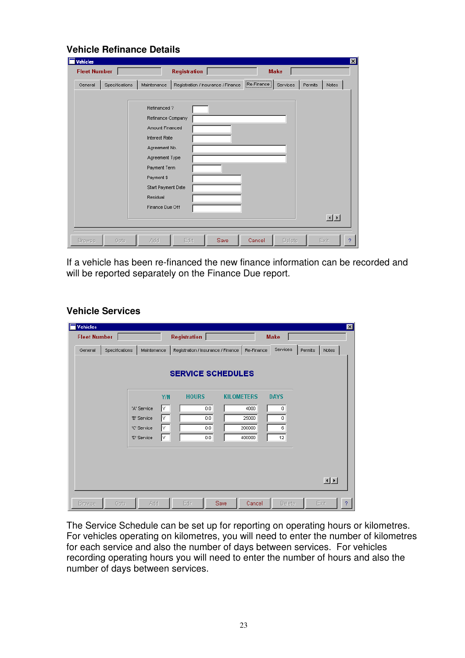| Vehicles            |                |                      |                                    |                            |                                                                                                                                                                                                                                                                                                                                                                                                                                                                |
|---------------------|----------------|----------------------|------------------------------------|----------------------------|----------------------------------------------------------------------------------------------------------------------------------------------------------------------------------------------------------------------------------------------------------------------------------------------------------------------------------------------------------------------------------------------------------------------------------------------------------------|
| <b>Fleet Number</b> |                |                      | <b>Registration</b>                | <b>Make</b>                |                                                                                                                                                                                                                                                                                                                                                                                                                                                                |
| General             | Specifications | Maintenance          | Registration / Insurance / Finance | $[Re-Finance]$<br>Services | Permits<br>Notes                                                                                                                                                                                                                                                                                                                                                                                                                                               |
|                     |                |                      |                                    |                            |                                                                                                                                                                                                                                                                                                                                                                                                                                                                |
|                     |                | Refinanced?          |                                    |                            |                                                                                                                                                                                                                                                                                                                                                                                                                                                                |
|                     |                | Refinance Company    |                                    |                            |                                                                                                                                                                                                                                                                                                                                                                                                                                                                |
|                     |                | Amount Financed      |                                    |                            |                                                                                                                                                                                                                                                                                                                                                                                                                                                                |
|                     |                | <b>Interest Rate</b> |                                    |                            |                                                                                                                                                                                                                                                                                                                                                                                                                                                                |
|                     |                | Agreement No.        |                                    |                            |                                                                                                                                                                                                                                                                                                                                                                                                                                                                |
|                     |                | Agreement Type       |                                    |                            |                                                                                                                                                                                                                                                                                                                                                                                                                                                                |
|                     |                | Payment Term         |                                    |                            |                                                                                                                                                                                                                                                                                                                                                                                                                                                                |
|                     |                | Payment \$           |                                    |                            |                                                                                                                                                                                                                                                                                                                                                                                                                                                                |
|                     |                | Start Payment Date   |                                    |                            |                                                                                                                                                                                                                                                                                                                                                                                                                                                                |
|                     |                | Residual             |                                    |                            |                                                                                                                                                                                                                                                                                                                                                                                                                                                                |
|                     |                | Finance Due Off      |                                    |                            |                                                                                                                                                                                                                                                                                                                                                                                                                                                                |
|                     |                |                      |                                    |                            | $\begin{array}{c c c c c} \hline \multicolumn{1}{c }{\textbf{1}} & \multicolumn{1}{c }{\textbf{1}} & \multicolumn{1}{c }{\textbf{2}} \\ \hline \multicolumn{1}{c }{\textbf{3}} & \multicolumn{1}{c }{\textbf{4}} & \multicolumn{1}{c }{\textbf{5}} \\ \hline \multicolumn{1}{c }{\textbf{5}} & \multicolumn{1}{c }{\textbf{6}} & \multicolumn{1}{c }{\textbf{7}} \\ \hline \multicolumn{1}{c }{\textbf{6}} & \multicolumn{1}{c }{\textbf{7}} & \multicolumn{1$ |
|                     |                |                      |                                    |                            |                                                                                                                                                                                                                                                                                                                                                                                                                                                                |
| <b>Browse</b>       | Goto           | Add                  | Edit<br>Save                       | Cancel<br>Delete           | Exit                                                                                                                                                                                                                                                                                                                                                                                                                                                           |

If a vehicle has been re-financed the new finance information can be recorded and will be reported separately on the Finance Due report.

### **Vehicle Services**

**Vehicle Refinance Details** 

| <b>Vehicles</b>     |                |             |     |              |                                                 |        |                |         |              | 図                |
|---------------------|----------------|-------------|-----|--------------|-------------------------------------------------|--------|----------------|---------|--------------|------------------|
| <b>Fleet Number</b> |                |             |     | Registration |                                                 |        | <b>Make</b>    |         |              |                  |
| General             | Specifications | Maintenance |     |              | Registration / Insurance / Finance   Re-Finance |        | Services       | Permits | <b>Notes</b> |                  |
|                     |                |             |     |              | <b>SERVICE SCHEDULES</b>                        |        |                |         |              |                  |
|                     |                |             | Y/N | <b>HOURS</b> | <b>KILOMETERS</b>                               |        | <b>DAYS</b>    |         |              |                  |
|                     |                | 'A' Service | lY. | 0.0          |                                                 | 4000   | $\mathbf 0$    |         |              |                  |
|                     |                | 'B' Service | lY. | 0.0          |                                                 | 25000  | $\overline{0}$ |         |              |                  |
|                     |                | 'C' Service | lY. | 0.0          |                                                 | 200000 | 6              |         |              |                  |
|                     |                | 'D' Service | l۲. | 0.0          |                                                 | 400000 | 12             |         |              |                  |
|                     |                |             |     |              |                                                 |        |                |         |              |                  |
|                     |                |             |     |              |                                                 |        |                |         |              |                  |
|                     |                |             |     |              |                                                 |        |                |         | 回回           |                  |
| <b>Browse</b>       | Goto           | Add         |     | Edit         | Save                                            | Cancel | Delete         |         | Exit         | $\boldsymbol{?}$ |

The Service Schedule can be set up for reporting on operating hours or kilometres. For vehicles operating on kilometres, you will need to enter the number of kilometres for each service and also the number of days between services. For vehicles recording operating hours you will need to enter the number of hours and also the number of days between services.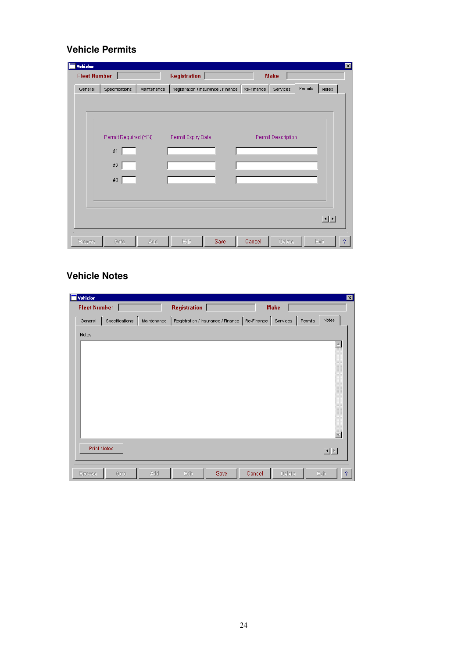### **Vehicle Permits**

| <b>Fleet Number</b> |                       |             | Registration                                               |  | <b>Make</b>        |         |                                                                                                                                                                                                                                                                                                                                                                                                                                                                 |
|---------------------|-----------------------|-------------|------------------------------------------------------------|--|--------------------|---------|-----------------------------------------------------------------------------------------------------------------------------------------------------------------------------------------------------------------------------------------------------------------------------------------------------------------------------------------------------------------------------------------------------------------------------------------------------------------|
| General             | Specifications        | Maintenance | Registration / Insurance / Finance   Re-Finance   Services |  |                    | Permits | Notes                                                                                                                                                                                                                                                                                                                                                                                                                                                           |
|                     |                       |             |                                                            |  |                    |         |                                                                                                                                                                                                                                                                                                                                                                                                                                                                 |
|                     |                       |             |                                                            |  |                    |         |                                                                                                                                                                                                                                                                                                                                                                                                                                                                 |
|                     | Permit Required (Y/N) |             | Permit Expiry Date                                         |  | Permit Description |         |                                                                                                                                                                                                                                                                                                                                                                                                                                                                 |
|                     | #1                    |             |                                                            |  |                    |         |                                                                                                                                                                                                                                                                                                                                                                                                                                                                 |
|                     | $\#2$                 |             |                                                            |  |                    |         |                                                                                                                                                                                                                                                                                                                                                                                                                                                                 |
|                     | $\#3$                 |             |                                                            |  |                    |         |                                                                                                                                                                                                                                                                                                                                                                                                                                                                 |
|                     |                       |             |                                                            |  |                    |         |                                                                                                                                                                                                                                                                                                                                                                                                                                                                 |
|                     |                       |             |                                                            |  |                    |         |                                                                                                                                                                                                                                                                                                                                                                                                                                                                 |
|                     |                       |             |                                                            |  |                    |         | $\begin{array}{c c c c c} \hline \multicolumn{3}{c }{\textbf{1}} & \multicolumn{3}{c }{\textbf{1}} \\ \hline \multicolumn{3}{c }{\textbf{2}} & \multicolumn{3}{c }{\textbf{3}} & \multicolumn{3}{c }{\textbf{4}} \\ \hline \multicolumn{3}{c }{\textbf{5}} & \multicolumn{3}{c }{\textbf{6}} & \multicolumn{3}{c }{\textbf{7}} \\ \hline \multicolumn{3}{c }{\textbf{6}} & \multicolumn{3}{c }{\textbf{7}} & \multicolumn{3}{c }{\textbf{8}} \\ \hline \multic$ |
|                     |                       |             |                                                            |  |                    |         |                                                                                                                                                                                                                                                                                                                                                                                                                                                                 |

### **Vehicle Notes**

| <b>Vehicles</b>    |                |             |              |                                                 |        |             |         | $\mathbf{x}$                   |
|--------------------|----------------|-------------|--------------|-------------------------------------------------|--------|-------------|---------|--------------------------------|
| Fleet Number       |                |             | Registration |                                                 |        | <b>Make</b> |         |                                |
| General            | Specifications | Maintenance |              | Registration / Insurance / Finance   Re-Finance |        | Services    | Permits | Notes                          |
| Notes              |                |             |              |                                                 |        |             |         |                                |
|                    |                |             |              |                                                 |        |             |         | Ä.<br>$\overline{\phantom{a}}$ |
| <b>Print Notes</b> |                |             |              |                                                 |        |             |         | 国国                             |
| Browse             | Goto           | Add         | Edit         | Save                                            | Cancel | Delete      |         | Exit<br>$\boldsymbol{?}$       |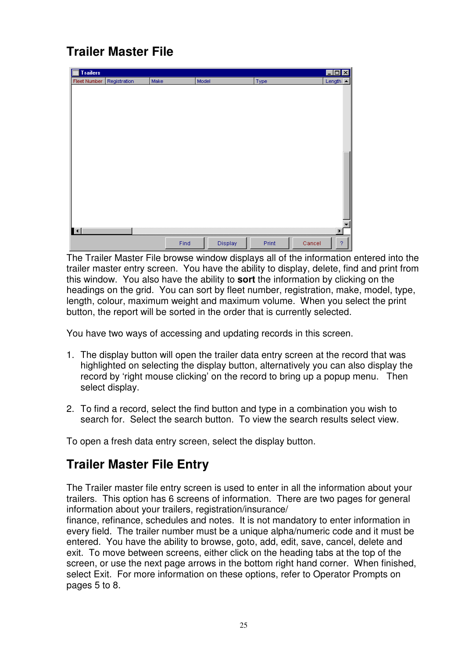### **Trailer Master File**

| E<br>Trailers |              |      |         |       | $\overline{\mathbf{x}}$<br>$\Box$ |
|---------------|--------------|------|---------|-------|-----------------------------------|
| Fleet Number  | Registration | Make | Model   | Type  | Length<br>$\blacktriangle$        |
|               |              |      |         |       |                                   |
|               |              |      |         |       |                                   |
|               |              |      |         |       |                                   |
|               |              |      |         |       |                                   |
|               |              |      |         |       |                                   |
|               |              |      |         |       |                                   |
|               |              |      |         |       |                                   |
|               |              |      |         |       |                                   |
|               |              |      |         |       |                                   |
|               |              |      |         |       |                                   |
|               |              |      |         |       |                                   |
|               |              |      |         |       |                                   |
|               |              |      |         |       |                                   |
|               |              |      |         |       |                                   |
|               |              |      |         |       |                                   |
|               |              |      |         |       |                                   |
| $\mathbf{H}$  |              |      |         |       | $\blacktriangleright$             |
|               |              |      |         |       |                                   |
|               |              | Find | Display | Print | ?<br>Cancel                       |

The Trailer Master File browse window displays all of the information entered into the trailer master entry screen. You have the ability to display, delete, find and print from this window. You also have the ability to **sort** the information by clicking on the headings on the grid. You can sort by fleet number, registration, make, model, type, length, colour, maximum weight and maximum volume. When you select the print button, the report will be sorted in the order that is currently selected.

You have two ways of accessing and updating records in this screen.

- 1. The display button will open the trailer data entry screen at the record that was highlighted on selecting the display button, alternatively you can also display the record by 'right mouse clicking' on the record to bring up a popup menu. Then select display.
- 2. To find a record, select the find button and type in a combination you wish to search for. Select the search button. To view the search results select view.

To open a fresh data entry screen, select the display button.

### **Trailer Master File Entry**

The Trailer master file entry screen is used to enter in all the information about your trailers. This option has 6 screens of information. There are two pages for general information about your trailers, registration/insurance/

finance, refinance, schedules and notes. It is not mandatory to enter information in every field. The trailer number must be a unique alpha/numeric code and it must be entered. You have the ability to browse, goto, add, edit, save, cancel, delete and exit. To move between screens, either click on the heading tabs at the top of the screen, or use the next page arrows in the bottom right hand corner. When finished, select Exit. For more information on these options, refer to Operator Prompts on pages 5 to 8.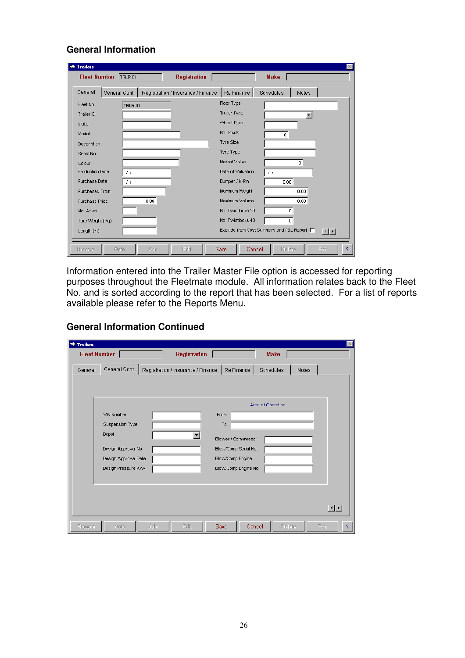### **General Information**

| <b>Trailers</b><br>Fleet Number TRLR 01 |               | <b>Registration</b>                |                                            | <b>Make</b>    |                        |
|-----------------------------------------|---------------|------------------------------------|--------------------------------------------|----------------|------------------------|
| General                                 | General Cont. | Registration / Insurance / Finance | Re Finance                                 | Schedules      | Notes                  |
| Fleet No.                               | TRLR 01       |                                    | Floor Type                                 |                |                        |
| Trailer ID.                             |               |                                    | <b>Trailer Type</b>                        |                |                        |
| Make                                    |               |                                    | Wheel Type                                 |                |                        |
| Model                                   |               |                                    | No. Studs                                  | $\overline{0}$ |                        |
| Description                             |               |                                    | <b>Tyre Size</b>                           |                |                        |
| Serial No                               |               |                                    | Tyre Type                                  |                |                        |
| Colour                                  |               |                                    | Market Value                               |                | $\Omega$               |
| <b>Production Date</b>                  | $\pm$         |                                    | Date of Valuation                          | $\pm$          |                        |
| Purchase Date                           | $\pm$         |                                    | Bumper / K-Pin                             | 0.00           |                        |
| Purchased From                          |               |                                    | Maximum Weight                             |                | 0.00                   |
| Purchase Price                          | 0.00.         |                                    | Maximum Volume                             |                | 0.00                   |
| No. Axles                               |               |                                    | No. Twistlocks 20                          | 0              |                        |
| Tare Weight (Kg)                        |               |                                    | No. Twistlocks 40                          | $\circ$        |                        |
| Length (m)                              |               |                                    | Exclude from Cost Summary and P&L Report □ |                | $\left  \cdot \right $ |
| <b>Browse</b>                           | Add<br>Gota   | Edit                               | Save<br>Cancel                             | Delete         | Exit                   |

Information entered into the Trailer Master File option is accessed for reporting purposes throughout the Fleetmate module. All information relates back to the Fleet No. and is sorted according to the report that has been selected. For a list of reports available please refer to the Reports Menu.

| <b>We Trailers</b>  |                                                                                         | $\times$ |
|---------------------|-----------------------------------------------------------------------------------------|----------|
| <b>Fleet Number</b> | <b>Registration</b><br><b>Make</b>                                                      |          |
| General             | General Cont.<br>Re Finance<br>Registration / Insurance / Finance<br>Schedules<br>Notes |          |
|                     | Area of Operation                                                                       |          |
|                     | From<br>VIN Number                                                                      |          |
|                     | Suspension Type<br>To                                                                   |          |
|                     | Depot<br>Blower / Compressor                                                            |          |
|                     | Design Approval No.<br>Blow/Comp Serial No.                                             |          |
|                     | Design Approval Date<br>Blow/Comp Engine                                                |          |
|                     | Design Pressure KPA<br>Blow/Comp Engine No.                                             |          |
|                     |                                                                                         |          |
|                     |                                                                                         |          |
|                     |                                                                                         |          |
|                     | 고피                                                                                      |          |
| <b>Browse</b>       | Edit<br>Save<br>Cancel<br>Delete<br>Add<br>Exit<br>Goto                                 | 2        |

**General Information Continued**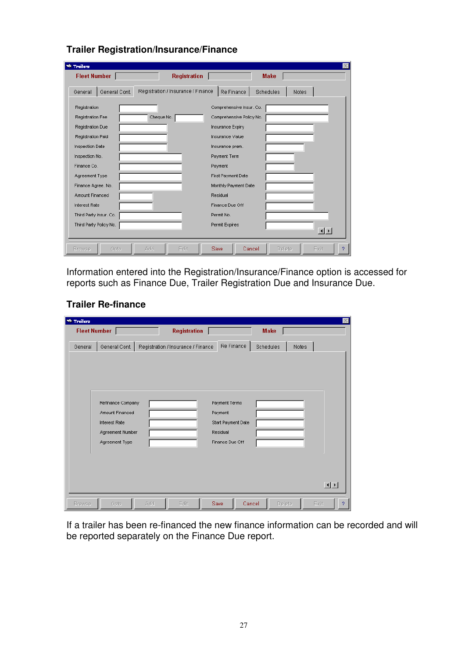| <b>Trailers</b><br><b>Fleet Number</b> | <b>Registration</b>                | <b>Make</b>                                    |  |  |  |  |  |
|----------------------------------------|------------------------------------|------------------------------------------------|--|--|--|--|--|
| General Cont.<br>General               | Registration / Insurance / Finance | Re Finance<br><b>Schedules</b><br><b>Notes</b> |  |  |  |  |  |
| Registration                           |                                    | Comprehensive Insur. Co.                       |  |  |  |  |  |
| Registration Fee                       | Cheque No.                         | Comprehensive Policy No.                       |  |  |  |  |  |
| Registration Due                       |                                    | Insurance Expiry                               |  |  |  |  |  |
| Registration Paid                      |                                    | Insurance Value                                |  |  |  |  |  |
| Inspection Date                        |                                    | Insurance prem.                                |  |  |  |  |  |
| Inspection No.                         |                                    | Payment Term                                   |  |  |  |  |  |
| Finance Co.                            |                                    | Payment                                        |  |  |  |  |  |
| Agreement Type                         |                                    | First Payment Date                             |  |  |  |  |  |
| Finance Agree, No.                     |                                    | Monthly Payment Date                           |  |  |  |  |  |
| Amount Financed                        |                                    | Residual                                       |  |  |  |  |  |
| <b>Interest Rate</b>                   |                                    | Finance Due Off                                |  |  |  |  |  |
| Third Party Insur. Co.                 |                                    | Permit No.                                     |  |  |  |  |  |
| Third Party Policy No.                 |                                    | Permit Expires                                 |  |  |  |  |  |
|                                        |                                    | $\left  \cdot \right $                         |  |  |  |  |  |
| <b>Browse</b><br>Goto                  | Edit<br>Add                        | Save<br>Cancel<br>Delete<br>Exit               |  |  |  |  |  |

### **Trailer Registration/Insurance/Finance**

Information entered into the Registration/Insurance/Finance option is accessed for reports such as Finance Due, Trailer Registration Due and Insurance Due.

### **Trailer Re-finance**

| <b>We Trailers</b>  |                                                                                                    |     |                                    |                                                                               |           |        | $\mathbb{X}$                 |
|---------------------|----------------------------------------------------------------------------------------------------|-----|------------------------------------|-------------------------------------------------------------------------------|-----------|--------|------------------------------|
| <b>Fleet Number</b> |                                                                                                    |     | <b>Registration</b>                |                                                                               | Make      |        |                              |
| General             | General Cont.                                                                                      |     | Registration / Insurance / Finance | Re Finance                                                                    | Schedules |        | Notes                        |
|                     | Refinance Company<br>Amount Financed<br><b>Interest Rate</b><br>Agreement Number<br>Agreement Type |     |                                    | Payment Terms<br>Payment<br>Start Payment Date<br>Residual<br>Finance Due Off |           |        |                              |
| <b>Browse</b>       | Goto                                                                                               | Add | Edit                               | Save                                                                          | Cancel    | Delete | 回回<br>Exit<br>$\overline{?}$ |

If a trailer has been re-financed the new finance information can be recorded and will be reported separately on the Finance Due report.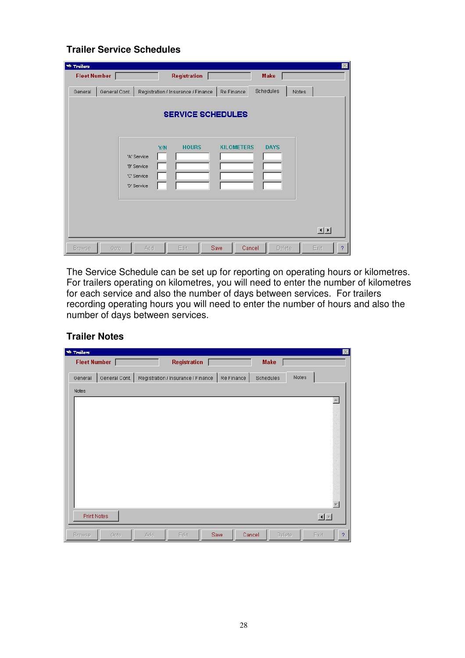### **Trailer Service Schedules**

| <b>We Trailers</b> |                                                          |                                                                |      |                   |                    | $\times$                     |
|--------------------|----------------------------------------------------------|----------------------------------------------------------------|------|-------------------|--------------------|------------------------------|
| Fleet Number       |                                                          | <b>Registration</b>                                            |      |                   | <b>Make</b>        |                              |
| General            | General Cont.                                            | Registration / Insurance / Finance<br><b>SERVICE SCHEDULES</b> |      | Re Finance        | Schedules<br>Notes |                              |
|                    | 'A' Service<br>'B' Service<br>'C' Service<br>'D' Service | <b>HOURS</b><br>Y/N                                            |      | <b>KILOMETERS</b> | <b>DAYS</b>        |                              |
| <b>Browse</b>      | Add<br>Goto                                              | Edit                                                           | Save | Cancel            | Delete             | 回回<br>Exit<br>$\overline{?}$ |

The Service Schedule can be set up for reporting on operating hours or kilometres. For trailers operating on kilometres, you will need to enter the number of kilometres for each service and also the number of days between services. For trailers recording operating hours you will need to enter the number of hours and also the number of days between services.

#### **Trailer Notes**

| <b>W</b> Trailers        |                                                  | $\times$                                   |
|--------------------------|--------------------------------------------------|--------------------------------------------|
| <b>Fleet Number</b>      | <b>Registration</b>                              | Make                                       |
| General Cont.<br>General | Re Finance<br>Registration / Insurance / Finance | Notes<br>Schedules                         |
| Notes                    |                                                  |                                            |
|                          |                                                  |                                            |
|                          |                                                  |                                            |
| <b>Print Notes</b>       |                                                  | $\underline{\blacksquare}$                 |
| <b>Browse</b><br>Goto    | Save<br>Add<br>Edit                              | Cancel<br>Exit<br>Delete<br>$\overline{?}$ |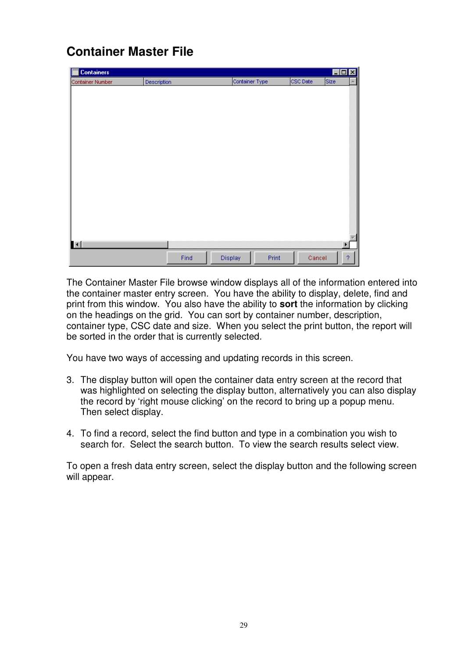### **Container Master File**

| <b>Containers</b> |             |                  | $\blacksquare$ $\blacksquare$ |
|-------------------|-------------|------------------|-------------------------------|
| Container Number  | Description | Container Type   | CSC Date<br>Size              |
|                   |             |                  |                               |
|                   |             |                  |                               |
|                   |             |                  |                               |
|                   |             |                  |                               |
|                   |             |                  |                               |
|                   |             |                  |                               |
|                   |             |                  |                               |
|                   |             |                  |                               |
|                   |             |                  |                               |
|                   |             |                  |                               |
|                   |             |                  |                               |
|                   |             |                  |                               |
|                   |             |                  |                               |
|                   |             |                  |                               |
|                   |             |                  |                               |
|                   |             |                  |                               |
| $\blacksquare$    |             |                  | ¥                             |
|                   |             |                  |                               |
|                   | Find        | Display<br>Print | $\boldsymbol{?}$<br>Cancel    |

The Container Master File browse window displays all of the information entered into the container master entry screen. You have the ability to display, delete, find and print from this window. You also have the ability to **sort** the information by clicking on the headings on the grid. You can sort by container number, description, container type, CSC date and size. When you select the print button, the report will be sorted in the order that is currently selected.

You have two ways of accessing and updating records in this screen.

- 3. The display button will open the container data entry screen at the record that was highlighted on selecting the display button, alternatively you can also display the record by 'right mouse clicking' on the record to bring up a popup menu. Then select display.
- 4. To find a record, select the find button and type in a combination you wish to search for. Select the search button. To view the search results select view.

To open a fresh data entry screen, select the display button and the following screen will appear.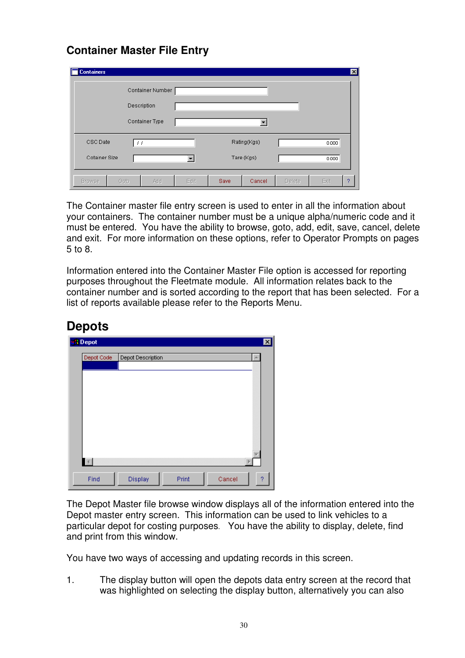### **Container Master File Entry**

| <b>Containers</b> |                        |                  |      |      |             |        | ⊠         |
|-------------------|------------------------|------------------|------|------|-------------|--------|-----------|
|                   |                        | Container Number |      |      |             |        |           |
| Description       |                        |                  |      |      |             |        |           |
|                   |                        | Container Type   |      |      |             |        |           |
| CSC Date          | $\left  \cdot \right $ |                  |      |      | Rating(Kgs) |        | 0.000     |
| Cotainer Size     |                        |                  |      |      | Tare (Kgs)  |        | 0.000     |
| <b>Browse</b>     | Goto                   | Add              | Edit | Save | Cancel      | Delete | Exit<br>? |

The Container master file entry screen is used to enter in all the information about your containers. The container number must be a unique alpha/numeric code and it must be entered. You have the ability to browse, goto, add, edit, save, cancel, delete and exit. For more information on these options, refer to Operator Prompts on pages 5 to 8.

Information entered into the Container Master File option is accessed for reporting purposes throughout the Fleetmate module. All information relates back to the container number and is sorted according to the report that has been selected. For a list of reports available please refer to the Reports Menu.

|            | Depot Description |  | A |
|------------|-------------------|--|---|
| Depot Code |                   |  |   |
|            |                   |  |   |
|            |                   |  |   |
|            |                   |  |   |
|            |                   |  |   |
|            |                   |  |   |
|            |                   |  |   |
|            |                   |  |   |
|            |                   |  |   |
|            |                   |  |   |
|            |                   |  |   |
|            |                   |  |   |
|            |                   |  |   |

### **Depots**

The Depot Master file browse window displays all of the information entered into the Depot master entry screen. This information can be used to link vehicles to a particular depot for costing purposes. You have the ability to display, delete, find and print from this window.

You have two ways of accessing and updating records in this screen.

1. The display button will open the depots data entry screen at the record that was highlighted on selecting the display button, alternatively you can also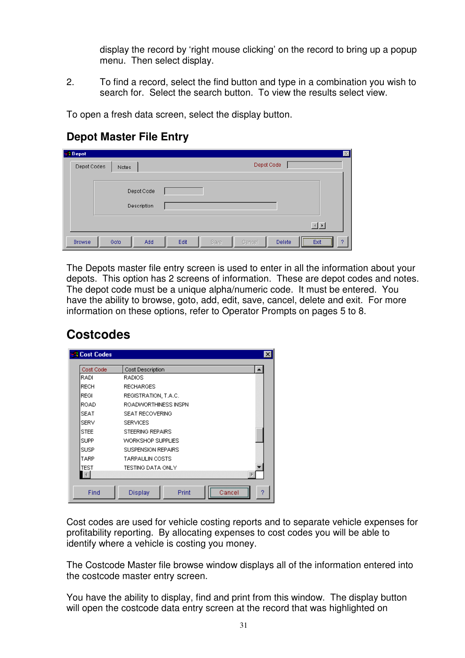display the record by 'right mouse clicking' on the record to bring up a popup menu. Then select display.

2. To find a record, select the find button and type in a combination you wish to search for. Select the search button. To view the results select view.

To open a fresh data screen, select the display button.

### **Depot Master File Entry**

| all Depot     |                           | $\vert x \vert$                                   |  |
|---------------|---------------------------|---------------------------------------------------|--|
| Depot Codes   | <b>Notes</b>              | Depot Code                                        |  |
|               | Depot Code<br>Description |                                                   |  |
|               |                           | $\left \left \left \left \right \right \right $   |  |
| <b>Browse</b> | Goto<br>Add               | Edit<br>Save<br>Cancel<br>Delete<br>Exit<br>2<br> |  |

The Depots master file entry screen is used to enter in all the information about your depots. This option has 2 screens of information. These are depot codes and notes. The depot code must be a unique alpha/numeric code. It must be entered. You have the ability to browse, goto, add, edit, save, cancel, delete and exit. For more information on these options, refer to Operator Prompts on pages 5 to 8.

### **Costcodes**

| Cost Code   | Cost Description<br>▲     |
|-------------|---------------------------|
| RADI        | RADIOS.                   |
| <b>RECH</b> | <b>RECHARGES</b>          |
| <b>REGI</b> | REGISTRATION, T.A.C.      |
| <b>ROAD</b> | ROADWORTHINESS INSPN      |
| <b>SEAT</b> | SEAT RECOVERING           |
| <b>SERV</b> | <b>SERVICES</b>           |
| <b>STEE</b> | STEERING REPAIRS          |
| <b>SUPP</b> | <b>WORKSHOP SUPPLIES</b>  |
| <b>SUSP</b> | <b>SUSPENSION REPAIRS</b> |
| TARP        | <b>TARPAULIN COSTS</b>    |
| <b>TEST</b> | TESTING DATA ONLY         |
|             |                           |

Cost codes are used for vehicle costing reports and to separate vehicle expenses for profitability reporting. By allocating expenses to cost codes you will be able to identify where a vehicle is costing you money.

The Costcode Master file browse window displays all of the information entered into the costcode master entry screen.

You have the ability to display, find and print from this window. The display button will open the costcode data entry screen at the record that was highlighted on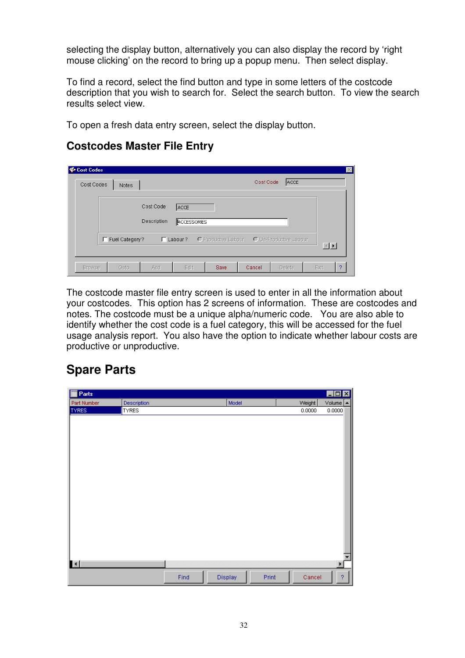selecting the display button, alternatively you can also display the record by 'right mouse clicking' on the record to bring up a popup menu. Then select display.

To find a record, select the find button and type in some letters of the costcode description that you wish to search for. Select the search button. To view the search results select view.

To open a fresh data entry screen, select the display button.

### **Costcodes Master File Entry**

| Cost Codes<br>Cost Codes | Notes            |             |                    |                     | Cost Code | ACCE                   | $\vert x \vert$        |
|--------------------------|------------------|-------------|--------------------|---------------------|-----------|------------------------|------------------------|
|                          |                  | Cost Code   | <b>ACCE</b>        |                     |           |                        |                        |
|                          |                  | Description | <b>ACCESSORIES</b> |                     |           |                        |                        |
|                          | F Fuel Category? |             | $\Gamma$ Labour ?  | O Productive Labour |           | O Un-Productive Labour | $\left  \cdot \right $ |
| <b>Browse</b>            | Goto             | Add         | Edit               | Save                | Cancel    | <b>Delete</b>          | Exit<br>?              |

The costcode master file entry screen is used to enter in all the information about your costcodes. This option has 2 screens of information. These are costcodes and notes. The costcode must be a unique alpha/numeric code. You are also able to identify whether the cost code is a fuel category, this will be accessed for the fuel usage analysis report. You also have the option to indicate whether labour costs are productive or unproductive.

### **Spare Parts**

| <b>I</b> Parts         |              |      |         |       |        | EOX                   |
|------------------------|--------------|------|---------|-------|--------|-----------------------|
| Part Number            | Description  |      | Model   |       | Weight | Volume <b>A</b>       |
| <b>TYRES</b>           | <b>TYRES</b> |      |         |       | 0.0000 | 0.0000                |
|                        |              |      |         |       |        |                       |
|                        |              |      |         |       |        |                       |
|                        |              |      |         |       |        |                       |
|                        |              |      |         |       |        |                       |
|                        |              |      |         |       |        |                       |
|                        |              |      |         |       |        |                       |
|                        |              |      |         |       |        |                       |
|                        |              |      |         |       |        |                       |
|                        |              |      |         |       |        |                       |
|                        |              |      |         |       |        |                       |
|                        |              |      |         |       |        |                       |
|                        |              |      |         |       |        |                       |
|                        |              |      |         |       |        |                       |
|                        |              |      |         |       |        |                       |
|                        |              |      |         |       |        |                       |
|                        |              |      |         |       |        |                       |
|                        |              |      |         |       |        |                       |
|                        |              |      |         |       |        | ▼                     |
| $\left  \cdot \right $ |              |      |         |       |        | $\blacktriangleright$ |
|                        |              | Find | Display | Print | Cancel | ?                     |
|                        |              |      |         |       |        |                       |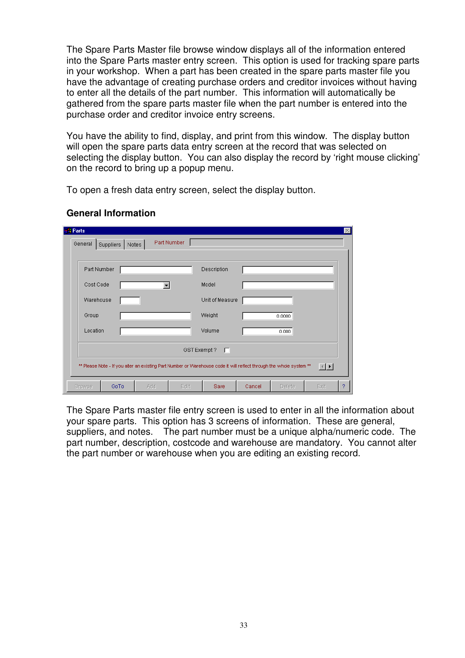The Spare Parts Master file browse window displays all of the information entered into the Spare Parts master entry screen. This option is used for tracking spare parts in your workshop. When a part has been created in the spare parts master file you have the advantage of creating purchase orders and creditor invoices without having to enter all the details of the part number. This information will automatically be gathered from the spare parts master file when the part number is entered into the purchase order and creditor invoice entry screens.

You have the ability to find, display, and print from this window. The display button will open the spare parts data entry screen at the record that was selected on selecting the display button. You can also display the record by 'right mouse clicking' on the record to bring up a popup menu.

To open a fresh data entry screen, select the display button.

| <b>I</b> Parts<br>General | Suppliers                                                                                                                           | Notes | Part Number |                 |        |        |      | $\times$ |  |  |
|---------------------------|-------------------------------------------------------------------------------------------------------------------------------------|-------|-------------|-----------------|--------|--------|------|----------|--|--|
| Part Number               |                                                                                                                                     |       |             | Description     |        |        |      |          |  |  |
| Cost Code                 |                                                                                                                                     |       |             | Model           |        |        |      |          |  |  |
| Warehouse                 |                                                                                                                                     |       |             | Unit of Measure |        |        |      |          |  |  |
| Group                     |                                                                                                                                     |       |             | Weight          |        | 0.0000 |      |          |  |  |
| Location                  |                                                                                                                                     |       |             | Volume          |        | 0.000  |      |          |  |  |
|                           |                                                                                                                                     |       | GST Exempt? | - E1            |        |        |      |          |  |  |
|                           | ** Please Note - If you alter an existing Part Number or Warehouse code it will reflect through the whole system **<br>$\mathbf{E}$ |       |             |                 |        |        |      |          |  |  |
| <b>Browse</b>             | GoTo                                                                                                                                | Add   | Edit        | Save            | Cancel | Delete | Exit | 2        |  |  |

#### **General Information**

The Spare Parts master file entry screen is used to enter in all the information about your spare parts. This option has 3 screens of information. These are general, suppliers, and notes. The part number must be a unique alpha/numeric code. The part number, description, costcode and warehouse are mandatory. You cannot alter the part number or warehouse when you are editing an existing record.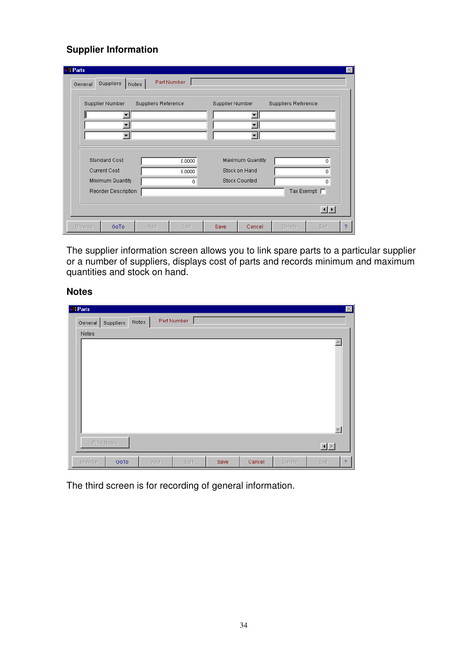### **Supplier Information**

| :1 Parts<br>General | <b>Suppliers</b>                                                | Notes                      | Part Number           |                 |                                                           |                            |                                  |   |
|---------------------|-----------------------------------------------------------------|----------------------------|-----------------------|-----------------|-----------------------------------------------------------|----------------------------|----------------------------------|---|
|                     | Supplier Number<br>$\overline{\phantom{a}}$                     | <b>Suppliers Reference</b> |                       | Supplier Number | ٠                                                         | <b>Suppliers Reference</b> |                                  |   |
|                     | <b>Standard Cost</b><br><b>Current Cost</b><br>Minimum Quantity |                            | 0.0000<br>0.0000<br>0 |                 | Maximum Quantity<br>Stock on Hand<br><b>Stock Counted</b> |                            | n<br>0<br>$\mathbf{0}$           |   |
| <b>Browse</b>       | Reorder Description<br>GoTo                                     | Add                        | Edit                  | Save            | Cancel                                                    | Delete                     | Tax Exempt $\Gamma$<br>回<br>Exit | 2 |

The supplier information screen allows you to link spare parts to a particular supplier or a number of suppliers, displays cost of parts and records minimum and maximum quantities and stock on hand.

#### **Notes**

| all Parts        |           |       |             |      |        |        | $\mathbbmss{}$         |
|------------------|-----------|-------|-------------|------|--------|--------|------------------------|
| General<br>Notes | Suppliers | Notes | Part Number |      |        |        |                        |
|                  |           |       |             |      |        |        | $\blacktriangle$<br>w  |
| Print Notes      |           |       |             |      |        |        |                        |
| <b>Browse</b>    | GoTo      | Add   | Edit        | Save | Cancel | Delete | $\overline{?}$<br>Exit |

The third screen is for recording of general information.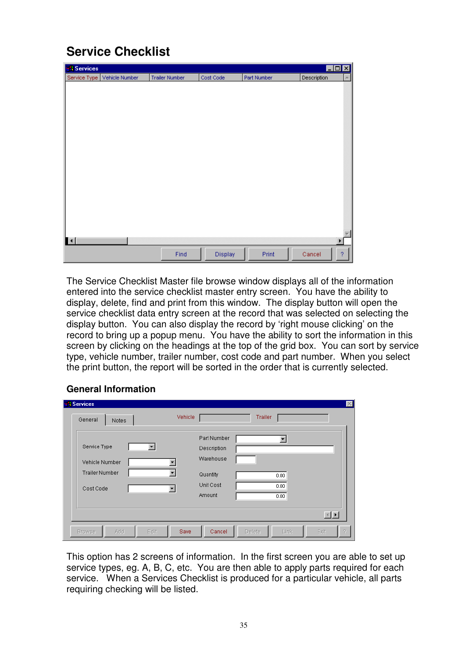**Service Checklist** 

| <b>Services</b>     |                |                       |           |             | $\Box$ o $\Box$   |
|---------------------|----------------|-----------------------|-----------|-------------|-------------------|
| Service Type        | Vehicle Number | <b>Trailer Number</b> | Cost Code | Part Number | Description<br>A. |
|                     |                |                       |           |             |                   |
|                     |                |                       |           |             |                   |
|                     |                |                       |           |             |                   |
|                     |                |                       |           |             |                   |
|                     |                |                       |           |             |                   |
|                     |                |                       |           |             |                   |
|                     |                |                       |           |             |                   |
|                     |                |                       |           |             |                   |
|                     |                |                       |           |             |                   |
|                     |                |                       |           |             |                   |
|                     |                |                       |           |             |                   |
|                     |                |                       |           |             |                   |
|                     |                |                       |           |             |                   |
|                     |                |                       |           |             |                   |
|                     |                |                       |           |             |                   |
|                     |                |                       |           |             |                   |
| $\vert \cdot \vert$ |                |                       |           |             |                   |
|                     |                |                       |           |             |                   |
|                     |                | Find                  | Display   | Print       | ?<br>Cancel       |

The Service Checklist Master file browse window displays all of the information entered into the service checklist master entry screen. You have the ability to display, delete, find and print from this window. The display button will open the service checklist data entry screen at the record that was selected on selecting the display button. You can also display the record by 'right mouse clicking' on the record to bring up a popup menu. You have the ability to sort the information in this screen by clicking on the headings at the top of the grid box. You can sort by service type, vehicle number, trailer number, cost code and part number. When you select the print button, the report will be sorted in the order that is currently selected.

### **General Information**

| General<br>Notes      | Vehicle |             | Trailer |  |
|-----------------------|---------|-------------|---------|--|
|                       |         | Part Number |         |  |
| Service Type          |         | Description |         |  |
| Vehicle Number        |         | Warehouse   |         |  |
| <b>Trailer Number</b> | ▼       | Quantity    | 0.00    |  |
| Cost Code             |         | Unit Cost   | 0.00    |  |
|                       |         | Amount      | 0.00    |  |
|                       |         |             |         |  |

This option has 2 screens of information. In the first screen you are able to set up service types, eg. A, B, C, etc. You are then able to apply parts required for each service. When a Services Checklist is produced for a particular vehicle, all parts requiring checking will be listed.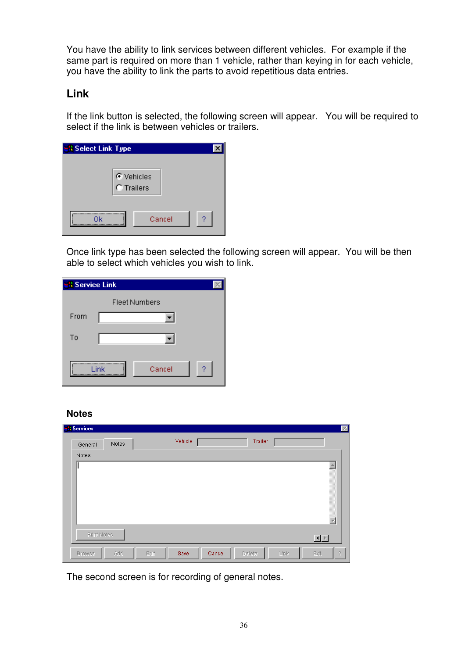You have the ability to link services between different vehicles. For example if the same part is required on more than 1 vehicle, rather than keying in for each vehicle, you have the ability to link the parts to avoid repetitious data entries.

### **Link**

If the link button is selected, the following screen will appear. You will be required to select if the link is between vehicles or trailers.

| <b>Select Link Type</b>  |             |
|--------------------------|-------------|
| ← Vehicles<br>C Trailers |             |
| Ok                       | ?<br>Cancel |

Once link type has been selected the following screen will appear. You will be then able to select which vehicles you wish to link.

| <b>Service Link</b> |                      |  |  |  |  |
|---------------------|----------------------|--|--|--|--|
|                     | <b>Fleet Numbers</b> |  |  |  |  |
| From                |                      |  |  |  |  |
| To                  |                      |  |  |  |  |
|                     | 2<br>Cancel<br>Link  |  |  |  |  |

#### **Notes**

| <b>Services</b> |       |         |         |        |        |         | $\mathbbmss{K}$ |
|-----------------|-------|---------|---------|--------|--------|---------|-----------------|
| General         | Notes |         | Vehicle |        |        | Trailer |                 |
| Notes           |       |         |         |        |        |         |                 |
|                 |       |         |         |        |        |         | A               |
| Print Notes     |       |         |         |        |        |         | 回回              |
| <b>Browse</b>   | Add   | $E$ dit | Save    | Cancel | Delete | Link    | Exit<br>?       |

The second screen is for recording of general notes.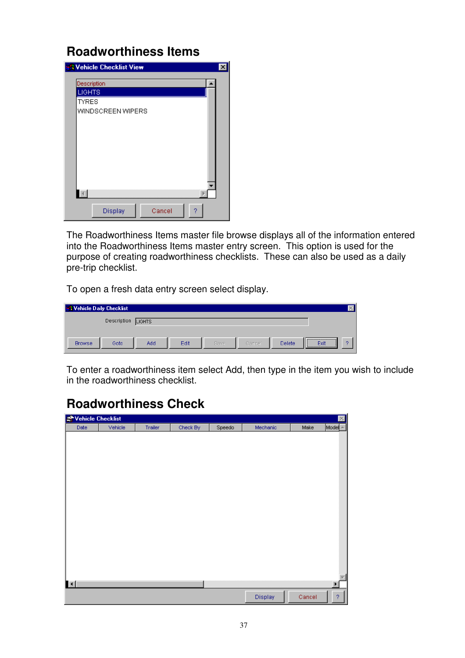### **Roadworthiness Items**



The Roadworthiness Items master file browse displays all of the information entered into the Roadworthiness Items master entry screen. This option is used for the purpose of creating roadworthiness checklists. These can also be used as a daily pre-trip checklist.

To open a fresh data entry screen select display.

| <b>SA Vehicle Daily Checklist</b> |             |               |      |      |        |        |                                                       |   |
|-----------------------------------|-------------|---------------|------|------|--------|--------|-------------------------------------------------------|---|
|                                   | Description | <b>LIGHTS</b> |      |      |        |        |                                                       |   |
| <b>Browse</b>                     | Goto        | Add           | Edit | Save | Cancel | Delete | ,,,,,,,,,,,,,,,,,,,,,,,,,,,,,,,,,<br>Exit<br><u>\</u> | 2 |

To enter a roadworthiness item select Add, then type in the item you wish to include in the roadworthiness checklist.

## **Roadworthiness Check**

| Vehicle Checklist   |         |         |          |        |          |        | $\mathbb{X}% _{0}^{\prime\prime}$ |
|---------------------|---------|---------|----------|--------|----------|--------|-----------------------------------|
| Date                | Vehicle | Trailer | Check By | Speedo | Mechanic | Make   | $Model -$                         |
|                     |         |         |          |        |          |        |                                   |
|                     |         |         |          |        |          |        |                                   |
|                     |         |         |          |        |          |        |                                   |
|                     |         |         |          |        |          |        |                                   |
|                     |         |         |          |        |          |        |                                   |
|                     |         |         |          |        |          |        |                                   |
|                     |         |         |          |        |          |        |                                   |
|                     |         |         |          |        |          |        |                                   |
|                     |         |         |          |        |          |        |                                   |
|                     |         |         |          |        |          |        |                                   |
|                     |         |         |          |        |          |        |                                   |
|                     |         |         |          |        |          |        |                                   |
|                     |         |         |          |        |          |        |                                   |
|                     |         |         |          |        |          |        |                                   |
|                     |         |         |          |        |          |        |                                   |
|                     |         |         |          |        |          |        |                                   |
| $\vert \cdot \vert$ |         |         |          |        |          |        | ٠                                 |
|                     |         |         |          |        |          |        |                                   |
|                     |         |         |          |        | Display  | Cancel | $\boldsymbol{?}$                  |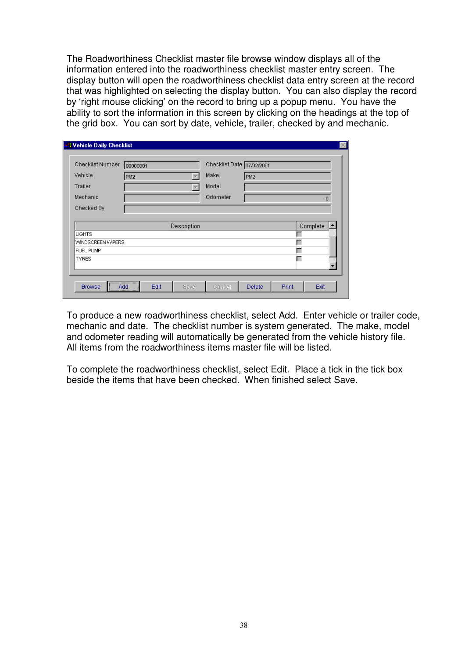The Roadworthiness Checklist master file browse window displays all of the information entered into the roadworthiness checklist master entry screen. The display button will open the roadworthiness checklist data entry screen at the record that was highlighted on selecting the display button. You can also display the record by 'right mouse clicking' on the record to bring up a popup menu. You have the ability to sort the information in this screen by clicking on the headings at the top of the grid box. You can sort by date, vehicle, trailer, checked by and mechanic.

| Checklist Number  | 00000001        |             | Checklist Date 07/02/2001 |                 |                          |
|-------------------|-----------------|-------------|---------------------------|-----------------|--------------------------|
| Vehicle           | PM <sub>2</sub> |             | Make                      | PM <sub>2</sub> |                          |
| Trailer           |                 |             | Model                     |                 |                          |
| Mechanic          |                 |             | Odometer                  |                 | $\Omega$                 |
| Checked By        |                 |             |                           |                 |                          |
|                   |                 |             |                           |                 |                          |
|                   |                 | Description |                           |                 | Complete                 |
| <b>LIGHTS</b>     |                 |             |                           |                 |                          |
| WINDSCREEN WIPERS |                 |             |                           |                 |                          |
| <b>FUEL PUMP</b>  |                 |             |                           |                 |                          |
| <b>TYRES</b>      |                 |             |                           |                 | $\overline{\phantom{a}}$ |

To produce a new roadworthiness checklist, select Add. Enter vehicle or trailer code, mechanic and date. The checklist number is system generated. The make, model and odometer reading will automatically be generated from the vehicle history file. All items from the roadworthiness items master file will be listed.

To complete the roadworthiness checklist, select Edit. Place a tick in the tick box beside the items that have been checked. When finished select Save.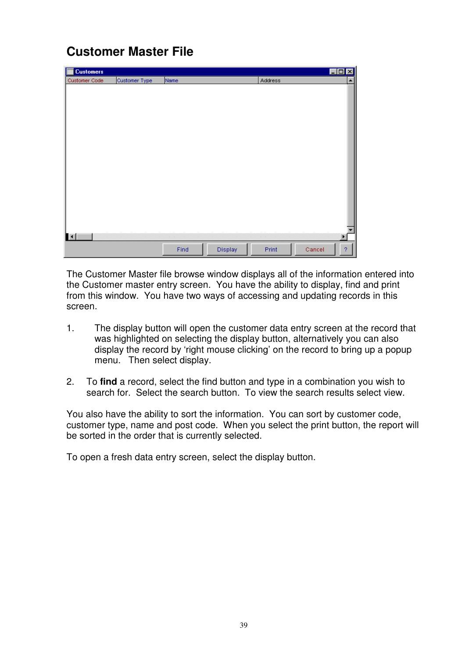## **Customer Master File**

| E<br><b>Customers</b> |               |      |         |         | $\Box$ o $\times$ |
|-----------------------|---------------|------|---------|---------|-------------------|
| Customer Code         | Customer Type | Name |         | Address | ▲                 |
|                       |               |      |         |         |                   |
|                       |               |      |         |         |                   |
|                       |               |      |         |         |                   |
|                       |               |      |         |         |                   |
|                       |               |      |         |         |                   |
|                       |               |      |         |         |                   |
|                       |               |      |         |         |                   |
|                       |               |      |         |         |                   |
|                       |               |      |         |         |                   |
|                       |               |      |         |         |                   |
|                       |               |      |         |         |                   |
|                       |               |      |         |         |                   |
|                       |               |      |         |         |                   |
|                       |               |      |         |         |                   |
|                       |               |      |         |         |                   |
|                       |               |      |         |         |                   |
|                       |               |      |         |         |                   |
| ш                     |               |      |         |         |                   |
|                       |               | Find | Display | Print   | $\boldsymbol{?}$  |
|                       |               |      |         |         | Cancel            |

The Customer Master file browse window displays all of the information entered into the Customer master entry screen. You have the ability to display, find and print from this window. You have two ways of accessing and updating records in this screen.

- 1. The display button will open the customer data entry screen at the record that was highlighted on selecting the display button, alternatively you can also display the record by 'right mouse clicking' on the record to bring up a popup menu. Then select display.
- 2. To **find** a record, select the find button and type in a combination you wish to search for. Select the search button. To view the search results select view.

You also have the ability to sort the information. You can sort by customer code, customer type, name and post code. When you select the print button, the report will be sorted in the order that is currently selected.

To open a fresh data entry screen, select the display button.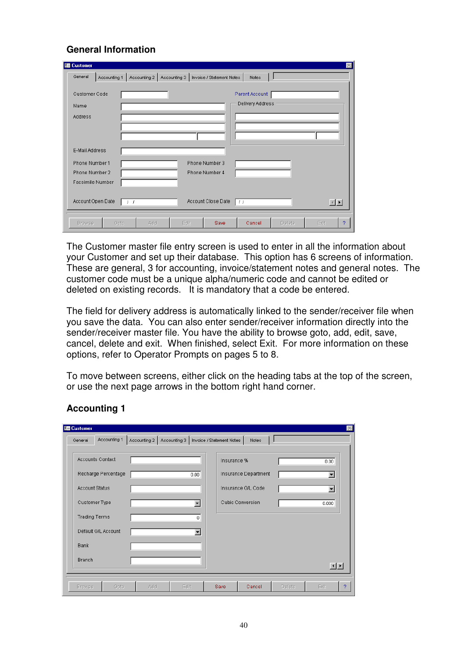### **General Information**

| <b>Ed Customer</b>                      |                              |                           |                                    |        |                |
|-----------------------------------------|------------------------------|---------------------------|------------------------------------|--------|----------------|
| General<br>Accounting 1                 | Accounting 2<br>Accounting 3 | Invoice / Statement Notes | Notes                              |        |                |
| Customer Code<br>Name<br><b>Address</b> |                              |                           | Parent Account<br>Delivery Address |        |                |
|                                         |                              |                           |                                    |        |                |
| E-Mail Address                          |                              |                           |                                    |        |                |
| Phone Number 1                          |                              | Phone Number 3            |                                    |        |                |
| Phone Number 2                          |                              | Phone Number 4            |                                    |        |                |
| Facsimile Number                        |                              |                           |                                    |        |                |
| Account Open Date                       | $I - I$                      | Account Close Date        | 17 Z                               |        | $\blacksquare$ |
| Goto<br><b>Browse</b>                   | Add                          | Edit<br><b>Save</b>       | Cancel                             | Delete | Exit<br>?      |

The Customer master file entry screen is used to enter in all the information about your Customer and set up their database. This option has 6 screens of information. These are general, 3 for accounting, invoice/statement notes and general notes. The customer code must be a unique alpha/numeric code and cannot be edited or deleted on existing records. It is mandatory that a code be entered.

The field for delivery address is automatically linked to the sender/receiver file when you save the data. You can also enter sender/receiver information directly into the sender/receiver master file. You have the ability to browse goto, add, edit, save, cancel, delete and exit. When finished, select Exit. For more information on these options, refer to Operator Prompts on pages 5 to 8.

To move between screens, either click on the heading tabs at the top of the screen, or use the next page arrows in the bottom right hand corner.

| <b>Ed Customer</b>      |     |                                                         |                  |                      |               |                      | $\times$ |
|-------------------------|-----|---------------------------------------------------------|------------------|----------------------|---------------|----------------------|----------|
| Accounting 1<br>General |     | Accounting 2   Accounting 3   Invoice / Statement Notes |                  | Notes                |               |                      |          |
| Accounts Contact        |     |                                                         | Insurance %      |                      |               | 0.00                 |          |
| Recharge Percentage     |     | 0.00                                                    |                  | Insurance Department |               | $\blacktriangledown$ |          |
| <b>Account Status</b>   |     |                                                         |                  | Insurance G/L Code   |               | $\blacksquare$       |          |
| Customer Type           |     | $\overline{\phantom{a}}$                                | Cubic Conversion |                      |               | 0.000                |          |
| <b>Trading Terms</b>    |     | $\mathbf 0$                                             |                  |                      |               |                      |          |
| Default G/L Account     |     | $\overline{\phantom{a}}$                                |                  |                      |               |                      |          |
| <b>Bank</b>             |     |                                                         |                  |                      |               |                      |          |
| <b>Branch</b>           |     |                                                         |                  |                      |               |                      |          |
|                         |     |                                                         |                  |                      |               | $\vert \cdot \vert$  |          |
| Goto<br><b>Browse</b>   | Add | Edit                                                    | Save             | Cancel               | <b>Delete</b> | Exit                 | 2        |

### **Accounting 1**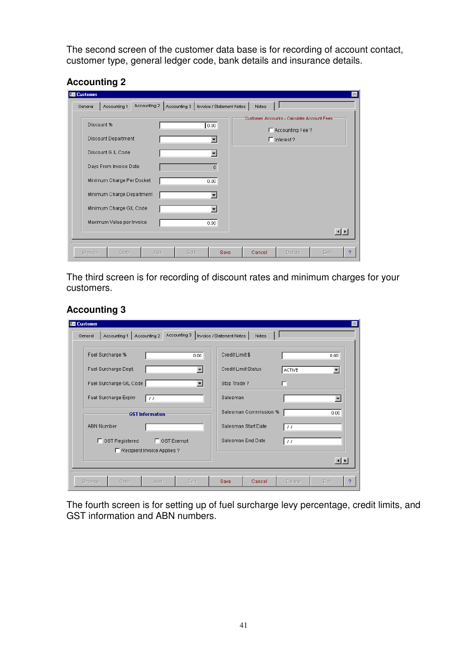The second screen of the customer data base is for recording of account contact, customer type, general ledger code, bank details and insurance details.

### **Accounting 2**

|                           |  |      | Customer Accounts - Calculate Account Fees: |                     |
|---------------------------|--|------|---------------------------------------------|---------------------|
| Discount %                |  | 0.00 |                                             |                     |
| Discount Department       |  |      | F Accounting Fee?<br>$\Gamma$ Interest?     |                     |
| Discount G /L Code        |  |      |                                             |                     |
| Days From Invoice Date    |  | 0    |                                             |                     |
| Minimum Charge Per Docket |  | 0.00 |                                             |                     |
| Minimum Charge Department |  |      |                                             |                     |
| Minimum Charge G/L Code   |  |      |                                             |                     |
| Maximum Value per Invoice |  | 0.00 |                                             |                     |
|                           |  |      |                                             | $\vert \cdot \vert$ |

The third screen is for recording of discount rates and minimum charges for your customers.

### **Accounting 3**

| <b>Ed Customer</b> |                         |                               |              |                           |                       |                        |                          |
|--------------------|-------------------------|-------------------------------|--------------|---------------------------|-----------------------|------------------------|--------------------------|
| General            | Accounting 1            | Accounting 2                  | Accounting 3 | Invoice / Statement Notes | Notes                 |                        |                          |
|                    | Fuel Surcharge %        |                               | 0.00         | Credit Limit \$           |                       |                        | 0.00.                    |
|                    | Fuel Surcharge Dept.    |                               | ▼            | Credit Limit Status       |                       | <b>ACTIVE</b>          | $\blacktriangledown$     |
|                    | Fuel Surcharge G/L Code |                               | ▼            | Stop Trade?               |                       | г                      |                          |
|                    | Fuel Surcharge Expiry   | $\frac{1}{2}$                 |              | Salesman                  |                       |                        | $\overline{\phantom{a}}$ |
|                    |                         | <b>GST</b> Information        |              |                           | Salesman Commission % |                        | 0.00                     |
| <b>ABN Number</b>  |                         |                               |              |                           | Salesman Start Date   | -11                    |                          |
|                    | □ GST Registered        | □ GST Exempt                  |              |                           | Salesman End Date     | $\left  \cdot \right $ |                          |
|                    |                         | □ Recipient Invoice Applies ? |              |                           |                       |                        | 回回                       |
|                    |                         |                               |              |                           |                       |                        |                          |
| <b>Browse</b>      | Goto                    | Add                           | Edit         | Save                      | Cancel                | Delete                 | Exit                     |

The fourth screen is for setting up of fuel surcharge levy percentage, credit limits, and GST information and ABN numbers.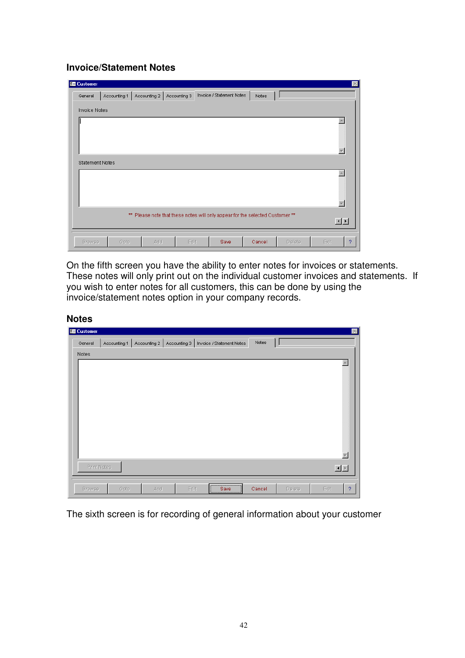### **Invoice/Statement Notes**

| <b>E</b> Customer      |              |                             |                                                                               |       |  | $\vert \times \vert$ |
|------------------------|--------------|-----------------------------|-------------------------------------------------------------------------------|-------|--|----------------------|
| General                | Accounting 1 | Accounting 2   Accounting 3 | Invoice / Statement Notes                                                     | Notes |  |                      |
| <b>Invoice Notes</b>   |              |                             |                                                                               |       |  |                      |
|                        |              |                             |                                                                               |       |  |                      |
|                        |              |                             |                                                                               |       |  |                      |
|                        |              |                             |                                                                               |       |  |                      |
|                        |              |                             |                                                                               |       |  |                      |
| <b>Statement Notes</b> |              |                             |                                                                               |       |  |                      |
|                        |              |                             |                                                                               |       |  |                      |
|                        |              |                             |                                                                               |       |  |                      |
|                        |              |                             |                                                                               |       |  |                      |
|                        |              |                             |                                                                               |       |  |                      |
|                        |              |                             | ** Please note that these notes will only appear for the selected Customer ** |       |  |                      |
|                        |              |                             |                                                                               |       |  | 回回                   |

On the fifth screen you have the ability to enter notes for invoices or statements. These notes will only print out on the individual customer invoices and statements. If you wish to enter notes for all customers, this can be done by using the invoice/statement notes option in your company records.

#### **Notes**

| <b>Ed Customer</b> |              |     |                             |                                                             |        |        |                       | $\mathbbmss{N}$ |
|--------------------|--------------|-----|-----------------------------|-------------------------------------------------------------|--------|--------|-----------------------|-----------------|
| General            | Accounting 1 |     | Accounting 2   Accounting 3 | Invoice / Statement Notes                                   | Notes  |        |                       |                 |
| Notes              |              |     |                             |                                                             |        |        |                       |                 |
|                    |              |     |                             |                                                             |        |        | A,                    |                 |
|                    |              |     |                             |                                                             |        |        |                       |                 |
|                    |              |     |                             |                                                             |        |        |                       |                 |
|                    |              |     |                             |                                                             |        |        |                       |                 |
|                    |              |     |                             |                                                             |        |        |                       |                 |
|                    |              |     |                             |                                                             |        |        |                       |                 |
|                    |              |     |                             |                                                             |        |        |                       |                 |
|                    |              |     |                             |                                                             |        |        |                       |                 |
|                    |              |     |                             |                                                             |        |        |                       |                 |
| Print Notes        |              |     |                             |                                                             |        |        | 回回                    |                 |
|                    |              |     |                             |                                                             |        |        |                       |                 |
| <b>Browse</b>      | Goto         | Add | Edit                        | ,,,,,,,,,,,,,,,,,,,,,,,,,,,,,,,,,,,,,,<br>Save<br><u> \</u> | Cancel | Delete | Exit<br>$\mathcal{P}$ |                 |

The sixth screen is for recording of general information about your customer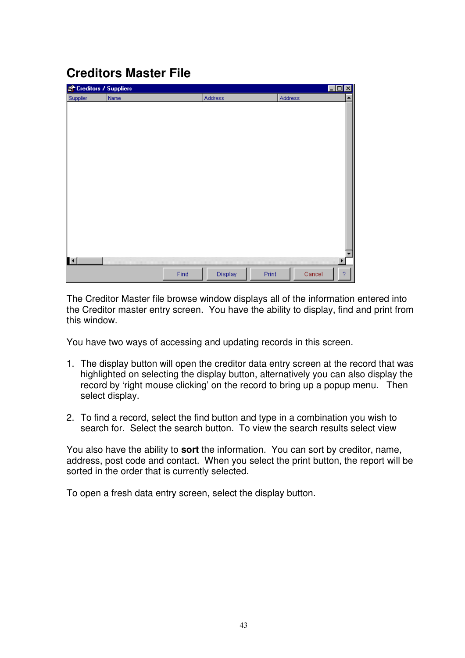# **Creditors Master File**

| Creditors / Suppliers |      |         |                  |         | $\Box$ D $\Box$ |
|-----------------------|------|---------|------------------|---------|-----------------|
| Supplier              | Name | Address |                  | Address |                 |
|                       |      |         |                  |         |                 |
|                       |      |         |                  |         |                 |
|                       |      |         |                  |         |                 |
|                       |      |         |                  |         |                 |
|                       |      |         |                  |         |                 |
|                       |      |         |                  |         |                 |
|                       |      |         |                  |         |                 |
|                       |      |         |                  |         |                 |
|                       |      |         |                  |         |                 |
|                       |      |         |                  |         |                 |
|                       |      |         |                  |         |                 |
|                       |      |         |                  |         |                 |
|                       |      |         |                  |         |                 |
|                       |      |         |                  |         |                 |
|                       |      |         |                  |         |                 |
|                       |      |         |                  |         |                 |
| $\blacksquare$        |      |         |                  |         | ١               |
|                       |      |         |                  |         |                 |
|                       | Find |         | Display<br>Print | Cancel  | 2               |

The Creditor Master file browse window displays all of the information entered into the Creditor master entry screen. You have the ability to display, find and print from this window.

You have two ways of accessing and updating records in this screen.

- 1. The display button will open the creditor data entry screen at the record that was highlighted on selecting the display button, alternatively you can also display the record by 'right mouse clicking' on the record to bring up a popup menu. Then select display.
- 2. To find a record, select the find button and type in a combination you wish to search for. Select the search button. To view the search results select view

You also have the ability to **sort** the information. You can sort by creditor, name, address, post code and contact. When you select the print button, the report will be sorted in the order that is currently selected.

To open a fresh data entry screen, select the display button.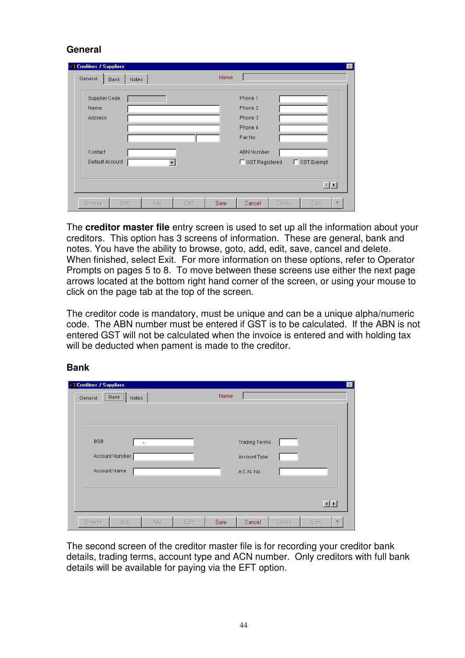### **General**

| <b>A Creditors / Suppliers</b><br>General | Notes<br><b>Bank</b> |     |      | Name |                    |        |                | $\times$ |
|-------------------------------------------|----------------------|-----|------|------|--------------------|--------|----------------|----------|
| Supplier Code                             |                      |     |      |      | Phone 1            |        |                |          |
| Name<br><b>Address</b>                    |                      |     |      |      | Phone 2<br>Phone 3 |        |                |          |
|                                           |                      |     |      |      | Phone 4<br>Fax No. |        |                |          |
| Contact                                   |                      |     |      |      | <b>ABN Number</b>  |        |                |          |
| Default Account                           |                      |     |      |      | □ GST Registered   |        | □ GST Exempt   |          |
|                                           |                      |     |      |      |                    |        | $\blacksquare$ |          |
| Browse                                    | Goto                 | Add | Edit | Save | Cancel             | Delete | Exit           | ?        |

The **creditor master file** entry screen is used to set up all the information about your creditors. This option has 3 screens of information. These are general, bank and notes. You have the ability to browse, goto, add, edit, save, cancel and delete. When finished, select Exit. For more information on these options, refer to Operator Prompts on pages 5 to 8. To move between these screens use either the next page arrows located at the bottom right hand corner of the screen, or using your mouse to click on the page tab at the top of the screen.

The creditor code is mandatory, must be unique and can be a unique alpha/numeric code. The ABN number must be entered if GST is to be calculated. If the ABN is not entered GST will not be calculated when the invoice is entered and with holding tax will be deducted when pament is made to the creditor.

| <b>A Creditors / Suppliers</b><br>,,,,,,,,,,,,,,,,,,,,,,, |       |     |      |      |                      |        |      | $\times$ |
|-----------------------------------------------------------|-------|-----|------|------|----------------------|--------|------|----------|
| Bank<br>General                                           | Notes |     |      | Name |                      |        |      |          |
|                                                           |       |     |      |      |                      |        |      |          |
|                                                           |       |     |      |      |                      |        |      |          |
| <b>BSB</b>                                                |       | ٠   |      |      | <b>Trading Terms</b> |        |      |          |
| Account Number                                            |       |     |      |      | Account Type         |        |      |          |
| Account Name                                              |       |     |      |      | A.C.N. No.           |        |      |          |
|                                                           |       |     |      |      |                      |        |      |          |
|                                                           |       |     |      |      |                      |        |      |          |
|                                                           |       |     |      |      |                      |        | 回回   |          |
| Browse                                                    | Goto  | Add | Edit | Save | Cancel               | Delete | Exit | ?        |

#### **Bank**

The second screen of the creditor master file is for recording your creditor bank details, trading terms, account type and ACN number. Only creditors with full bank details will be available for paying via the EFT option.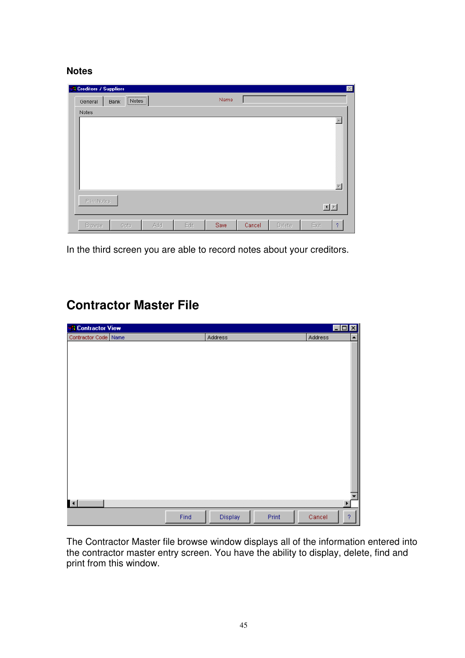#### **Notes**

| <b>R</b> Creditors / Suppliers |                                                    |      |      |        |        | $\times$                 |
|--------------------------------|----------------------------------------------------|------|------|--------|--------|--------------------------|
| General<br><b>Bank</b>         | ,,,,,,,,,,,,,,,,,,,,,<br>$\lfloor$ Notes $\rfloor$ |      | Name |        |        |                          |
| Notes                          |                                                    |      |      |        |        |                          |
|                                |                                                    |      |      |        |        | $\blacktriangle$         |
|                                |                                                    |      |      |        |        |                          |
|                                |                                                    |      |      |        |        |                          |
|                                |                                                    |      |      |        |        |                          |
|                                |                                                    |      |      |        |        |                          |
|                                |                                                    |      |      |        |        | $\overline{\phantom{a}}$ |
| Print Notes                    |                                                    |      |      |        |        |                          |
|                                |                                                    |      |      |        |        | 国国                       |
|                                |                                                    |      |      |        |        |                          |
| <b>Browse</b>                  | Add<br>Goto                                        | Edit | Save | Cancel | Delete | Exit<br>$\mathcal{P}$    |

In the third screen you are able to record notes about your creditors.

### **Contractor Master File**

| <b>A</b> Contractor View |      |         |       | $\Box$ d $\boxtimes$ |                  |
|--------------------------|------|---------|-------|----------------------|------------------|
| Contractor Code Name     |      | Address |       | Address              | $\blacktriangle$ |
|                          |      |         |       |                      |                  |
|                          |      |         |       |                      |                  |
|                          |      |         |       |                      |                  |
|                          |      |         |       |                      |                  |
|                          |      |         |       |                      |                  |
|                          |      |         |       |                      |                  |
|                          |      |         |       |                      |                  |
|                          |      |         |       |                      |                  |
|                          |      |         |       |                      |                  |
|                          |      |         |       |                      |                  |
|                          |      |         |       |                      |                  |
|                          |      |         |       |                      |                  |
|                          |      |         |       |                      |                  |
|                          |      |         |       |                      |                  |
|                          |      |         |       |                      |                  |
|                          |      |         |       |                      |                  |
|                          |      |         |       |                      |                  |
|                          |      |         |       |                      |                  |
| $\blacksquare$           |      |         |       |                      | ¥                |
|                          |      |         |       |                      | $\overline{?}$   |
|                          | Find | Display | Print | Cancel               |                  |

The Contractor Master file browse window displays all of the information entered into the contractor master entry screen. You have the ability to display, delete, find and print from this window.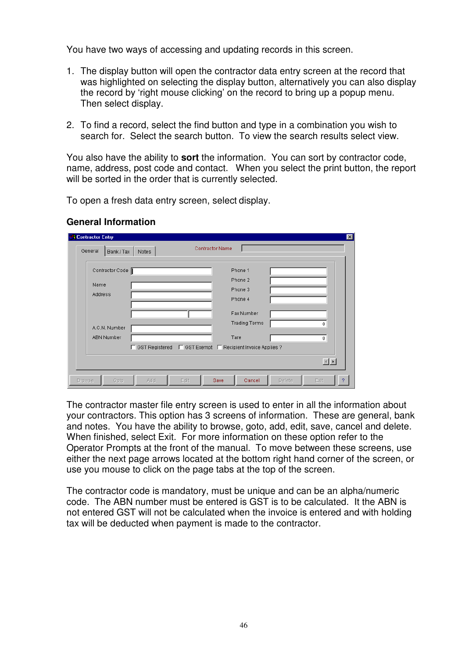You have two ways of accessing and updating records in this screen.

- 1. The display button will open the contractor data entry screen at the record that was highlighted on selecting the display button, alternatively you can also display the record by 'right mouse clicking' on the record to bring up a popup menu. Then select display.
- 2. To find a record, select the find button and type in a combination you wish to search for. Select the search button. To view the search results select view.

You also have the ability to **sort** the information. You can sort by contractor code, name, address, post code and contact. When you select the print button, the report will be sorted in the order that is currently selected.

To open a fresh data entry screen, select display.

#### **General Information**

| <b>Contractor Name</b><br>General<br>Bank/Tax<br>Notes                                   |                                               |
|------------------------------------------------------------------------------------------|-----------------------------------------------|
| Contractor Code<br>Phone 1<br>Phone 2<br>Name<br>Phone 3<br><b>Address</b>               |                                               |
| Phone 4<br>Fax Number<br><b>Trading Terms</b><br>A.C.N. Number                           | 0                                             |
| <b>ABN Number</b><br>Tare<br>□ GST Registered □ GST Exempt □ Recipient Invoice Applies ? | 0                                             |
| Add<br>Edit<br>Save<br>Cancel<br><b>Browse</b><br>Goto                                   | $\left  \cdot \right $<br>Delete<br>Exit<br>o |

The contractor master file entry screen is used to enter in all the information about your contractors. This option has 3 screens of information. These are general, bank and notes. You have the ability to browse, goto, add, edit, save, cancel and delete. When finished, select Exit. For more information on these option refer to the Operator Prompts at the front of the manual. To move between these screens, use either the next page arrows located at the bottom right hand corner of the screen, or use you mouse to click on the page tabs at the top of the screen.

The contractor code is mandatory, must be unique and can be an alpha/numeric code. The ABN number must be entered is GST is to be calculated. It the ABN is not entered GST will not be calculated when the invoice is entered and with holding tax will be deducted when payment is made to the contractor.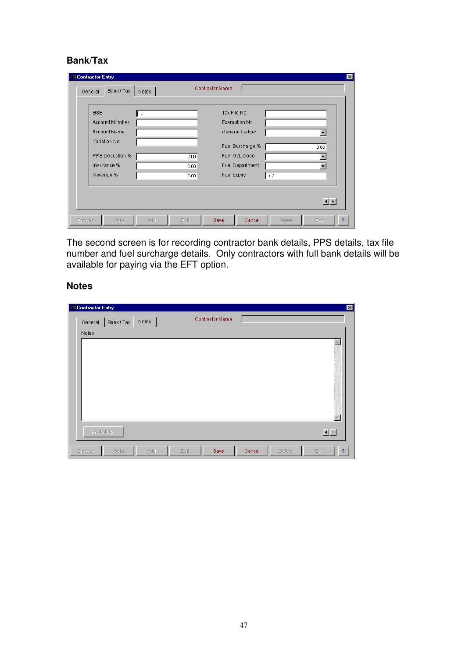### **Bank/Tax**

| <b>R</b> Contractor Entry<br>Bank/Tax<br>General             | $\vert x \vert$<br><b>Contractor Name</b><br>Notes                                                          |
|--------------------------------------------------------------|-------------------------------------------------------------------------------------------------------------|
| <b>BSB</b><br>Account Number<br>Account Name<br>Variation No | Tax File No<br>٠<br>Exemption No.<br>General Ledger<br>$\overline{\phantom{a}}$<br>Fuel Surcharge %<br>0.00 |
| PPS Deduction %<br>Insurance %<br>Revenue %                  | Fuel G /L Code<br>0.00<br><b>Fuel Department</b><br>0.00<br>Fuel Expiry<br>0.00<br>$\left  \cdot \right $   |
| <b>Browse</b><br>Goto                                        | $\blacksquare$<br>Add<br>Edit<br>Save<br>Cancel<br>Delete<br>Exit<br>2                                      |

The second screen is for recording contractor bank details, PPS details, tax file number and fuel surcharge details. Only contractors with full bank details will be available for paying via the EFT option.

### **Notes**

| <b>BR</b> Contractor Entry |          |       |      |                 |        |        |                          |
|----------------------------|----------|-------|------|-----------------|--------|--------|--------------------------|
| General                    | Bank/Tax | Notes |      | Contractor Name |        |        |                          |
| Notes                      |          |       |      |                 |        |        |                          |
|                            |          |       |      |                 |        |        | $\blacktriangle$         |
|                            |          |       |      |                 |        |        |                          |
|                            |          |       |      |                 |        |        |                          |
|                            |          |       |      |                 |        |        |                          |
|                            |          |       |      |                 |        |        |                          |
|                            |          |       |      |                 |        |        |                          |
|                            |          |       |      |                 |        |        | $\overline{\mathbf{v}}$  |
| Print Notes                |          |       |      |                 |        |        | $\underline{\mathbf{H}}$ |
|                            |          |       |      |                 |        |        |                          |
| Browse                     | Goto     | Add   | Edit | Save            | Cancel | Delete | Exit<br>?                |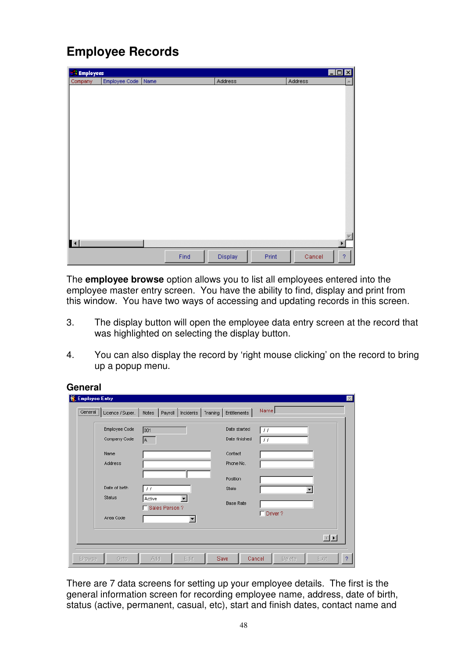# **Employee Records**

| <b>&amp; Employees</b> |                    |      |         |       |         | I              |
|------------------------|--------------------|------|---------|-------|---------|----------------|
| Company                | Employee Code Name |      | Address |       | Address | Α.             |
|                        |                    |      |         |       |         |                |
|                        |                    |      |         |       |         |                |
|                        |                    |      |         |       |         |                |
|                        |                    |      |         |       |         |                |
|                        |                    |      |         |       |         |                |
|                        |                    |      |         |       |         |                |
|                        |                    |      |         |       |         |                |
|                        |                    |      |         |       |         |                |
|                        |                    |      |         |       |         |                |
|                        |                    |      |         |       |         |                |
|                        |                    |      |         |       |         |                |
|                        |                    |      |         |       |         |                |
|                        |                    |      |         |       |         |                |
|                        |                    |      |         |       |         |                |
|                        |                    |      |         |       |         |                |
|                        |                    |      |         |       |         |                |
|                        |                    |      |         |       |         |                |
|                        |                    |      |         |       |         |                |
|                        |                    |      |         |       |         |                |
|                        |                    |      |         |       |         |                |
| $\blacktriangleleft$   |                    |      |         |       |         | Þ              |
|                        |                    | Find | Display | Print | Cancel  | $\overline{?}$ |

The **employee browse** option allows you to list all employees entered into the employee master entry screen. You have the ability to find, display and print from this window. You have two ways of accessing and updating records in this screen.

- 3. The display button will open the employee data entry screen at the record that was highlighted on selecting the display button.
- 4. You can also display the record by 'right mouse clicking' on the record to bring up a popup menu.

#### **General**

| <b>Employee Entry</b> |                               |                                   |                      |                               |                  |      |
|-----------------------|-------------------------------|-----------------------------------|----------------------|-------------------------------|------------------|------|
| <br>[General]         | Licence / Super.              | Notes $\ $<br>Payroll   Incidents | Training             | Entitlements                  | Name             |      |
|                       | Employee Code<br>Company Code | 001                               |                      | Date started<br>Date finished | $\pm$<br>$\pm$   |      |
|                       | Name                          | A                                 |                      | Contact                       |                  |      |
|                       | Address                       |                                   |                      | Phone No.<br>Position         |                  |      |
|                       | Date of birth<br>Status       | $\left  \cdot \right $<br>Active  |                      | State                         |                  |      |
|                       |                               | Sales Person ?                    |                      | <b>Base Rate</b>              | $\Box$ Driver?   |      |
|                       | Area Code                     |                                   | $\blacktriangledown$ |                               |                  |      |
|                       |                               |                                   |                      |                               |                  | 国国   |
| <b>Browse</b>         | Goto                          | Add                               | Edit                 | Save                          | Cancel<br>Delete | Exit |

There are 7 data screens for setting up your employee details. The first is the general information screen for recording employee name, address, date of birth, status (active, permanent, casual, etc), start and finish dates, contact name and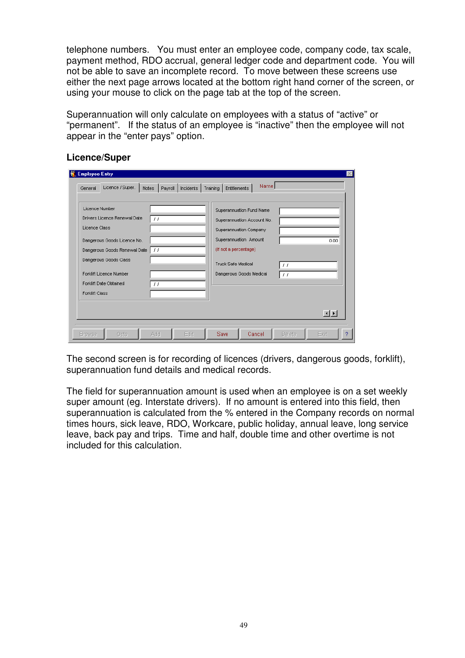telephone numbers. You must enter an employee code, company code, tax scale, payment method, RDO accrual, general ledger code and department code. You will not be able to save an incomplete record. To move between these screens use either the next page arrows located at the bottom right hand corner of the screen, or using your mouse to click on the page tab at the top of the screen.

Superannuation will only calculate on employees with a status of "active" or "permanent". If the status of an employee is "inactive" then the employee will not appear in the "enter pays" option.

| Licence / Super.<br>General                                                                                                                                                                                                           | Notes<br>Payroll                                   | Incidents | Entitlements<br>Training                                                                                                                                                                   | Name |                                        |                        |
|---------------------------------------------------------------------------------------------------------------------------------------------------------------------------------------------------------------------------------------|----------------------------------------------------|-----------|--------------------------------------------------------------------------------------------------------------------------------------------------------------------------------------------|------|----------------------------------------|------------------------|
| Licence Number<br>Drivers Licence Renewal Date<br>Licence Class<br>Dangerous Goods Licence No.<br>Dangerous Goods Renewal Date<br>Dangerous Goods Class<br>Forklift Licence Number<br>Forklift Date Obtained<br><b>Forklift Class</b> | $\left  \cdot \right $<br>-11<br>$\prime$ $\prime$ |           | Superannuation Fund Name<br>Superannuation Account No.<br>Superannuation Company<br>Superannuation Amount<br>(If not a percentage)<br><b>Truck Safe Medical</b><br>Dangerous Goods Medical |      | $\prime$ $\prime$<br>$\prime$ $\prime$ | 0.00                   |
|                                                                                                                                                                                                                                       |                                                    |           |                                                                                                                                                                                            |      |                                        | $\left  \cdot \right $ |

#### **Licence/Super**

The second screen is for recording of licences (drivers, dangerous goods, forklift), superannuation fund details and medical records.

The field for superannuation amount is used when an employee is on a set weekly super amount (eg. Interstate drivers). If no amount is entered into this field, then superannuation is calculated from the % entered in the Company records on normal times hours, sick leave, RDO, Workcare, public holiday, annual leave, long service leave, back pay and trips. Time and half, double time and other overtime is not included for this calculation.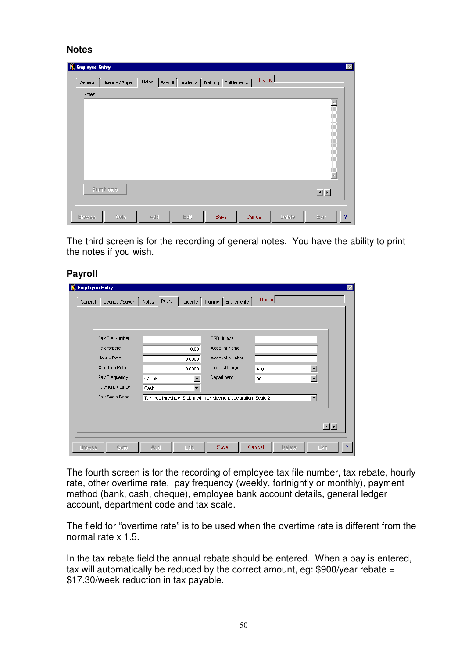#### **Notes**

| <b>M.</b> Employee Entry |                  |       |                                |              |        |        | $\mathbb{X}% _{0}^{\prime\prime}$ |
|--------------------------|------------------|-------|--------------------------------|--------------|--------|--------|-----------------------------------|
| General                  | Licence / Super. | Notes | Payroll   Incidents   Training | Entitlements | Name   |        |                                   |
| Notes                    |                  |       |                                |              |        |        |                                   |
|                          |                  |       |                                |              |        |        |                                   |
|                          | Print Notes      |       |                                |              |        |        | 回回                                |
|                          |                  |       |                                |              |        |        |                                   |
| Browse                   | Goto             | Add   | Edit                           | Save         | Cancel | Delete | Exit<br>9                         |

The third screen is for the recording of general notes. You have the ability to print the notes if you wish.

#### **Payroll**

| <b>M</b> Employee Entry |                   |                             |           |                                                                  |                  |                          | $\mathbb{E}$ |
|-------------------------|-------------------|-----------------------------|-----------|------------------------------------------------------------------|------------------|--------------------------|--------------|
| General                 | Licence / Super.  | ;………………<br>Payroll<br>Notes | Incidents | Entitlements<br>Training                                         | Name             |                          |              |
|                         |                   |                             |           |                                                                  |                  |                          |              |
|                         | Tax File Number   |                             |           | <b>BSB Number</b>                                                | $\overline{a}$   |                          |              |
|                         | <b>Tax Rebate</b> |                             | 0.00.     | <b>Account Name</b>                                              |                  |                          |              |
|                         | Hourly Rate       |                             | 0.0000    | Account Number                                                   |                  |                          |              |
|                         | Overtime Rate     |                             | 0.0000    | General Ledger                                                   | 470              |                          |              |
|                         | Pay Frequency     | Weekly                      |           | Department                                                       | loo              | $\overline{\phantom{a}}$ |              |
|                         | Payment Method    | Cash                        |           |                                                                  |                  |                          |              |
|                         | Tax Scale Desc.   |                             |           | Tax free threshold IS claimed in employment declaration. Scale 2 |                  |                          |              |
|                         |                   |                             |           |                                                                  |                  |                          |              |
|                         |                   |                             |           |                                                                  |                  |                          |              |
|                         |                   |                             |           |                                                                  |                  | 国国                       |              |
|                         |                   |                             |           |                                                                  |                  |                          |              |
| Browse                  | Goto              | Add                         | Edit      | Save                                                             | Delete<br>Cancel | Exit                     | 9            |

The fourth screen is for the recording of employee tax file number, tax rebate, hourly rate, other overtime rate, pay frequency (weekly, fortnightly or monthly), payment method (bank, cash, cheque), employee bank account details, general ledger account, department code and tax scale.

The field for "overtime rate" is to be used when the overtime rate is different from the normal rate x 1.5.

In the tax rebate field the annual rebate should be entered. When a pay is entered, tax will automatically be reduced by the correct amount, eg:  $$900/year$  rebate = \$17.30/week reduction in tax payable.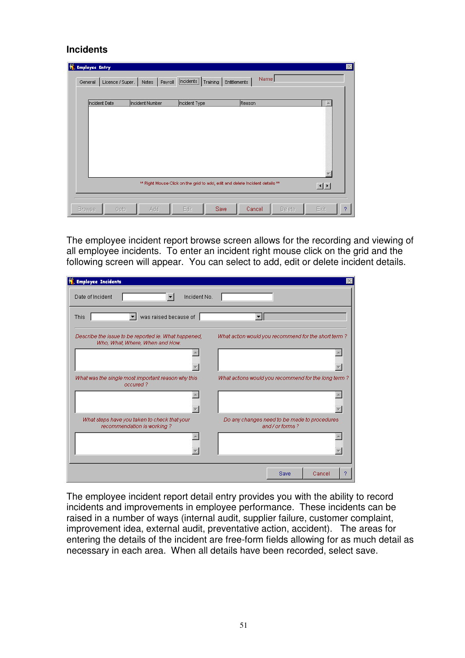#### **Incidents**

| <b>Employee Entry</b><br>General | Licence / Super. | Notes<br>Payroll | ,,,,,,,,,,,,,,,,,,,,,,,,<br>[Incidents]<br>Training                          | Name<br>Entitlements |        | $\vert \times \vert$ |
|----------------------------------|------------------|------------------|------------------------------------------------------------------------------|----------------------|--------|----------------------|
| Incident Date                    |                  | Incident Number  | Incident Type                                                                | Reason               |        | <b>A</b>             |
|                                  |                  |                  | ** Right Mouse Click on the grid to add, edit and delete Incident details ** |                      |        | 卫                    |
| <b>Browse</b>                    | Goto             | Add              | Save<br>Edit                                                                 | Cancel               | Delete | Exit<br>2            |

The employee incident report browse screen allows for the recording and viewing of all employee incidents. To enter an incident right mouse click on the grid and the following screen will appear. You can select to add, edit or delete incident details.

| <b>Employee Incidents</b>                                                               |                                                               |
|-----------------------------------------------------------------------------------------|---------------------------------------------------------------|
| Date of Incident<br>Incident No.                                                        |                                                               |
| was raised because of<br>This<br>▾╽                                                     |                                                               |
| Describe the issue to be reported ie. What happened,<br>Who, What, Where, When and How. | What action would you recommend for the short term?           |
|                                                                                         |                                                               |
|                                                                                         |                                                               |
| What was the single most important reason why this<br>occured?                          | What actions would you recommend for the long term?           |
|                                                                                         |                                                               |
| What steps have you taken to check that your<br>recommendation is working?              | Do any changes need to be made to procedures<br>and/or forms? |
|                                                                                         |                                                               |
|                                                                                         | Cancel<br>?<br>Save                                           |

The employee incident report detail entry provides you with the ability to record incidents and improvements in employee performance. These incidents can be raised in a number of ways (internal audit, supplier failure, customer complaint, improvement idea, external audit, preventative action, accident). The areas for entering the details of the incident are free-form fields allowing for as much detail as necessary in each area. When all details have been recorded, select save.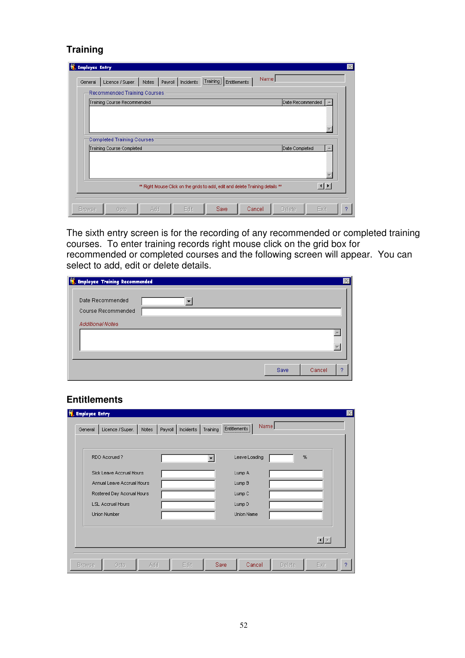### **Training**

| <b>Employee Entry</b> |                                                          |       |                     |                                                   |                                                                               |                  |                        | × |
|-----------------------|----------------------------------------------------------|-------|---------------------|---------------------------------------------------|-------------------------------------------------------------------------------|------------------|------------------------|---|
| General               | Licence / Super.                                         | Notes | Payroll   Incidents | $\fbox{Training} \label{eq:main} \fbox{Training}$ | Name<br>Entitlements                                                          |                  |                        |   |
|                       | Recommended Training Courses                             |       |                     |                                                   |                                                                               |                  |                        |   |
|                       | Training Course Recommended                              |       |                     |                                                   |                                                                               | Date Recommended |                        |   |
|                       | Completed Training Courses:<br>Training Course Completed |       |                     |                                                   |                                                                               | Date Completed   |                        |   |
|                       |                                                          |       |                     |                                                   |                                                                               |                  |                        |   |
|                       |                                                          |       |                     |                                                   | ** Right Mouse Click on the grids to add, edit and delete Training details ** |                  | $\left  \cdot \right $ |   |
| <b>Browse</b>         | Goto                                                     | Add   | Edit                | <b>Save</b>                                       | Cancel                                                                        | Delete           | Exit                   | o |

The sixth entry screen is for the recording of any recommended or completed training courses. To enter training records right mouse click on the grid box for recommended or completed courses and the following screen will appear. You can select to add, edit or delete details.

| <b>M</b> Employee Training Recommended                            |  |      |             |
|-------------------------------------------------------------------|--|------|-------------|
| Date Recommended<br>Course Recommended<br><b>Additional Notes</b> |  |      |             |
|                                                                   |  |      |             |
|                                                                   |  | Save | Cancel<br>2 |

### **Entitlements**

| General | Licence / Super.           | Notes<br>Payroll | Incidents | Training | Entitlements      | Name |   |
|---------|----------------------------|------------------|-----------|----------|-------------------|------|---|
|         | RDO Accrued?               |                  |           |          | Leave Loading     |      | % |
|         | Sick Leave Accrual Hours   |                  |           |          | Lump A            |      |   |
|         | Annual Leave Accrual Hours |                  |           |          | Lump B            |      |   |
|         | Rostered Day Accrual Hours |                  |           |          | Lump <sub>C</sub> |      |   |
|         | <b>LSL Accrual Hours</b>   |                  |           |          | Lump D            |      |   |
|         | <b>Union Number</b>        |                  |           |          | Union Name        |      |   |
|         |                            |                  |           |          |                   |      |   |
|         |                            |                  |           |          |                   |      |   |
|         |                            |                  |           |          |                   |      |   |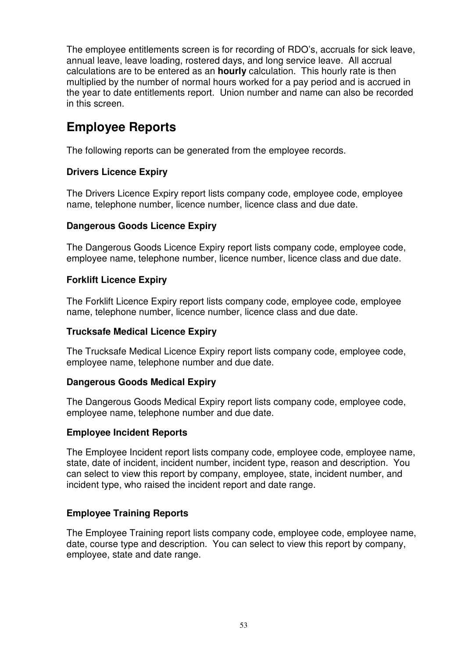The employee entitlements screen is for recording of RDO's, accruals for sick leave, annual leave, leave loading, rostered days, and long service leave. All accrual calculations are to be entered as an **hourly** calculation. This hourly rate is then multiplied by the number of normal hours worked for a pay period and is accrued in the year to date entitlements report. Union number and name can also be recorded in this screen.

## **Employee Reports**

The following reports can be generated from the employee records.

### **Drivers Licence Expiry**

The Drivers Licence Expiry report lists company code, employee code, employee name, telephone number, licence number, licence class and due date.

### **Dangerous Goods Licence Expiry**

The Dangerous Goods Licence Expiry report lists company code, employee code, employee name, telephone number, licence number, licence class and due date.

### **Forklift Licence Expiry**

The Forklift Licence Expiry report lists company code, employee code, employee name, telephone number, licence number, licence class and due date.

#### **Trucksafe Medical Licence Expiry**

The Trucksafe Medical Licence Expiry report lists company code, employee code, employee name, telephone number and due date.

#### **Dangerous Goods Medical Expiry**

The Dangerous Goods Medical Expiry report lists company code, employee code, employee name, telephone number and due date.

#### **Employee Incident Reports**

The Employee Incident report lists company code, employee code, employee name, state, date of incident, incident number, incident type, reason and description. You can select to view this report by company, employee, state, incident number, and incident type, who raised the incident report and date range.

### **Employee Training Reports**

The Employee Training report lists company code, employee code, employee name, date, course type and description. You can select to view this report by company, employee, state and date range.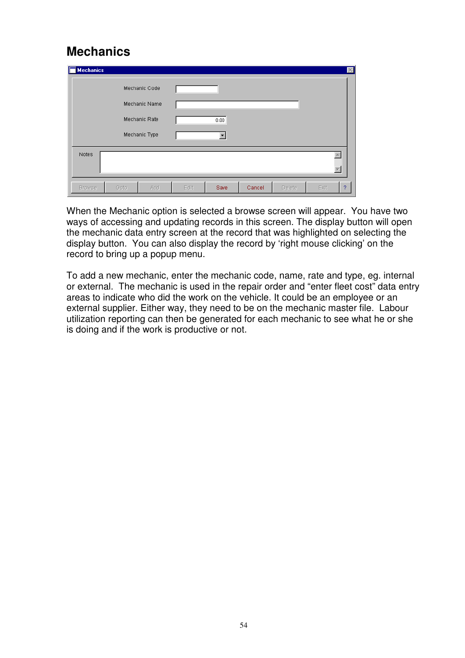## **Mechanics**

| <b>Mechanics</b> |      |               |      |      |        |        |      | $\mathbb{X}$ |
|------------------|------|---------------|------|------|--------|--------|------|--------------|
|                  |      | Mechanic Code |      |      |        |        |      |              |
|                  |      | Mechanic Name |      |      |        |        |      |              |
|                  |      | Mechanic Rate |      | 0.00 |        |        |      |              |
|                  |      | Mechanic Type |      |      |        |        |      |              |
| Notes            |      |               |      |      |        |        |      |              |
| <b>Browse</b>    | Goto | Add           | Edit | Save | Cancel | Delete | Exit | ?            |

When the Mechanic option is selected a browse screen will appear. You have two ways of accessing and updating records in this screen. The display button will open the mechanic data entry screen at the record that was highlighted on selecting the display button. You can also display the record by 'right mouse clicking' on the record to bring up a popup menu.

To add a new mechanic, enter the mechanic code, name, rate and type, eg. internal or external. The mechanic is used in the repair order and "enter fleet cost" data entry areas to indicate who did the work on the vehicle. It could be an employee or an external supplier. Either way, they need to be on the mechanic master file. Labour utilization reporting can then be generated for each mechanic to see what he or she is doing and if the work is productive or not.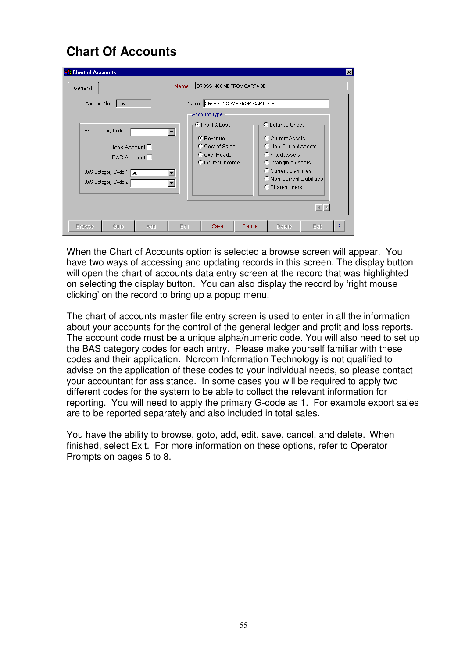# **Chart Of Accounts**

| <b>A Chart of Accounts</b><br>General                                                                                                        | GROSS INCOME FROM CARTAGE<br><b>Name</b>                                                 | $\vert x \vert$                                                                                                                                                                 |
|----------------------------------------------------------------------------------------------------------------------------------------------|------------------------------------------------------------------------------------------|---------------------------------------------------------------------------------------------------------------------------------------------------------------------------------|
| 195<br>Account No.                                                                                                                           | Name CROSS INCOME FROM CARTAGE<br>Account Type                                           |                                                                                                                                                                                 |
| P&L Category Code<br>$\blacktriangledown$<br>Bank Account $\Box$<br>BAS Account $\Box$<br>BAS Category Code 1<br>leo1<br>BAS Category Code 2 | ⊢G-Profit & Loss-<br>$F$ Revenue<br>C Cost of Sales<br>C Over Heads<br>C Indirect Income | C-Balance Sheet-<br>C Current Assets<br>C Non-Current Assets<br>C Fixed Assets<br>C Intangible Assets<br>C Current Liabilities<br>C Non-Current Liabilities<br>$C$ Shareholders |
| Goto<br><b>Add</b><br><b>Browse</b>                                                                                                          | Edit<br><b>Save</b><br>Cancel                                                            | $\vert \cdot \vert$ $\vert \cdot \vert$<br>2<br>Delete<br>Exit                                                                                                                  |

When the Chart of Accounts option is selected a browse screen will appear. You have two ways of accessing and updating records in this screen. The display button will open the chart of accounts data entry screen at the record that was highlighted on selecting the display button. You can also display the record by 'right mouse clicking' on the record to bring up a popup menu.

The chart of accounts master file entry screen is used to enter in all the information about your accounts for the control of the general ledger and profit and loss reports. The account code must be a unique alpha/numeric code. You will also need to set up the BAS category codes for each entry. Please make yourself familiar with these codes and their application. Norcom Information Technology is not qualified to advise on the application of these codes to your individual needs, so please contact your accountant for assistance. In some cases you will be required to apply two different codes for the system to be able to collect the relevant information for reporting. You will need to apply the primary G-code as 1. For example export sales are to be reported separately and also included in total sales.

You have the ability to browse, goto, add, edit, save, cancel, and delete. When finished, select Exit. For more information on these options, refer to Operator Prompts on pages 5 to 8.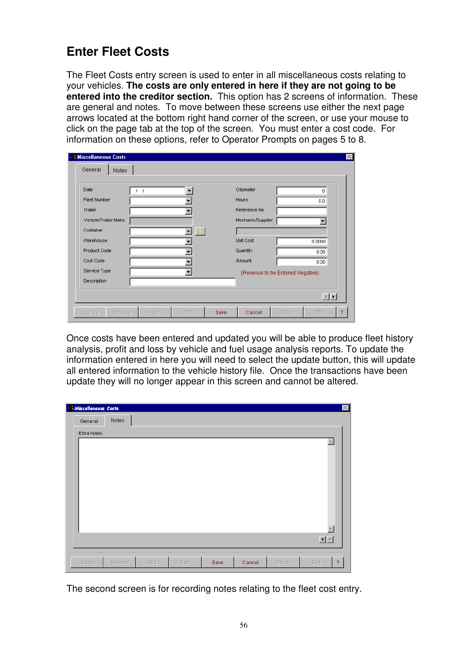# **Enter Fleet Costs**

The Fleet Costs entry screen is used to enter in all miscellaneous costs relating to your vehicles. **The costs are only entered in here if they are not going to be entered into the creditor section.** This option has 2 screens of information. These are general and notes. To move between these screens use either the next page arrows located at the bottom right hand corner of the screen, or use your mouse to click on the page tab at the top of the screen. You must enter a cost code. For information on these options, refer to Operator Prompts on pages 5 to 8.

| <b>A Miscellaneous Costs</b> |                      |              |      |                   |                                  |                                                                                                                                                                                                                                                                                                                                                                                                                                                                     |                |
|------------------------------|----------------------|--------------|------|-------------------|----------------------------------|---------------------------------------------------------------------------------------------------------------------------------------------------------------------------------------------------------------------------------------------------------------------------------------------------------------------------------------------------------------------------------------------------------------------------------------------------------------------|----------------|
| General<br>Notes             |                      |              |      |                   |                                  |                                                                                                                                                                                                                                                                                                                                                                                                                                                                     |                |
|                              |                      |              |      |                   |                                  |                                                                                                                                                                                                                                                                                                                                                                                                                                                                     |                |
| Date                         | $\overline{1}$<br>ţ. |              |      | Odometer          |                                  | 0.                                                                                                                                                                                                                                                                                                                                                                                                                                                                  |                |
| Fleet Number                 |                      |              |      | Hours             |                                  | 0.0                                                                                                                                                                                                                                                                                                                                                                                                                                                                 |                |
| Trailer                      |                      |              |      | Reference No.     |                                  |                                                                                                                                                                                                                                                                                                                                                                                                                                                                     |                |
| Vehicle/Trailer Make         |                      |              |      | Mechanic/Supplier |                                  |                                                                                                                                                                                                                                                                                                                                                                                                                                                                     |                |
| Container                    |                      | $\mathbf{r}$ |      |                   |                                  |                                                                                                                                                                                                                                                                                                                                                                                                                                                                     |                |
| Warehouse                    |                      |              |      | Unit Cost         |                                  | 0.0000                                                                                                                                                                                                                                                                                                                                                                                                                                                              |                |
| Product Code                 |                      |              |      | Quantity          |                                  | 0.00                                                                                                                                                                                                                                                                                                                                                                                                                                                                |                |
| Cost Code                    |                      |              |      | Amount            |                                  | 0.00                                                                                                                                                                                                                                                                                                                                                                                                                                                                |                |
| Service Type                 |                      |              |      |                   | (Revenue to be Entered Negative) |                                                                                                                                                                                                                                                                                                                                                                                                                                                                     |                |
| Description                  |                      |              |      |                   |                                  |                                                                                                                                                                                                                                                                                                                                                                                                                                                                     |                |
|                              |                      |              |      |                   |                                  |                                                                                                                                                                                                                                                                                                                                                                                                                                                                     |                |
|                              |                      |              |      |                   |                                  | $\begin{array}{c c c c} \hline \multicolumn{1}{c }{\textbf{1}} & \multicolumn{1}{c }{\textbf{1}} \\ \hline \multicolumn{1}{c }{\textbf{2}} & \multicolumn{1}{c }{\textbf{3}} \\ \hline \multicolumn{1}{c }{\textbf{4}} & \multicolumn{1}{c }{\textbf{5}} \\ \hline \multicolumn{1}{c }{\textbf{5}} & \multicolumn{1}{c }{\textbf{6}} \\ \hline \multicolumn{1}{c }{\textbf{6}} & \multicolumn{1}{c }{\textbf{7}} \\ \hline \multicolumn{1}{c }{\textbf{6}} & \mult$ |                |
| Update<br><b>Browse</b>      | Add                  | Edit         | Save | Cancel            | Delete                           | Exit                                                                                                                                                                                                                                                                                                                                                                                                                                                                | $\overline{?}$ |

Once costs have been entered and updated you will be able to produce fleet history analysis, profit and loss by vehicle and fuel usage analysis reports. To update the information entered in here you will need to select the update button, this will update all entered information to the vehicle history file. Once the transactions have been update they will no longer appear in this screen and cannot be altered.

|         |        |                                    |      |      |        |        |      | $\mathbbmss{}\times$     |
|---------|--------|------------------------------------|------|------|--------|--------|------|--------------------------|
| General | Notes  |                                    |      |      |        |        |      |                          |
|         |        |                                    |      |      |        |        |      |                          |
|         |        |                                    |      |      |        |        |      |                          |
|         |        |                                    |      |      |        |        |      |                          |
|         |        |                                    |      |      |        |        |      |                          |
|         |        |                                    |      |      |        |        |      |                          |
|         |        |                                    |      |      |        |        |      |                          |
|         |        |                                    |      |      |        |        |      |                          |
|         |        |                                    |      |      |        |        |      |                          |
|         |        |                                    |      |      |        |        |      |                          |
|         |        |                                    |      |      |        |        |      |                          |
| Update  | Browse | Add                                | Edit | Save | Cancel | Delete | Exit | $\mathcal{P}$            |
|         |        | Miscellaneous Costs<br>Extra Notes |      |      |        |        |      | $\leftarrow$<br>Ī.<br>回回 |

The second screen is for recording notes relating to the fleet cost entry.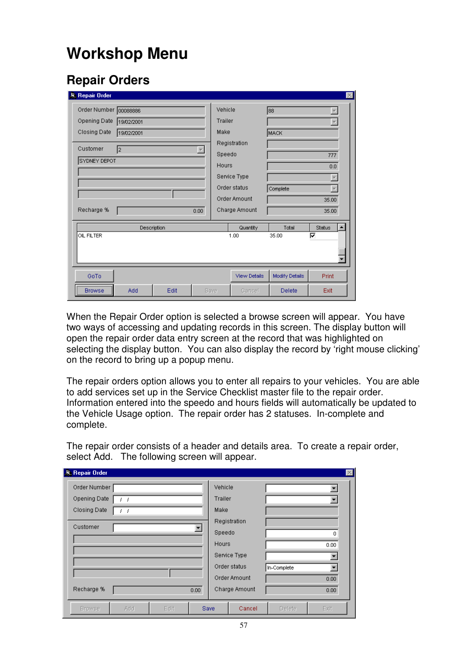# **Workshop Menu**

## **Repair Orders**

| <b>Repair Order</b>   |              |             |      |                          |               |                         | $\vert x \vert$            |  |
|-----------------------|--------------|-------------|------|--------------------------|---------------|-------------------------|----------------------------|--|
| Order Number 00088886 |              |             |      | Vehicle                  |               | 88                      |                            |  |
| Opening Date          | 19/02/2001   |             |      |                          | Trailer       | lw.                     |                            |  |
| Closing Date          | 19/02/2001   |             |      | Make                     |               | MACK                    |                            |  |
| Customer              | I2           |             |      |                          | Registration  |                         |                            |  |
|                       | SYDNEY DEPOT |             |      | Speedo                   |               |                         | 777                        |  |
|                       |              |             |      | Hours                    |               |                         | 0.0                        |  |
|                       |              |             |      | Service Type             |               |                         |                            |  |
|                       |              |             |      | Order status<br>Complete |               | $\overline{\mathbf{v}}$ |                            |  |
|                       |              |             |      |                          | Order Amount  |                         | 35.00                      |  |
| Recharge %            |              |             | 0.00 |                          | Charge Amount |                         | 35.00                      |  |
|                       |              | Description |      |                          | Quantity      | Total                   | $\blacktriangle$<br>Status |  |
| OIL FILTER            |              |             |      |                          | 1.00          | 35.00                   | ⊽                          |  |
|                       |              |             |      |                          |               |                         |                            |  |
|                       |              |             |      |                          |               |                         |                            |  |
| GoTo                  |              |             |      |                          | View Details  | Modify Details          | Print                      |  |
| <b>Browse</b>         | Add          | Edit        |      | Save                     | Cancel        | Delete                  | Exit                       |  |

When the Repair Order option is selected a browse screen will appear. You have two ways of accessing and updating records in this screen. The display button will open the repair order data entry screen at the record that was highlighted on selecting the display button. You can also display the record by 'right mouse clicking' on the record to bring up a popup menu.

The repair orders option allows you to enter all repairs to your vehicles. You are able to add services set up in the Service Checklist master file to the repair order. Information entered into the speedo and hours fields will automatically be updated to the Vehicle Usage option. The repair order has 2 statuses. In-complete and complete.

The repair order consists of a header and details area. To create a repair order, select Add. The following screen will appear.

| 息 Repair Order          |      |          |         |               |             | $\times$ |  |
|-------------------------|------|----------|---------|---------------|-------------|----------|--|
| Order Number            |      |          | Vehicle |               |             |          |  |
| <b>Opening Date</b>     |      |          | Trailer |               |             |          |  |
| Closing Date<br>$I - I$ |      |          |         | Make          |             |          |  |
| Customer                |      |          |         | Registration  |             |          |  |
|                         |      |          | Speedo  |               |             | 0        |  |
|                         |      |          | Hours   |               |             | 0.00     |  |
|                         |      |          |         | Service Type  |             |          |  |
|                         |      |          |         | Order status  | In-Complete |          |  |
|                         |      |          |         | Order Amount  |             | 0.00.    |  |
| Recharge %              |      | $0.00 -$ |         | Charge Amount |             | 0.00.    |  |
| <b>Browse</b><br>Add    | Edit |          | Save    | Cancel        | Delete      | Exit     |  |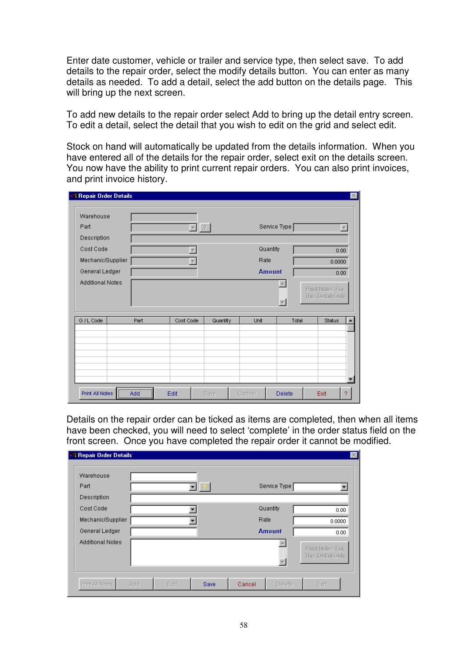Enter date customer, vehicle or trailer and service type, then select save. To add details to the repair order, select the modify details button. You can enter as many details as needed. To add a detail, select the add button on the details page. This will bring up the next screen.

To add new details to the repair order select Add to bring up the detail entry screen. To edit a detail, select the detail that you wish to edit on the grid and select edit.

Stock on hand will automatically be updated from the details information. When you have entered all of the details for the repair order, select exit on the details screen. You now have the ability to print current repair orders. You can also print invoices, and print invoice history.

| <b>A</b> Repair Order Details |          |                               |          |               |        |                                     | $\vert \times \vert$ |
|-------------------------------|----------|-------------------------------|----------|---------------|--------|-------------------------------------|----------------------|
| Warehouse                     |          |                               |          |               |        |                                     |                      |
| Part                          |          | ?<br>$\overline{\phantom{a}}$ |          | Service Type  |        |                                     |                      |
| Description                   |          |                               |          |               |        |                                     |                      |
| Cost Code                     |          |                               |          | Quantity      |        | 0.00                                |                      |
| Mechanic/Supplier             |          | Rate                          |          |               | 0.0000 |                                     |                      |
| General Ledger                |          |                               |          | <b>Amount</b> |        | 0.00                                |                      |
| <b>Additional Notes</b>       |          |                               |          |               |        | Print Notes For<br>This Detail Only |                      |
| G / L Code                    | Part     | Cost Code                     | Quantity | Unit          | Total  | Status                              |                      |
|                               |          |                               |          |               |        |                                     |                      |
| Print All Notes               | ,<br>Add | Edit                          | Save     | Cancel        | Delete | Exit                                | 2                    |

Details on the repair order can be ticked as items are completed, then when all items have been checked, you will need to select 'complete' in the order status field on the front screen. Once you have completed the repair order it cannot be modified.

| <b>Repair Order Details</b> |     |      |             |        |               |                                     |
|-----------------------------|-----|------|-------------|--------|---------------|-------------------------------------|
| Warehouse                   |     |      |             |        |               |                                     |
| Part                        |     |      |             |        | Service Type  |                                     |
| Description                 |     |      |             |        |               |                                     |
| Cost Code                   |     |      |             |        | Quantity      | 0.00.                               |
| Mechanic/Supplier           |     |      |             |        | Rate          | 0.0000                              |
| General Ledger              |     |      |             |        | <b>Amount</b> | 0.00.                               |
| <b>Additional Notes</b>     |     |      |             |        |               | Print Notes For<br>This Detail Only |
| Print All Notes             | Add | Edit | <b>Save</b> | Cancel | Delete        | Exit                                |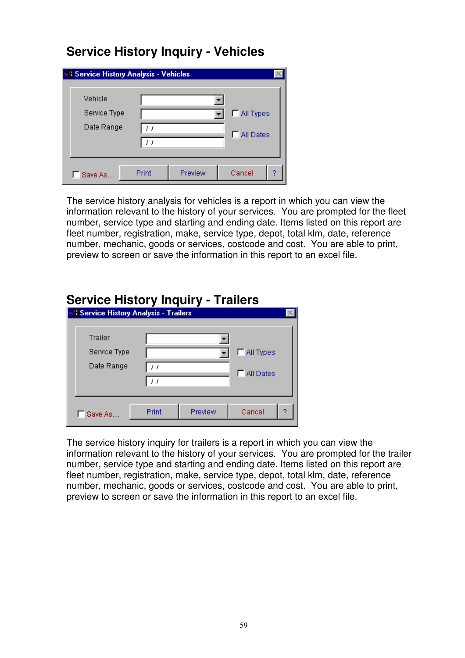### **Service History Inquiry - Vehicles**

| <b>A Service History Analysis - Vehicles</b> |       |         |                    |   |
|----------------------------------------------|-------|---------|--------------------|---|
| Vehicle                                      |       |         |                    |   |
| Service Type                                 |       |         | MI Types           |   |
| Date Range                                   | 11    |         | <b>F</b> All Dates |   |
| Save As.                                     | Print | Preview | Cancel             | 9 |

The service history analysis for vehicles is a report in which you can view the information relevant to the history of your services. You are prompted for the fleet number, service type and starting and ending date. Items listed on this report are fleet number, registration, make, service type, depot, total klm, date, reference number, mechanic, goods or services, costcode and cost. You are able to print, preview to screen or save the information in this report to an excel file.

| Service History Inquiry - Trailers           |       |         |                  |  |
|----------------------------------------------|-------|---------|------------------|--|
| <b>A Service History Analysis - Trailers</b> |       |         |                  |  |
|                                              |       |         |                  |  |
| <b>Trailer</b>                               |       |         |                  |  |
| Service Type                                 |       |         | $\Box$ All Types |  |
| Date Range                                   | H     |         | <b>All Dates</b> |  |
|                                              | H     |         |                  |  |
|                                              |       |         |                  |  |
| Save As                                      | Print | Preview | Cancel           |  |
|                                              |       |         |                  |  |

### **Service History Inquiry - Trailers**

The service history inquiry for trailers is a report in which you can view the information relevant to the history of your services. You are prompted for the trailer number, service type and starting and ending date. Items listed on this report are fleet number, registration, make, service type, depot, total klm, date, reference number, mechanic, goods or services, costcode and cost. You are able to print, preview to screen or save the information in this report to an excel file.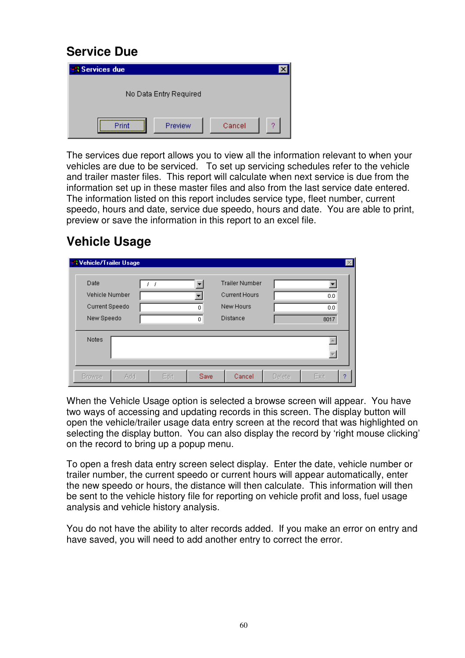### **Service Due**

| <b>N</b> Services due |                        |        |   |
|-----------------------|------------------------|--------|---|
|                       | No Data Entry Required |        |   |
| Print                 | Preview                | Cancel | 2 |

The services due report allows you to view all the information relevant to when your vehicles are due to be serviced. To set up servicing schedules refer to the vehicle and trailer master files. This report will calculate when next service is due from the information set up in these master files and also from the last service date entered. The information listed on this report includes service type, fleet number, current speedo, hours and date, service due speedo, hours and date. You are able to print, preview or save the information in this report to an excel file.

# **Vehicle Usage**

| <b>R</b> Vehicle/Trailer Usage                         |      |             |                                                                               |        | $\times$           |
|--------------------------------------------------------|------|-------------|-------------------------------------------------------------------------------|--------|--------------------|
| Date<br>Vehicle Number<br>Current Speedo<br>New Speedo |      | ▼<br>0<br>0 | <b>Trailer Number</b><br><b>Current Hours</b><br>New Hours<br><b>Distance</b> |        | 0.0<br>0.0<br>8017 |
| <b>Notes</b>                                           |      |             |                                                                               |        |                    |
| Add<br><b>Browse</b>                                   | Edit | Save        | Cancel                                                                        | Delete | Exit<br>2          |

When the Vehicle Usage option is selected a browse screen will appear. You have two ways of accessing and updating records in this screen. The display button will open the vehicle/trailer usage data entry screen at the record that was highlighted on selecting the display button. You can also display the record by 'right mouse clicking' on the record to bring up a popup menu.

To open a fresh data entry screen select display. Enter the date, vehicle number or trailer number, the current speedo or current hours will appear automatically, enter the new speedo or hours, the distance will then calculate. This information will then be sent to the vehicle history file for reporting on vehicle profit and loss, fuel usage analysis and vehicle history analysis.

You do not have the ability to alter records added. If you make an error on entry and have saved, you will need to add another entry to correct the error.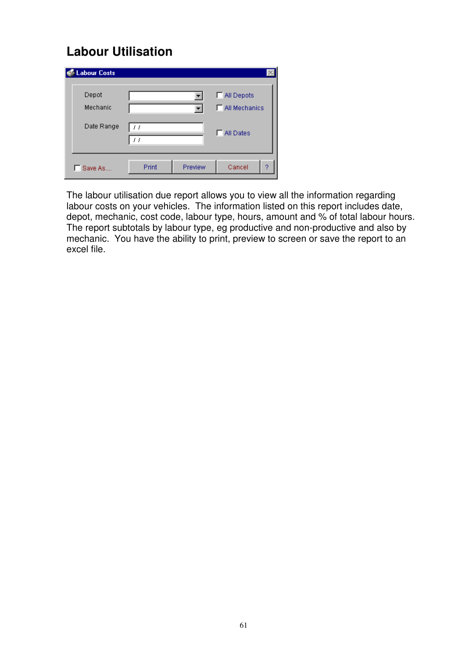# **Labour Utilisation**

| <b>Labour Costs</b> |       |         |                      |
|---------------------|-------|---------|----------------------|
| Depot               |       |         | MI Depots            |
| Mechanic            |       |         | $\Box$ All Mechanics |
| Date Range          | , ,   |         | All Dates            |
| Save As             | Print | Preview | Cancel<br>2          |

The labour utilisation due report allows you to view all the information regarding labour costs on your vehicles. The information listed on this report includes date, depot, mechanic, cost code, labour type, hours, amount and % of total labour hours. The report subtotals by labour type, eg productive and non-productive and also by mechanic. You have the ability to print, preview to screen or save the report to an excel file.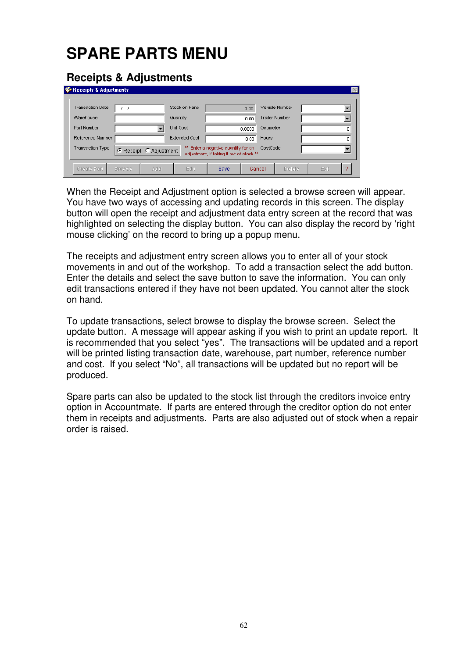# **SPARE PARTS MENU**

### **Receipts & Adjustments**

| Receipts & Adjustments  |               |                        |                      |                                                                                 |        |                       |      | $\times$ |
|-------------------------|---------------|------------------------|----------------------|---------------------------------------------------------------------------------|--------|-----------------------|------|----------|
| <b>Transaction Date</b> |               |                        | Stock on Hand        |                                                                                 | 0.00   | Vehicle Number        |      |          |
| Warehouse               |               |                        | Quantity             |                                                                                 | 0.00   | <b>Trailer Number</b> |      |          |
| Part Number             |               |                        | <b>Unit Cost</b>     |                                                                                 | 0.0000 | Odometer              |      | 0        |
| Reference Number        |               |                        | <b>Extended Cost</b> |                                                                                 | 0.00   | Hours                 |      | 0        |
| <b>Transaction Type</b> |               | C Receipt C Adjustment |                      | ** Enter a negative quantity for an<br>adjustment, if taking it out of stock ** |        | CostCode              |      |          |
| Create Part             | <b>Browse</b> | Add                    | Edit                 | Save                                                                            |        | Delete.<br>Cancel     | Exit | o        |

When the Receipt and Adjustment option is selected a browse screen will appear. You have two ways of accessing and updating records in this screen. The display button will open the receipt and adjustment data entry screen at the record that was highlighted on selecting the display button. You can also display the record by 'right mouse clicking' on the record to bring up a popup menu.

The receipts and adjustment entry screen allows you to enter all of your stock movements in and out of the workshop. To add a transaction select the add button. Enter the details and select the save button to save the information. You can only edit transactions entered if they have not been updated. You cannot alter the stock on hand.

To update transactions, select browse to display the browse screen. Select the update button. A message will appear asking if you wish to print an update report. It is recommended that you select "yes". The transactions will be updated and a report will be printed listing transaction date, warehouse, part number, reference number and cost. If you select "No", all transactions will be updated but no report will be produced.

Spare parts can also be updated to the stock list through the creditors invoice entry option in Accountmate. If parts are entered through the creditor option do not enter them in receipts and adjustments. Parts are also adjusted out of stock when a repair order is raised.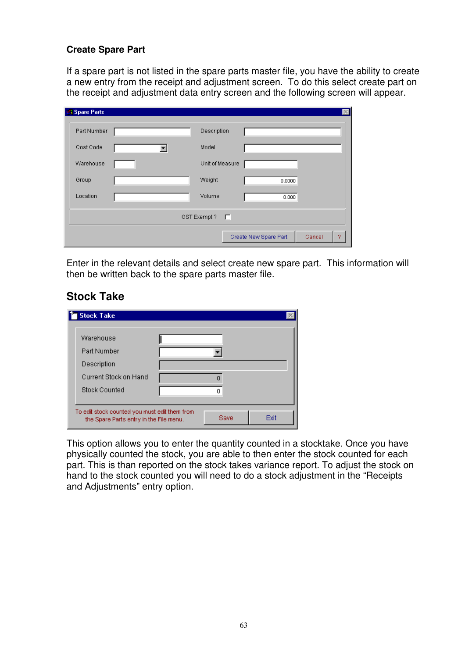### **Create Spare Part**

If a spare part is not listed in the spare parts master file, you have the ability to create a new entry from the receipt and adjustment screen. To do this select create part on the receipt and adjustment data entry screen and the following screen will appear.

| <b>N</b> Spare Parts |   |                     |                       |             |
|----------------------|---|---------------------|-----------------------|-------------|
| Part Number          |   | Description         |                       |             |
| Cost Code            | ▼ | Model               |                       |             |
| Warehouse            |   | Unit of Measure     |                       |             |
| Group                |   | Weight              | 0.0000                |             |
| Location             |   | Volume              | 0.000                 |             |
|                      |   | GST Exempt?<br>– El |                       |             |
|                      |   |                     | Create New Spare Part | Cancel<br>2 |

Enter in the relevant details and select create new spare part. This information will then be written back to the spare parts master file.

### **Stock Take**

| <b>Stock Take</b>                             |      |      |
|-----------------------------------------------|------|------|
| Warehouse                                     |      |      |
| Part Number                                   |      |      |
| Description                                   |      |      |
| Current Stock on Hand                         |      |      |
| <b>Stock Counted</b>                          |      |      |
| To edit stock counted you must edit them from |      |      |
| the Spare Parts entry in the File menu.       | Save | Exit |

This option allows you to enter the quantity counted in a stocktake. Once you have physically counted the stock, you are able to then enter the stock counted for each part. This is than reported on the stock takes variance report. To adjust the stock on hand to the stock counted you will need to do a stock adjustment in the "Receipts and Adjustments" entry option.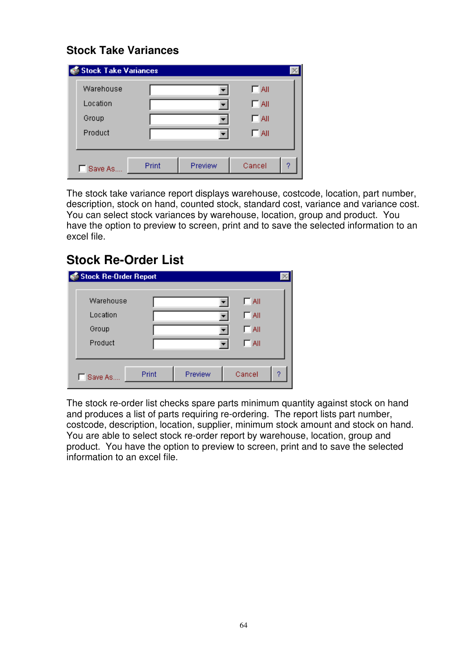### **Stock Take Variances**

| Stock Take Variances |       |         |            |   |
|----------------------|-------|---------|------------|---|
| Warehouse            |       |         | $\Box$ All |   |
| Location             |       |         | $\Box$ All |   |
| Group                |       |         | $\Box$ All |   |
| Product              |       |         | $\Box$ All |   |
|                      |       |         |            |   |
| Save As              | Print | Preview | Cancel     | 2 |

The stock take variance report displays warehouse, costcode, location, part number, description, stock on hand, counted stock, standard cost, variance and variance cost. You can select stock variances by warehouse, location, group and product. You have the option to preview to screen, print and to save the selected information to an excel file.

### **Stock Re-Order List**

| <b>Stock Re-Order Report</b> |       |         |              |   |
|------------------------------|-------|---------|--------------|---|
| Warehouse                    |       |         | $\sqcap$ aii |   |
| Location                     |       |         | $\Box$ All   |   |
| Group                        |       |         | $\Box$ All   |   |
| Product                      |       |         | ΓA∥          |   |
|                              |       |         |              |   |
| Save As                      | Print | Preview | Cancel       | ? |

The stock re-order list checks spare parts minimum quantity against stock on hand and produces a list of parts requiring re-ordering. The report lists part number, costcode, description, location, supplier, minimum stock amount and stock on hand. You are able to select stock re-order report by warehouse, location, group and product. You have the option to preview to screen, print and to save the selected information to an excel file.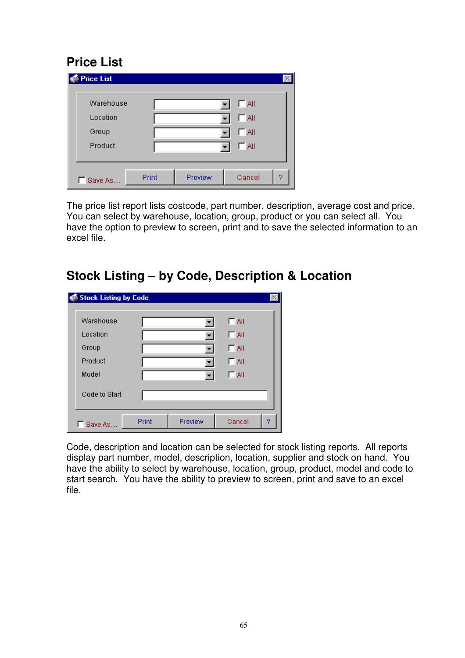# **Price List**

| <b>Price List</b> |       |         |            |   |
|-------------------|-------|---------|------------|---|
| Warehouse         |       |         | $\Box$ All |   |
| Location          |       |         | $\Box$ All |   |
| Group             |       |         | $\Box$ All |   |
| Product           |       |         | $\Box$ All |   |
|                   |       |         |            |   |
| Save As           | Print | Preview | Cancel     | 2 |

The price list report lists costcode, part number, description, average cost and price. You can select by warehouse, location, group, product or you can select all. You have the option to preview to screen, print and to save the selected information to an excel file.

### **Stock Listing – by Code, Description & Location**

| Stock Listing by Code |       |         |            |   |
|-----------------------|-------|---------|------------|---|
| Warehouse             |       |         | $\Box$ All |   |
| Location              |       |         | $\Box$ All |   |
| Group                 |       |         | $\Box$ All |   |
| Product               |       |         | ΓA∥        |   |
| Model                 |       |         | IT All     |   |
| Code to Start         |       |         |            |   |
| Save As.              | Print | Preview | Cancel     | ? |

Code, description and location can be selected for stock listing reports. All reports display part number, model, description, location, supplier and stock on hand. You have the ability to select by warehouse, location, group, product, model and code to start search. You have the ability to preview to screen, print and save to an excel file.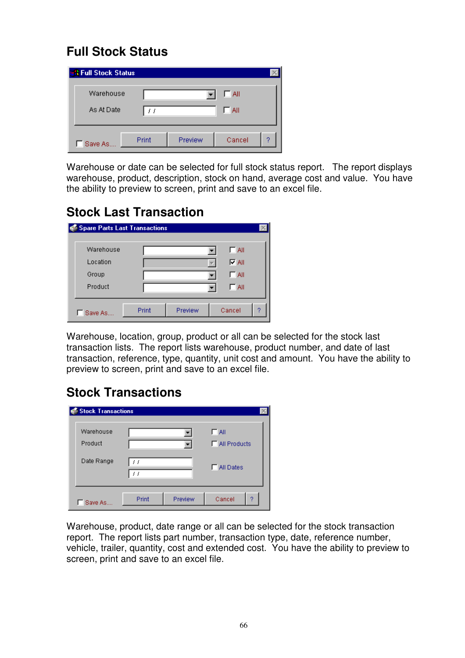# **Full Stock Status**

| <b><i><b>X</b></i></b> Full Stock Status |       |         |              |   |
|------------------------------------------|-------|---------|--------------|---|
| Warehouse                                |       |         | $\sqcap$ aii |   |
| As At Date                               | 11    |         | ∏ All        |   |
| Save As.                                 | Print | Preview | Cancel       | o |

Warehouse or date can be selected for full stock status report. The report displays warehouse, product, description, stock on hand, average cost and value. You have the ability to preview to screen, print and save to an excel file.

# **Stock Last Transaction**

| Spare Parts Last Transactions |       |         |              |   |
|-------------------------------|-------|---------|--------------|---|
| Warehouse                     |       |         | $\Box$ All   |   |
| Location                      |       |         | $\nabla$ All |   |
| Group                         |       |         | IT All       |   |
| Product                       |       |         | $\Box$ All   |   |
|                               |       |         |              |   |
| Save As                       | Print | Preview | Cancel       | 9 |

Warehouse, location, group, product or all can be selected for the stock last transaction lists. The report lists warehouse, product number, and date of last transaction, reference, type, quantity, unit cost and amount. You have the ability to preview to screen, print and save to an excel file.

## **Stock Transactions**

| <b>Stock Transactions</b> |          |         |                                   |
|---------------------------|----------|---------|-----------------------------------|
| Warehouse<br>Product      |          |         | $\Box$ All<br>$\Box$ All Products |
| Date Range                | 11<br>11 |         | <b>T</b> All Dates                |
| Save As                   | Print    | Preview | Cancel<br>2                       |

Warehouse, product, date range or all can be selected for the stock transaction report. The report lists part number, transaction type, date, reference number, vehicle, trailer, quantity, cost and extended cost. You have the ability to preview to screen, print and save to an excel file.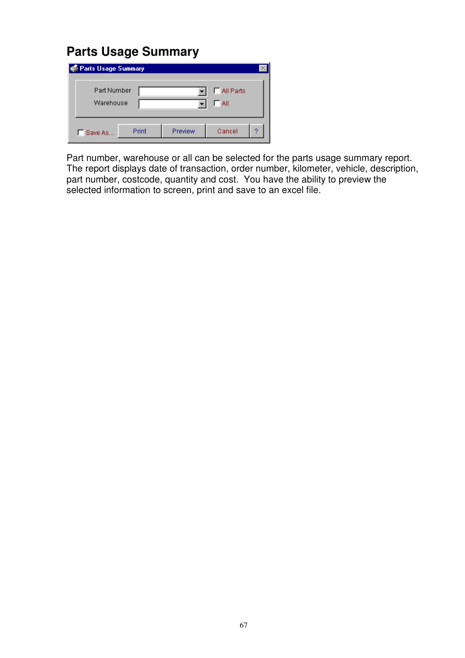## **Parts Usage Summary**

| <b>Parts Usage Summary</b> |       |         |                    |   |
|----------------------------|-------|---------|--------------------|---|
| Part Number<br>Warehouse   |       |         | All Parts<br>' All |   |
| □ Save As                  | Print | Preview | Cancel             | o |

Part number, warehouse or all can be selected for the parts usage summary report. The report displays date of transaction, order number, kilometer, vehicle, description, part number, costcode, quantity and cost. You have the ability to preview the selected information to screen, print and save to an excel file.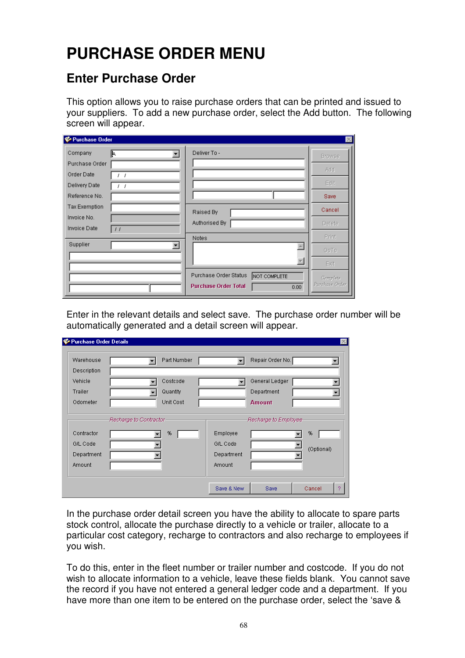# **PURCHASE ORDER MENU**

### **Enter Purchase Order**

This option allows you to raise purchase orders that can be printed and issued to your suppliers. To add a new purchase order, select the Add button. The following screen will appear.

| Purchase Order                         |                                       | $\times$       |
|----------------------------------------|---------------------------------------|----------------|
| Company<br>I۴.                         | Deliver To -                          | <b>Browse</b>  |
| Purchase Order                         |                                       |                |
| Order Date<br>J                        |                                       | Add            |
| Delivery Date                          |                                       | Edit           |
| Reference No.                          |                                       | Save           |
| Tax Exemption                          | Raised By                             | Cancel         |
| Invoice No.                            | Authorised By                         | Delete         |
| Invoice Date<br>$\left  \cdot \right $ |                                       |                |
| Supplier                               | Notes                                 | Print          |
|                                        |                                       | GoTo           |
|                                        |                                       | Exit           |
|                                        | Purchase Order Status<br>NOT COMPLETE | Complete       |
|                                        | <b>Purchase Order Total</b><br>0.00   | Purchase Order |

Enter in the relevant details and select save. The purchase order number will be automatically generated and a detail screen will appear.

| Warehouse   | Part Number |            | Repair Order No. |            |
|-------------|-------------|------------|------------------|------------|
| Description |             |            |                  |            |
| Vehicle     | Costcode    |            | General Ledger   |            |
| Trailer     | Quantity    |            | Department       |            |
| Odometer    | Unit Cost   |            | <b>Amount</b>    |            |
| Contractor  | %           | Employee   |                  | %          |
|             |             |            |                  |            |
| G/L Code    |             | G/L Code   |                  | (Optional) |
| Department  |             | Department |                  |            |
| Amount      |             | Amount     |                  |            |

In the purchase order detail screen you have the ability to allocate to spare parts stock control, allocate the purchase directly to a vehicle or trailer, allocate to a particular cost category, recharge to contractors and also recharge to employees if you wish.

To do this, enter in the fleet number or trailer number and costcode. If you do not wish to allocate information to a vehicle, leave these fields blank. You cannot save the record if you have not entered a general ledger code and a department. If you have more than one item to be entered on the purchase order, select the 'save &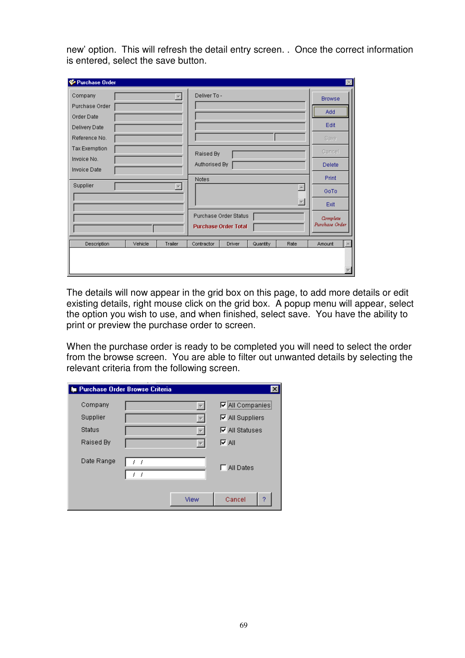new' option. This will refresh the detail entry screen. . Once the correct information is entered, select the save button.

| Purchase Order       |                    |                                          |                |
|----------------------|--------------------|------------------------------------------|----------------|
| Company              |                    | Deliver To -                             | <b>Browse</b>  |
| Purchase Order       |                    |                                          | Add            |
| Order Date           |                    |                                          |                |
| Delivery Date        |                    |                                          | Edit           |
| Reference No.        |                    |                                          | Save           |
| <b>Tax Exemption</b> |                    | Raised By                                | Cancel         |
| Invoice No.          |                    | Authorised By                            | Delete         |
| <b>Invoice Date</b>  |                    | Notes                                    | Print          |
| Supplier             |                    | A                                        | GoTo           |
|                      |                    | $\overline{\phantom{0}}$                 | Exit           |
|                      |                    | Purchase Order Status                    | Complete       |
|                      |                    | <b>Purchase Order Total</b>              | Purchase Order |
| Description          | Vehicle<br>Trailer | Contractor<br>Quantity<br>Rate<br>Driver | Amount         |
|                      |                    |                                          |                |
|                      |                    |                                          |                |
|                      |                    |                                          |                |

The details will now appear in the grid box on this page, to add more details or edit existing details, right mouse click on the grid box. A popup menu will appear, select the option you wish to use, and when finished, select save. You have the ability to print or preview the purchase order to screen.

When the purchase order is ready to be completed you will need to select the order from the browse screen. You are able to filter out unwanted details by selecting the relevant criteria from the following screen.

|               | <b>Sum</b> Purchase Order Browse Criteria | ×                      |
|---------------|-------------------------------------------|------------------------|
| Company       |                                           | $\nabla$ All Companies |
| Supplier      |                                           | $\nabla$ All Suppliers |
| <b>Status</b> |                                           | $\nabla$ All Statuses  |
| Raised By     |                                           | l⊽ All                 |
| Date Range    | - 1                                       | <b>F</b> All Dates     |
|               | View                                      | Cancel<br>9            |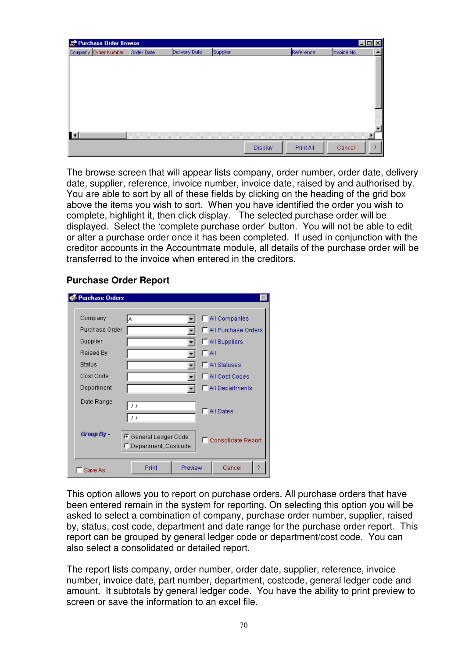| Purchase Order Browse |            |               |          |           |             | $\blacksquare\square$ |
|-----------------------|------------|---------------|----------|-----------|-------------|-----------------------|
| Company Order Number  | Order Date | Delivery Date | Supplier | Reference | Invoice No. | ∥▲                    |
|                       |            |               |          |           |             |                       |
|                       |            |               |          |           |             |                       |
|                       |            |               |          |           |             |                       |
|                       |            |               |          |           |             |                       |
|                       |            |               |          |           |             |                       |
|                       |            |               |          |           |             |                       |
|                       |            |               |          |           |             |                       |
|                       |            |               |          |           |             |                       |
|                       |            |               |          |           |             |                       |
|                       |            |               |          |           |             |                       |
|                       |            |               |          |           |             |                       |
|                       |            |               |          |           |             |                       |
|                       |            |               | Display  | Print All | Cancel      | ?                     |

The browse screen that will appear lists company, order number, order date, delivery date, supplier, reference, invoice number, invoice date, raised by and authorised by. You are able to sort by all of these fields by clicking on the heading of the grid box above the items you wish to sort. When you have identified the order you wish to complete, highlight it, then click display. The selected purchase order will be displayed. Select the 'complete purchase order' button. You will not be able to edit or alter a purchase order once it has been completed. If used in conjunction with the creditor accounts in the Accountmate module, all details of the purchase order will be transferred to the invoice when entered in the creditors.

### **Purchase Order Report**

| <b>Purchase Orders</b> |                                                 |         |                       |   |
|------------------------|-------------------------------------------------|---------|-----------------------|---|
| Company                | А                                               |         | □ All Companies       |   |
| Purchase Order         |                                                 |         | All Purchase Orders   |   |
| Supplier               |                                                 |         | All Suppliers         |   |
| Raised By              |                                                 | IT All  |                       |   |
| Status                 |                                                 |         | <b>F</b> All Statuses |   |
| Cost Code              |                                                 |         | All Cost Codes        |   |
| Department             |                                                 |         | □ All Departments     |   |
| Date Range             | $\prime$ $\prime$<br>$\prime$ $\prime$          |         | <b>All Dates</b>      |   |
| Group By -             | C General Ledger Code<br>C Department, Costcode |         | □ Consolidate Report  |   |
| Save As                | Print                                           | Preview | Cancel                | 2 |

This option allows you to report on purchase orders. All purchase orders that have been entered remain in the system for reporting. On selecting this option you will be asked to select a combination of company, purchase order number, supplier, raised by, status, cost code, department and date range for the purchase order report. This report can be grouped by general ledger code or department/cost code. You can also select a consolidated or detailed report.

The report lists company, order number, order date, supplier, reference, invoice number, invoice date, part number, department, costcode, general ledger code and amount. It subtotals by general ledger code. You have the ability to print preview to screen or save the information to an excel file.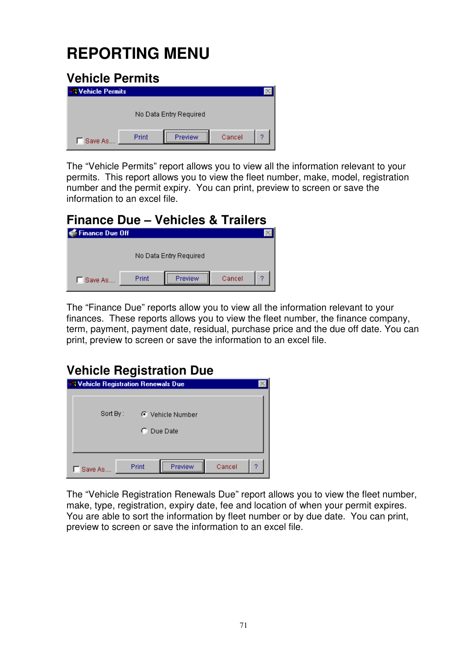# **REPORTING MENU**

#### **Vehicle Permits**  No Data Entry Required Print Preview Cancel Ÿ. □ Save As...

The "Vehicle Permits" report allows you to view all the information relevant to your permits. This report allows you to view the fleet number, make, model, registration number and the permit expiry. You can print, preview to screen or save the information to an excel file.

| <b>Finance Due - Vehicles &amp; Trailers</b> |       |                        |        |   |  |  |
|----------------------------------------------|-------|------------------------|--------|---|--|--|
| <b>S</b> Finance Due Off                     |       |                        |        |   |  |  |
|                                              |       | No Data Entry Required |        |   |  |  |
| Save As                                      | Print |                        | Cancel | o |  |  |

The "Finance Due" reports allow you to view all the information relevant to your finances. These reports allows you to view the fleet number, the finance company, term, payment, payment date, residual, purchase price and the due off date. You can print, preview to screen or save the information to an excel file.

# **Vehicle Registration Due**

| Wehicle Registration Renewals Due |       |                  |        |   |
|-----------------------------------|-------|------------------|--------|---|
|                                   |       |                  |        |   |
|                                   |       |                  |        |   |
|                                   |       |                  |        |   |
|                                   |       |                  |        |   |
| Sort By:                          |       | C Vehicle Number |        |   |
|                                   |       |                  |        |   |
|                                   | n.    | Due Date         |        |   |
|                                   |       |                  |        |   |
|                                   |       |                  |        |   |
|                                   |       |                  |        |   |
|                                   |       |                  |        |   |
|                                   |       |                  |        |   |
| Save As                           | Print | Preview          | Cancel | 2 |
|                                   |       |                  |        |   |

The "Vehicle Registration Renewals Due" report allows you to view the fleet number, make, type, registration, expiry date, fee and location of when your permit expires. You are able to sort the information by fleet number or by due date. You can print, preview to screen or save the information to an excel file.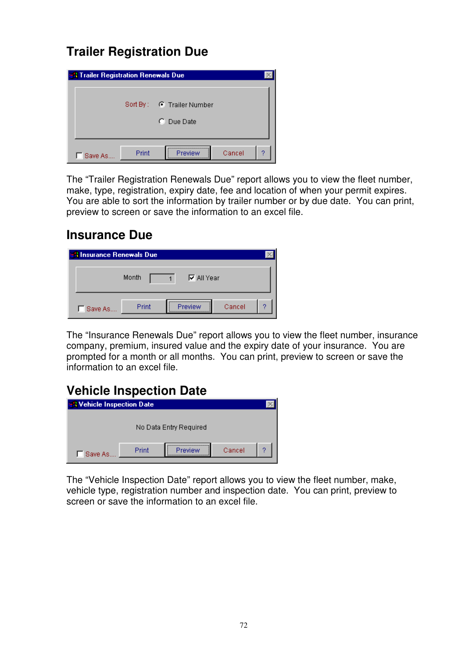# **Trailer Registration Due**

| <b>A Trailer Registration Renewals Due</b> |       |                                              |        |   |  |
|--------------------------------------------|-------|----------------------------------------------|--------|---|--|
|                                            |       | Sort By: C Trailer Number<br>$\cap$ Due Date |        |   |  |
| Save As                                    | Print | <br>Preview                                  | Cancel | o |  |

The "Trailer Registration Renewals Due" report allows you to view the fleet number, make, type, registration, expiry date, fee and location of when your permit expires. You are able to sort the information by trailer number or by due date. You can print, preview to screen or save the information to an excel file.

### **Insurance Due**

| <b>N</b> Insurance Renewals Due |       |                    |        |   |  |  |
|---------------------------------|-------|--------------------|--------|---|--|--|
|                                 | Month | <b>▽</b> All Year  |        |   |  |  |
| Save As                         | Print | <br><b>Preview</b> | Cancel | o |  |  |

The "Insurance Renewals Due" report allows you to view the fleet number, insurance company, premium, insured value and the expiry date of your insurance. You are prompted for a month or all months. You can print, preview to screen or save the information to an excel file.

## **Vehicle Inspection Date**

| <b>SA Vehicle Inspection Date</b> |       |         |        |   |  |  |  |  |
|-----------------------------------|-------|---------|--------|---|--|--|--|--|
| No Data Entry Required            |       |         |        |   |  |  |  |  |
| Save As.                          | Print | Preview | Cancel | o |  |  |  |  |

The "Vehicle Inspection Date" report allows you to view the fleet number, make, vehicle type, registration number and inspection date. You can print, preview to screen or save the information to an excel file.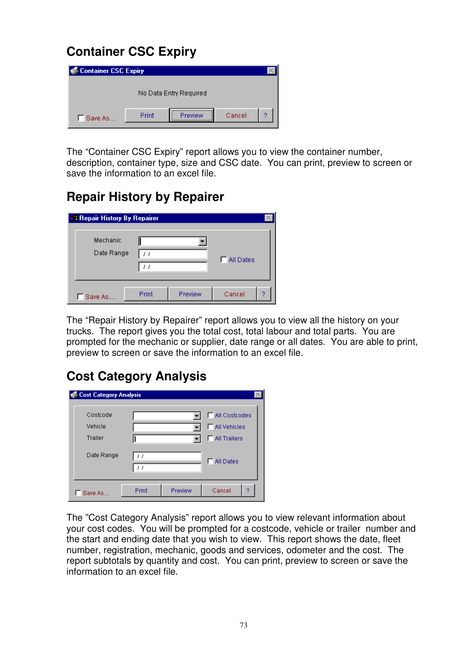# **Container CSC Expiry**

| Container CSC Expiry   |       |         |        |   |  |  |
|------------------------|-------|---------|--------|---|--|--|
| No Data Entry Required |       |         |        |   |  |  |
| Save As                | Print | Preview | Cancel | o |  |  |

The "Container CSC Expiry" report allows you to view the container number, description, container type, size and CSC date. You can print, preview to screen or save the information to an excel file.

## **Repair History by Repairer**

| <b>A Repair History By Repairer</b> |       |         |                   |   |
|-------------------------------------|-------|---------|-------------------|---|
| Mechanic<br>Date Range              |       |         | <b>FIAILDates</b> |   |
| Save As                             | Print | Preview | Cancel            | 9 |

The "Repair History by Repairer" report allows you to view all the history on your trucks. The report gives you the total cost, total labour and total parts. You are prompted for the mechanic or supplier, date range or all dates. You are able to print, preview to screen or save the information to an excel file.

## **Cost Category Analysis**

| <b>Cost Category Analysis</b> |                              |         |                    |
|-------------------------------|------------------------------|---------|--------------------|
| Costcode                      |                              |         | □ All Costcodes    |
| Vehicle                       |                              |         | MI Vehicles        |
| <b>Trailer</b>                |                              |         | MI Trailers        |
| Date Range                    | 11<br>$\left  \cdot \right $ |         | <b>T</b> All Dates |
| Save As                       | Print                        | Preview | Cancel<br>2        |

The "Cost Category Analysis" report allows you to view relevant information about your cost codes. You will be prompted for a costcode, vehicle or trailer number and the start and ending date that you wish to view. This report shows the date, fleet number, registration, mechanic, goods and services, odometer and the cost. The report subtotals by quantity and cost. You can print, preview to screen or save the information to an excel file.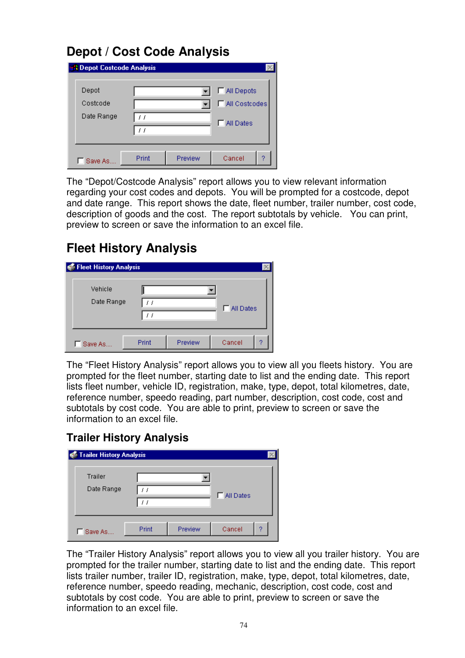# **Depot / Cost Code Analysis**

| <b>St. Depot Costcode Analysis</b> |          |         |                   |
|------------------------------------|----------|---------|-------------------|
| Depot                              |          |         | All Depots        |
| Costcode                           |          |         | MI Costcodes      |
| Date Range                         | 11<br>11 |         | <b>FIAILDates</b> |
| Save As.                           | Print    | Preview | 9<br>Cancel       |

The "Depot/Costcode Analysis" report allows you to view relevant information regarding your cost codes and depots. You will be prompted for a costcode, depot and date range. This report shows the date, fleet number, trailer number, cost code, description of goods and the cost. The report subtotals by vehicle. You can print, preview to screen or save the information to an excel file.

# **Fleet History Analysis**

| Fleet History Analysis |       |         |                    |
|------------------------|-------|---------|--------------------|
| Vehicle<br>Date Range  | 11    |         | <b>T</b> All Dates |
| Save As                | Print | Preview | Cancel<br>2        |

The "Fleet History Analysis" report allows you to view all you fleets history. You are prompted for the fleet number, starting date to list and the ending date. This report lists fleet number, vehicle ID, registration, make, type, depot, total kilometres, date, reference number, speedo reading, part number, description, cost code, cost and subtotals by cost code. You are able to print, preview to screen or save the information to an excel file.

### **Trailer History Analysis**

| Trailer History Analysis |       |         |                    |
|--------------------------|-------|---------|--------------------|
| Trailer<br>Date Range    | 11    |         | <b>FIAII</b> Dates |
| Save As                  | Print | Preview | ō<br>Cancel        |

The "Trailer History Analysis" report allows you to view all you trailer history. You are prompted for the trailer number, starting date to list and the ending date. This report lists trailer number, trailer ID, registration, make, type, depot, total kilometres, date, reference number, speedo reading, mechanic, description, cost code, cost and subtotals by cost code. You are able to print, preview to screen or save the information to an excel file.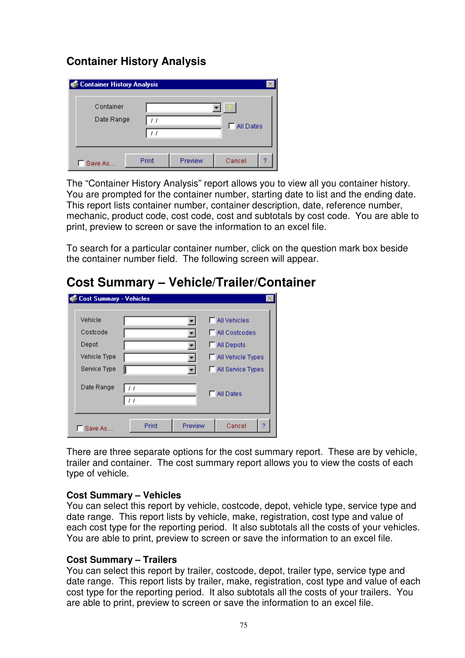### **Container History Analysis**

| <b>Container History Analysis</b> |       |         |          |   |
|-----------------------------------|-------|---------|----------|---|
| Container<br>Date Range           | ,,    |         | MI Dates |   |
| Save As                           | Print | Preview | Cancel   | 9 |

The "Container History Analysis" report allows you to view all you container history. You are prompted for the container number, starting date to list and the ending date. This report lists container number, container description, date, reference number, mechanic, product code, cost code, cost and subtotals by cost code. You are able to print, preview to screen or save the information to an excel file.

To search for a particular container number, click on the question mark box beside the container number field. The following screen will appear.

| <b>Cost Summary - Vehicles</b> |                                 |
|--------------------------------|---------------------------------|
| Vehicle                        | <b>F</b> All Vehicles           |
| Costcode                       | MI Costcodes                    |
| Depot                          | □ All Depots                    |
| Vehicle Type                   | □ All Vehicle Types             |
| Service Type                   | All Service Types               |
| Date Range                     | 11<br>$-$ All Dates<br>11       |
| Save As.                       | 2<br>Preview<br>Cancel<br>Print |

### **Cost Summary – Vehicle/Trailer/Container**

There are three separate options for the cost summary report. These are by vehicle, trailer and container. The cost summary report allows you to view the costs of each type of vehicle.

#### **Cost Summary – Vehicles**

You can select this report by vehicle, costcode, depot, vehicle type, service type and date range. This report lists by vehicle, make, registration, cost type and value of each cost type for the reporting period. It also subtotals all the costs of your vehicles. You are able to print, preview to screen or save the information to an excel file.

#### **Cost Summary – Trailers**

You can select this report by trailer, costcode, depot, trailer type, service type and date range. This report lists by trailer, make, registration, cost type and value of each cost type for the reporting period. It also subtotals all the costs of your trailers. You are able to print, preview to screen or save the information to an excel file.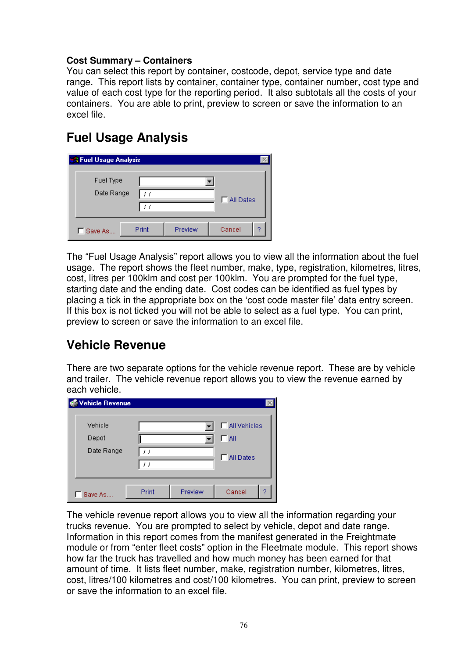#### **Cost Summary – Containers**

You can select this report by container, costcode, depot, service type and date range. This report lists by container, container type, container number, cost type and value of each cost type for the reporting period. It also subtotals all the costs of your containers. You are able to print, preview to screen or save the information to an excel file.

## **Fuel Usage Analysis**

| <b>1 Fuel Usage Analysis</b> |       |         |             |   |
|------------------------------|-------|---------|-------------|---|
| Fuel Type                    |       |         |             |   |
| Date Range                   |       |         | □ All Dates |   |
| Save As                      | Print | Preview | Cancel      | o |

The "Fuel Usage Analysis" report allows you to view all the information about the fuel usage. The report shows the fleet number, make, type, registration, kilometres, litres, cost, litres per 100klm and cost per 100klm. You are prompted for the fuel type, starting date and the ending date. Cost codes can be identified as fuel types by placing a tick in the appropriate box on the 'cost code master file' data entry screen. If this box is not ticked you will not be able to select as a fuel type. You can print, preview to screen or save the information to an excel file.

### **Vehicle Revenue**

There are two separate options for the vehicle revenue report. These are by vehicle and trailer. The vehicle revenue report allows you to view the revenue earned by each vehicle.

| Vehicle Revenue  |          |         |                              |
|------------------|----------|---------|------------------------------|
| Vehicle<br>Depot |          |         | □ All Vehicles<br>$\Box$ All |
| Date Range       | 11<br>11 |         | <b>FIAII</b> Dates           |
| Save As          | Print    | Preview | Cancel<br>2                  |

The vehicle revenue report allows you to view all the information regarding your trucks revenue. You are prompted to select by vehicle, depot and date range. Information in this report comes from the manifest generated in the Freightmate module or from "enter fleet costs" option in the Fleetmate module. This report shows how far the truck has travelled and how much money has been earned for that amount of time. It lists fleet number, make, registration number, kilometres, litres, cost, litres/100 kilometres and cost/100 kilometres. You can print, preview to screen or save the information to an excel file.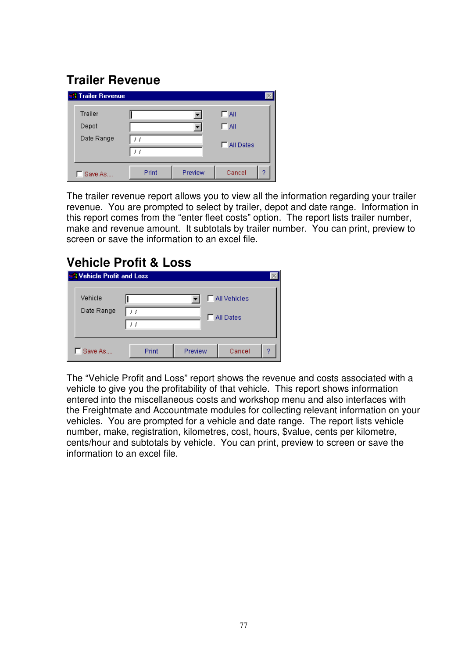# **Trailer Revenue**

| <b>Trailer Revenue</b> |       |         |                    |   |
|------------------------|-------|---------|--------------------|---|
| <b>Trailer</b>         |       |         | ΓA∥                |   |
| Depot                  |       |         | $\Box$ All         |   |
| Date Range             |       |         | <b>F</b> All Dates |   |
|                        |       |         |                    |   |
| Save As                | Print | Preview | Cancel             | 2 |

The trailer revenue report allows you to view all the information regarding your trailer revenue. You are prompted to select by trailer, depot and date range. Information in this report comes from the "enter fleet costs" option. The report lists trailer number, make and revenue amount. It subtotals by trailer number. You can print, preview to screen or save the information to an excel file.

### **Vehicle Profit & Loss**

| Nehicle Profit and Loss |       |         |                   |   |
|-------------------------|-------|---------|-------------------|---|
| Vehicle<br>Date Range   |       |         | □ All Vehicles    |   |
|                         |       |         | <b>FIAILDates</b> |   |
| Save As                 | Print | Preview | Cancel            | 9 |

The "Vehicle Profit and Loss" report shows the revenue and costs associated with a vehicle to give you the profitability of that vehicle. This report shows information entered into the miscellaneous costs and workshop menu and also interfaces with the Freightmate and Accountmate modules for collecting relevant information on your vehicles. You are prompted for a vehicle and date range. The report lists vehicle number, make, registration, kilometres, cost, hours, \$value, cents per kilometre, cents/hour and subtotals by vehicle. You can print, preview to screen or save the information to an excel file.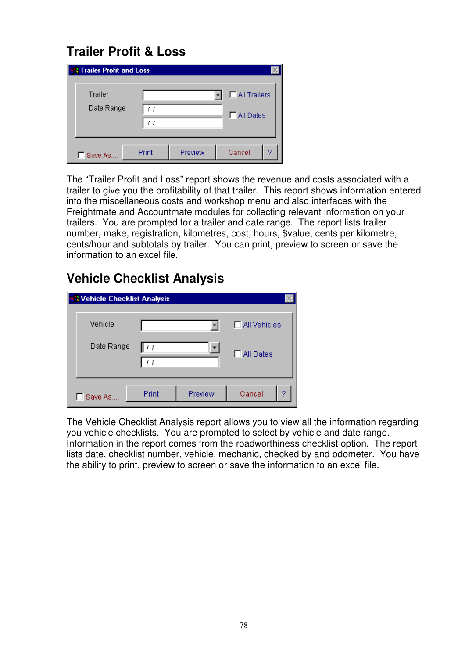# **Trailer Profit & Loss**

| <b>Trailer Profit and Loss</b> |       |         |              |  |
|--------------------------------|-------|---------|--------------|--|
| Trailer                        |       |         | All Trailers |  |
| Date Range                     |       |         | □ All Dates  |  |
| Save As                        | Print | Preview | Cancel<br>9  |  |

The "Trailer Profit and Loss" report shows the revenue and costs associated with a trailer to give you the profitability of that trailer. This report shows information entered into the miscellaneous costs and workshop menu and also interfaces with the Freightmate and Accountmate modules for collecting relevant information on your trailers. You are prompted for a trailer and date range. The report lists trailer number, make, registration, kilometres, cost, hours, \$value, cents per kilometre, cents/hour and subtotals by trailer. You can print, preview to screen or save the information to an excel file.

## **Vehicle Checklist Analysis**

| <b>A Vehicle Checklist Analysis</b> |       |         |                |
|-------------------------------------|-------|---------|----------------|
| Vehicle                             |       |         | □ All Vehicles |
| Date Range                          | / /   |         | □ All Dates    |
| Save As                             | Print | Preview | Cancel<br>2    |

The Vehicle Checklist Analysis report allows you to view all the information regarding you vehicle checklists. You are prompted to select by vehicle and date range. Information in the report comes from the roadworthiness checklist option. The report lists date, checklist number, vehicle, mechanic, checked by and odometer. You have the ability to print, preview to screen or save the information to an excel file.